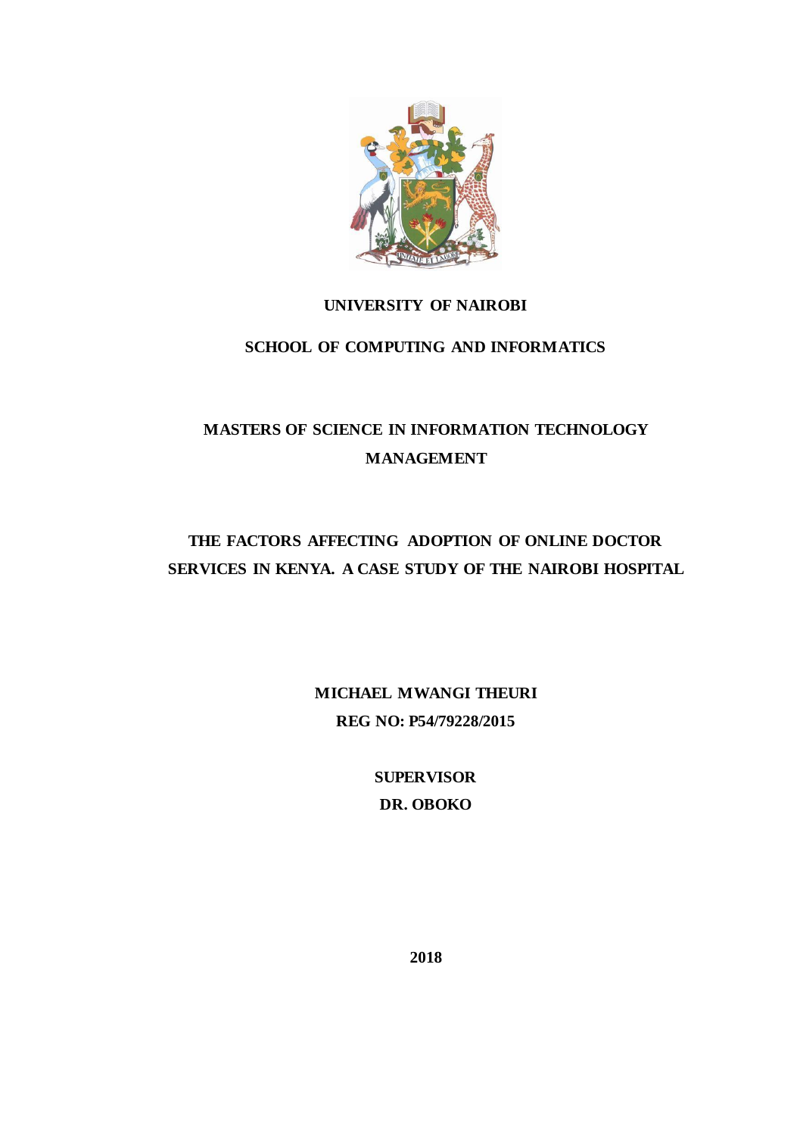

# **UNIVERSITY OF NAIROBI**

# **SCHOOL OF COMPUTING AND INFORMATICS**

# **MASTERS OF SCIENCE IN INFORMATION TECHNOLOGY MANAGEMENT**

# **THE FACTORS AFFECTING ADOPTION OF ONLINE DOCTOR SERVICES IN KENYA. A CASE STUDY OF THE NAIROBI HOSPITAL**

**MICHAEL MWANGI THEURI REG NO: P54/79228/2015**

> **SUPERVISOR DR. OBOKO**

> > <span id="page-0-0"></span>**2018**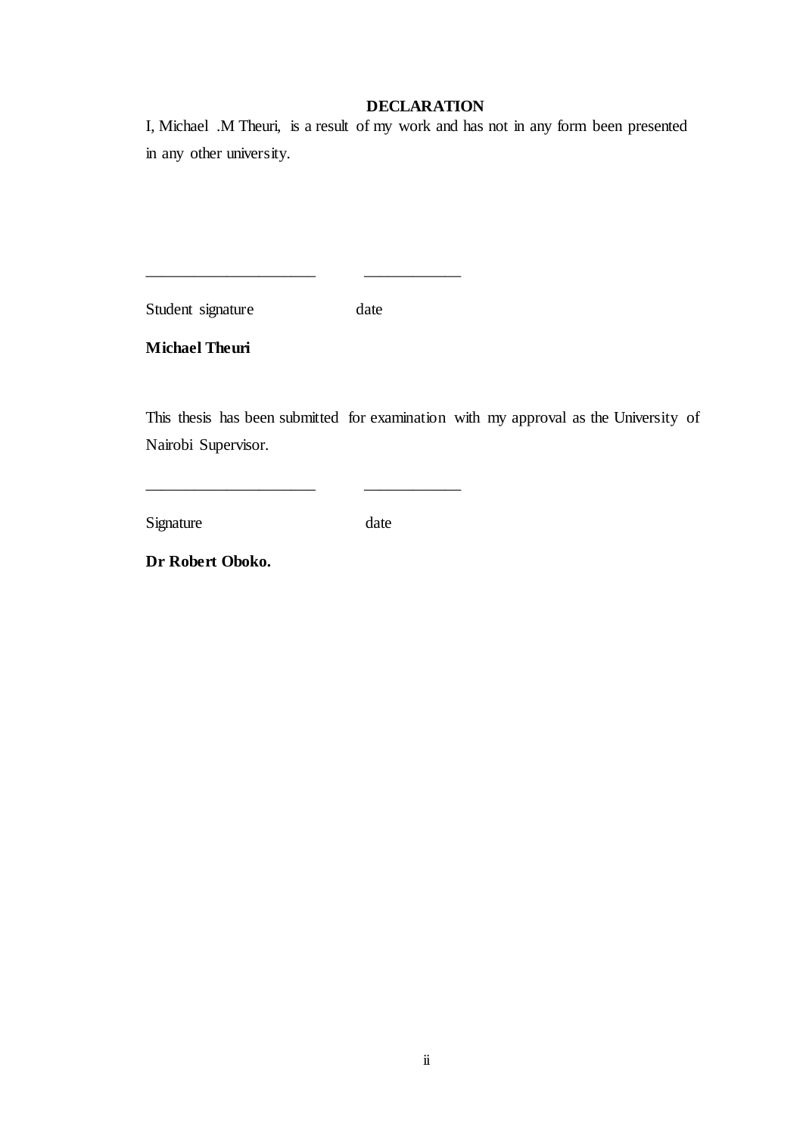# **DECLARATION**

I, Michael .M Theuri, is a result of my work and has not in any form been presented in any other university.

Student signature date

\_\_\_\_\_\_\_\_\_\_\_\_\_\_\_\_\_\_\_\_\_ \_\_\_\_\_\_\_\_\_\_\_\_

\_\_\_\_\_\_\_\_\_\_\_\_\_\_\_\_\_\_\_\_\_ \_\_\_\_\_\_\_\_\_\_\_\_

**Michael Theuri**

This thesis has been submitted for examination with my approval as the University of Nairobi Supervisor.

Signature date

**Dr Robert Oboko.**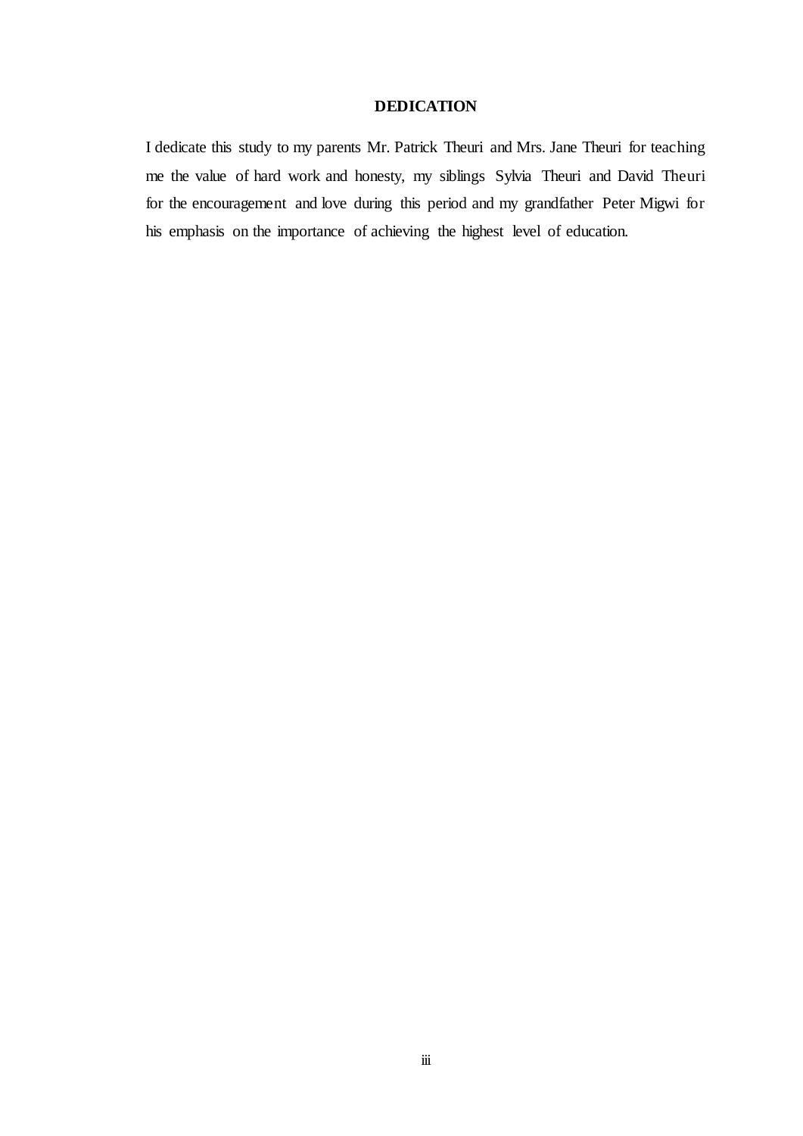# **DEDICATION**

<span id="page-2-0"></span>I dedicate this study to my parents Mr. Patrick Theuri and Mrs. Jane Theuri for teaching me the value of hard work and honesty, my siblings Sylvia Theuri and David Theuri for the encouragement and love during this period and my grandfather Peter Migwi for his emphasis on the importance of achieving the highest level of education.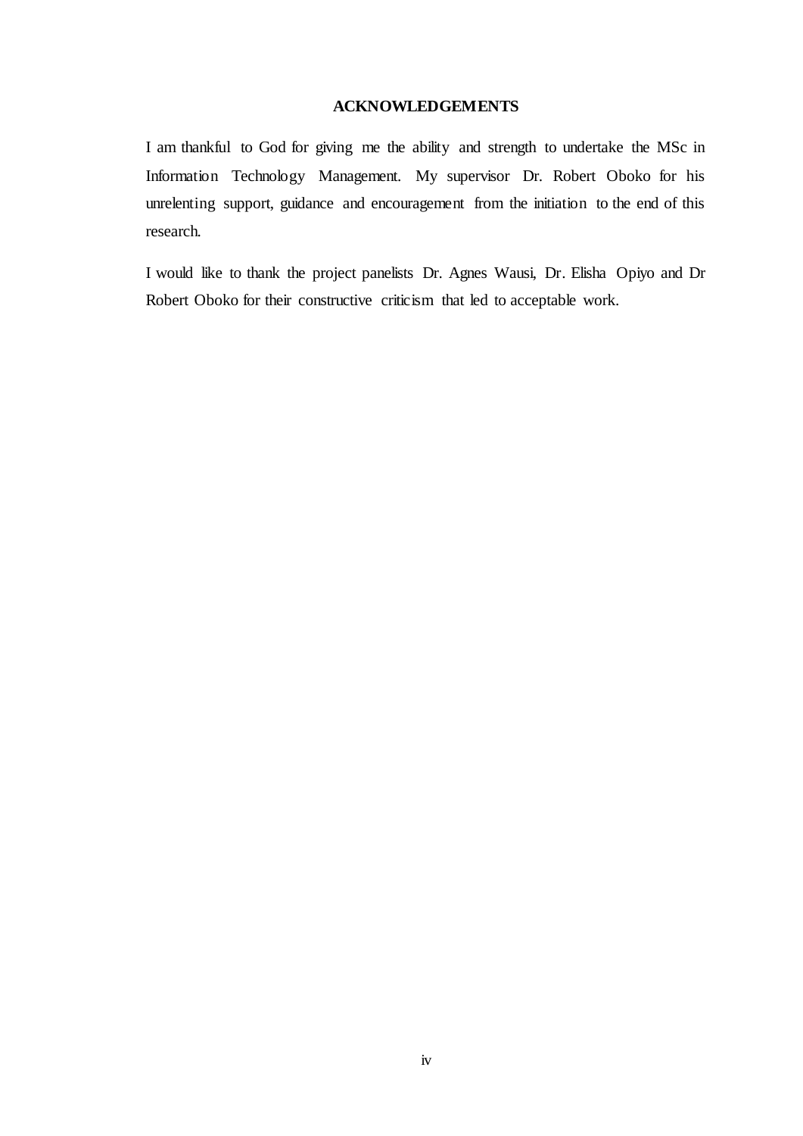# **ACKNOWLEDGEMENTS**

<span id="page-3-0"></span>I am thankful to God for giving me the ability and strength to undertake the MSc in Information Technology Management. My supervisor Dr. Robert Oboko for his unrelenting support, guidance and encouragement from the initiation to the end of this research.

I would like to thank the project panelists Dr. Agnes Wausi, Dr. Elisha Opiyo and Dr Robert Oboko for their constructive criticism that led to acceptable work.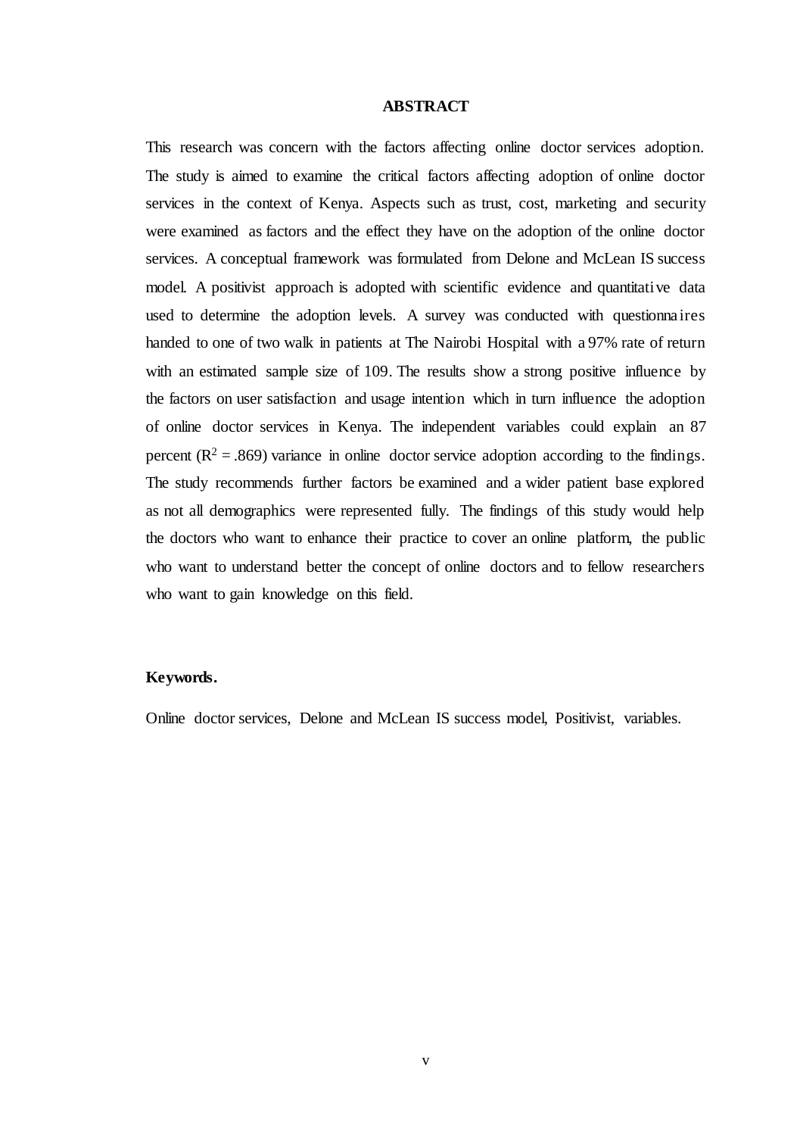#### **ABSTRACT**

<span id="page-4-0"></span>This research was concern with the factors affecting online doctor services adoption. The study is aimed to examine the critical factors affecting adoption of online doctor services in the context of Kenya. Aspects such as trust, cost, marketing and security were examined as factors and the effect they have on the adoption of the online doctor services. A conceptual framework was formulated from Delone and McLean IS success model. A positivist approach is adopted with scientific evidence and quantitative data used to determine the adoption levels. A survey was conducted with questionnaires handed to one of two walk in patients at The Nairobi Hospital with a 97% rate of return with an estimated sample size of 109. The results show a strong positive influence by the factors on user satisfaction and usage intention which in turn influence the adoption of online doctor services in Kenya. The independent variables could explain an 87 percent  $(R^2 = .869)$  variance in online doctor service adoption according to the findings. The study recommends further factors be examined and a wider patient base explored as not all demographics were represented fully. The findings of this study would help the doctors who want to enhance their practice to cover an online platform, the public who want to understand better the concept of online doctors and to fellow researchers who want to gain knowledge on this field.

### **Keywords.**

Online doctor services, Delone and McLean IS success model, Positivist, variables.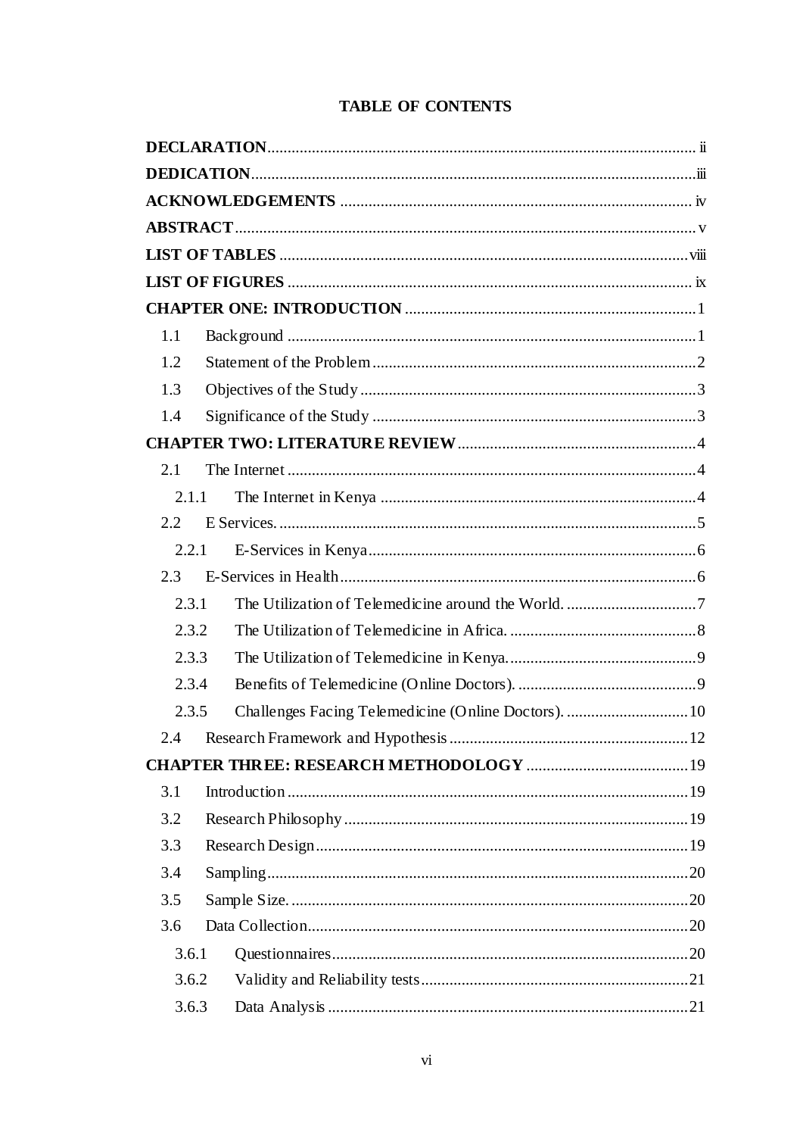|  |  | <b>TABLE OF CONTENTS</b> |
|--|--|--------------------------|
|--|--|--------------------------|

| 1.1   |  |
|-------|--|
| 1.2   |  |
| 1.3   |  |
| 1.4   |  |
|       |  |
| 2.1   |  |
| 2.1.1 |  |
| 2.2   |  |
| 2.2.1 |  |
| 2.3   |  |
| 2.3.1 |  |
| 2.3.2 |  |
| 2.3.3 |  |
| 2.3.4 |  |
| 2.3.5 |  |
| 2.4   |  |
|       |  |
| 3.1   |  |
| 3.2   |  |
| 3.3   |  |
| 3.4   |  |
| 3.5   |  |
| 3.6   |  |
| 3.6.1 |  |
| 3.6.2 |  |
| 3.6.3 |  |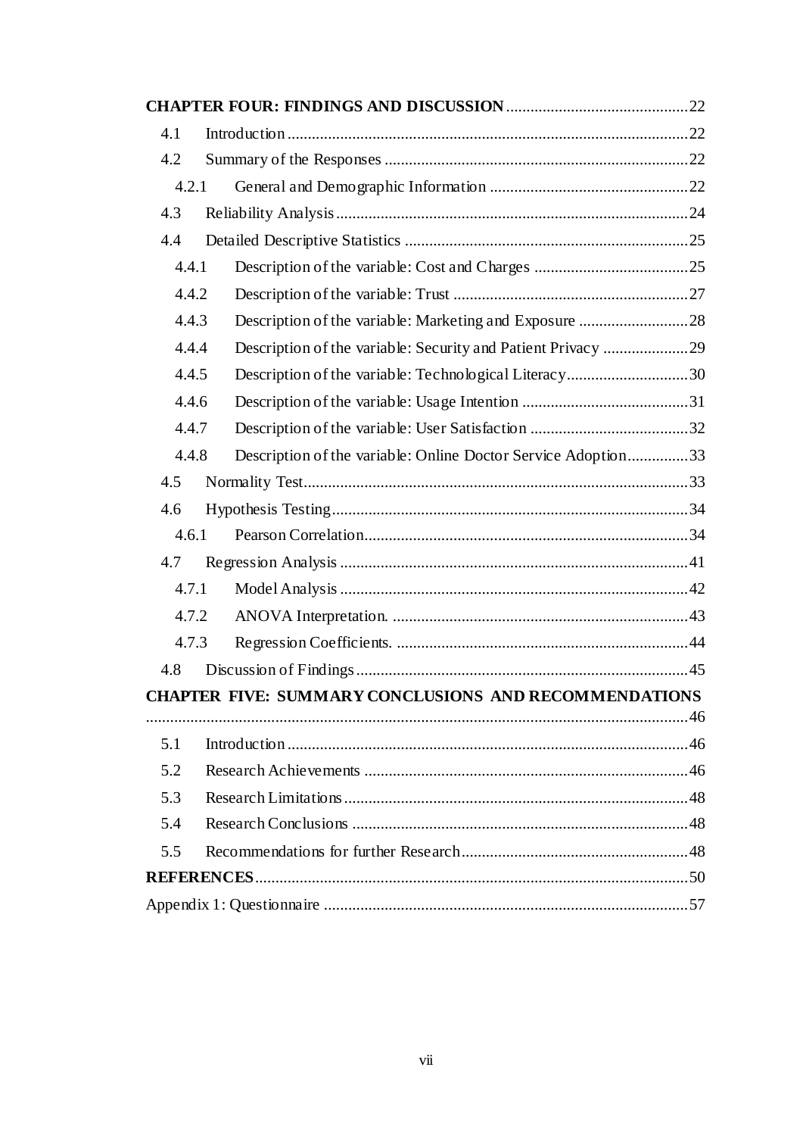| 4.1   |                                                               |  |
|-------|---------------------------------------------------------------|--|
| 4.2   |                                                               |  |
| 4.2.1 |                                                               |  |
| 4.3   |                                                               |  |
| 4.4   |                                                               |  |
| 4.4.1 |                                                               |  |
| 4.4.2 |                                                               |  |
| 4.4.3 | Description of the variable: Marketing and Exposure 28        |  |
| 4.4.4 | Description of the variable: Security and Patient Privacy 29  |  |
| 4.4.5 | Description of the variable: Technological Literacy30         |  |
| 4.4.6 |                                                               |  |
| 4.4.7 |                                                               |  |
| 4.4.8 | Description of the variable: Online Doctor Service Adoption33 |  |
| 4.5   |                                                               |  |
| 4.6   |                                                               |  |
| 4.6.1 |                                                               |  |
| 4.7   |                                                               |  |
| 4.7.1 |                                                               |  |
| 4.7.2 |                                                               |  |
| 4.7.3 |                                                               |  |
| 4.8   |                                                               |  |
|       | <b>CHAPTER FIVE: SUMMARY CONCLUSIONS AND RECOMMENDATIONS</b>  |  |
|       |                                                               |  |
| 5.1   |                                                               |  |
| 5.2   |                                                               |  |
| 5.3   |                                                               |  |
| 5.4   |                                                               |  |
| 5.5   |                                                               |  |
|       |                                                               |  |
|       |                                                               |  |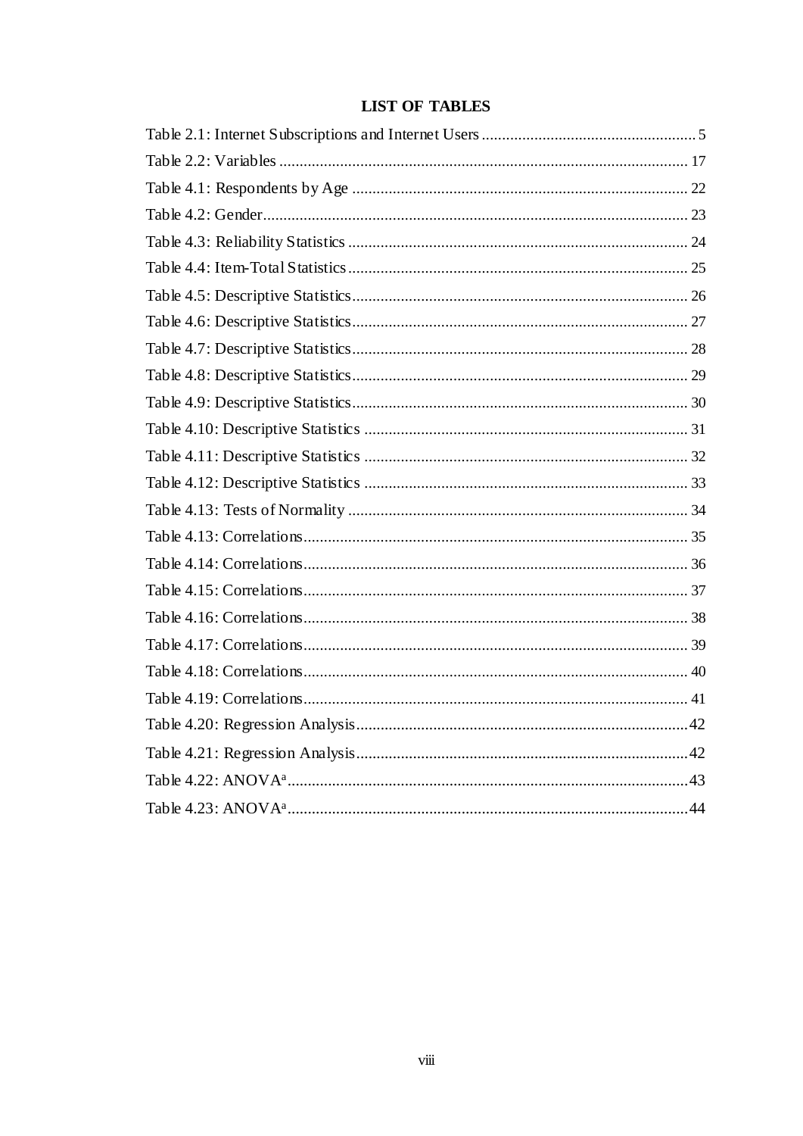<span id="page-7-0"></span>

# **LIST OF TABLES**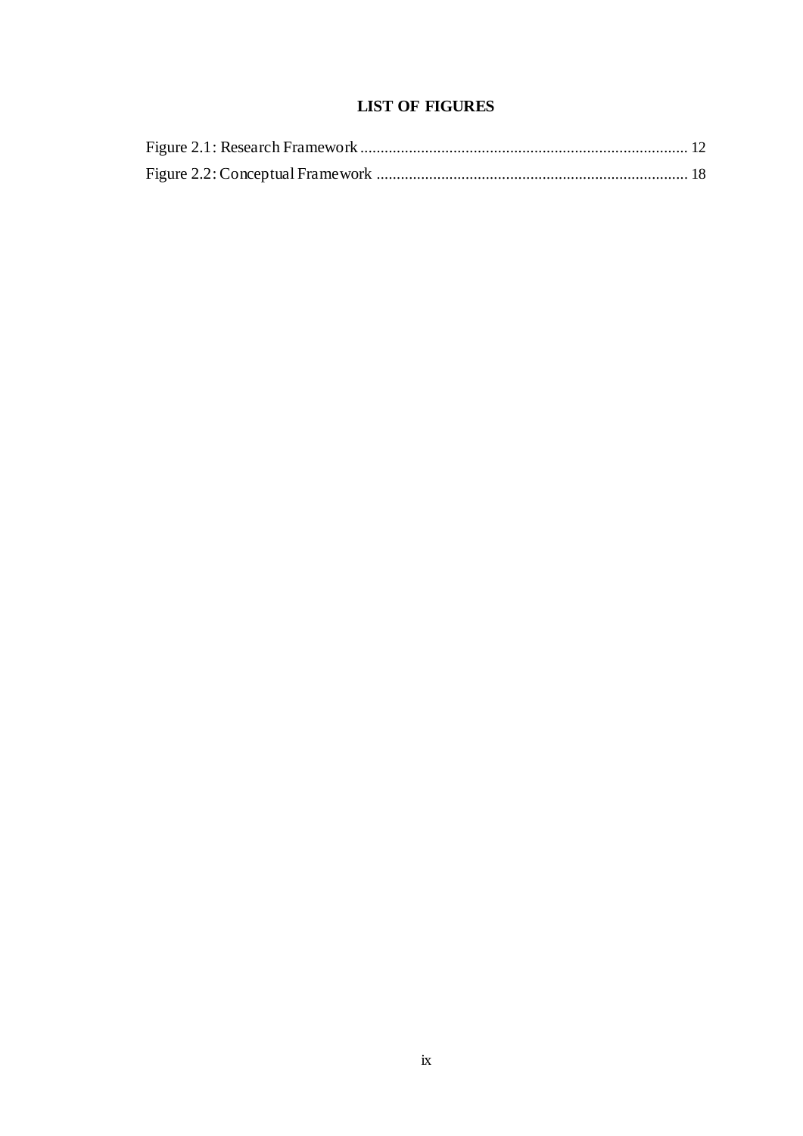# **LIST OF FIGURES**

<span id="page-8-0"></span>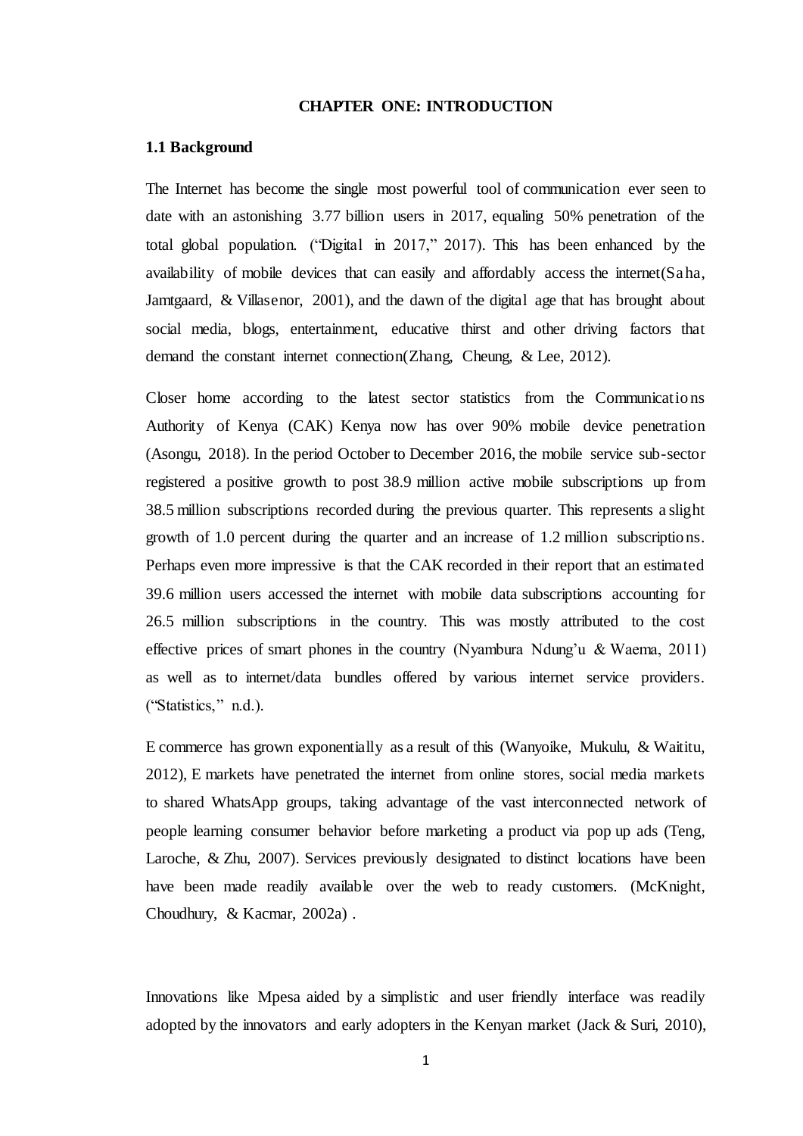### **CHAPTER ONE: INTRODUCTION**

#### <span id="page-9-1"></span><span id="page-9-0"></span>**1.1 Background**

The Internet has become the single most powerful tool of communication ever seen to date with an astonishing 3.77 billion users in 2017, equaling 50% penetration of the total global population. ("Digital in 2017," 2017). This has been enhanced by the availability of mobile devices that can easily and affordably access the internet(Saha, Jamtgaard, & Villasenor, 2001), and the dawn of the digital age that has brought about social media, blogs, entertainment, educative thirst and other driving factors that demand the constant internet connection(Zhang, Cheung, & Lee, 2012).

Closer home according to the latest sector statistics from the Communications Authority of Kenya (CAK) Kenya now has over 90% mobile device penetration (Asongu, 2018). In the period October to December 2016, the mobile service sub-sector registered a positive growth to post 38.9 million active mobile subscriptions up from 38.5 million subscriptions recorded during the previous quarter. This represents a slight growth of 1.0 percent during the quarter and an increase of 1.2 million subscriptions. Perhaps even more impressive is that the CAK recorded in their report that an estimated 39.6 million users accessed the internet with mobile data subscriptions accounting for 26.5 million subscriptions in the country. This was mostly attributed to the cost effective prices of smart phones in the country (Nyambura Ndung'u & Waema, 2011) as well as to internet/data bundles offered by various internet service providers. ("Statistics," n.d.).

E commerce has grown exponentially as a result of this (Wanyoike, Mukulu, & Waititu, 2012), E markets have penetrated the internet from online stores, social media markets to shared WhatsApp groups, taking advantage of the vast interconnected network of people learning consumer behavior before marketing a product via pop up ads (Teng, Laroche, & Zhu, 2007). Services previously designated to distinct locations have been have been made readily available over the web to ready customers. (McKnight, Choudhury, & Kacmar, 2002a) .

Innovations like Mpesa aided by a simplistic and user friendly interface was readily adopted by the innovators and early adopters in the Kenyan market (Jack  $& Suri, 2010$ ),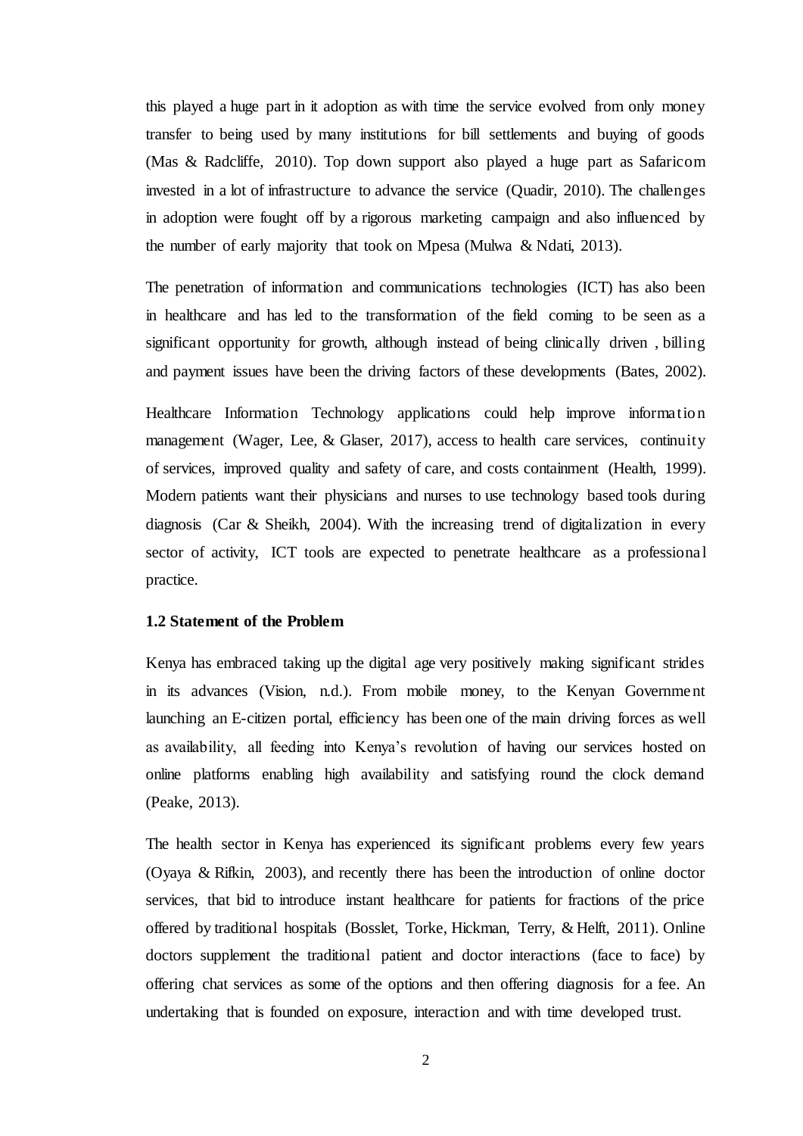this played a huge part in it adoption as with time the service evolved from only money transfer to being used by many institutions for bill settlements and buying of goods (Mas & Radcliffe, 2010). Top down support also played a huge part as Safaricom invested in a lot of infrastructure to advance the service (Quadir, 2010). The challenges in adoption were fought off by a rigorous marketing campaign and also influenced by the number of early majority that took on Mpesa (Mulwa & Ndati, 2013).

The penetration of information and communications technologies (ICT) has also been in healthcare and has led to the transformation of the field coming to be seen as a significant opportunity for growth, although instead of being clinically driven , billing and payment issues have been the driving factors of these developments (Bates, 2002).

Healthcare Information Technology applications could help improve information management (Wager, Lee, & Glaser, 2017), access to health care services, continuity of services, improved quality and safety of care, and costs containment (Health, 1999). Modern patients want their physicians and nurses to use technology based tools during diagnosis (Car & Sheikh, 2004). With the increasing trend of digitalization in every sector of activity, ICT tools are expected to penetrate healthcare as a professional practice.

# <span id="page-10-0"></span>**1.2 Statement of the Problem**

Kenya has embraced taking up the digital age very positively making significant strides in its advances (Vision, n.d.). From mobile money, to the Kenyan Government launching an E-citizen portal, efficiency has been one of the main driving forces as well as availability, all feeding into Kenya's revolution of having our services hosted on online platforms enabling high availability and satisfying round the clock demand (Peake, 2013).

The health sector in Kenya has experienced its significant problems every few years (Oyaya & Rifkin, 2003), and recently there has been the introduction of online doctor services, that bid to introduce instant healthcare for patients for fractions of the price offered by traditional hospitals (Bosslet, Torke, Hickman, Terry, & Helft, 2011). Online doctors supplement the traditional patient and doctor interactions (face to face) by offering chat services as some of the options and then offering diagnosis for a fee. An undertaking that is founded on exposure, interaction and with time developed trust.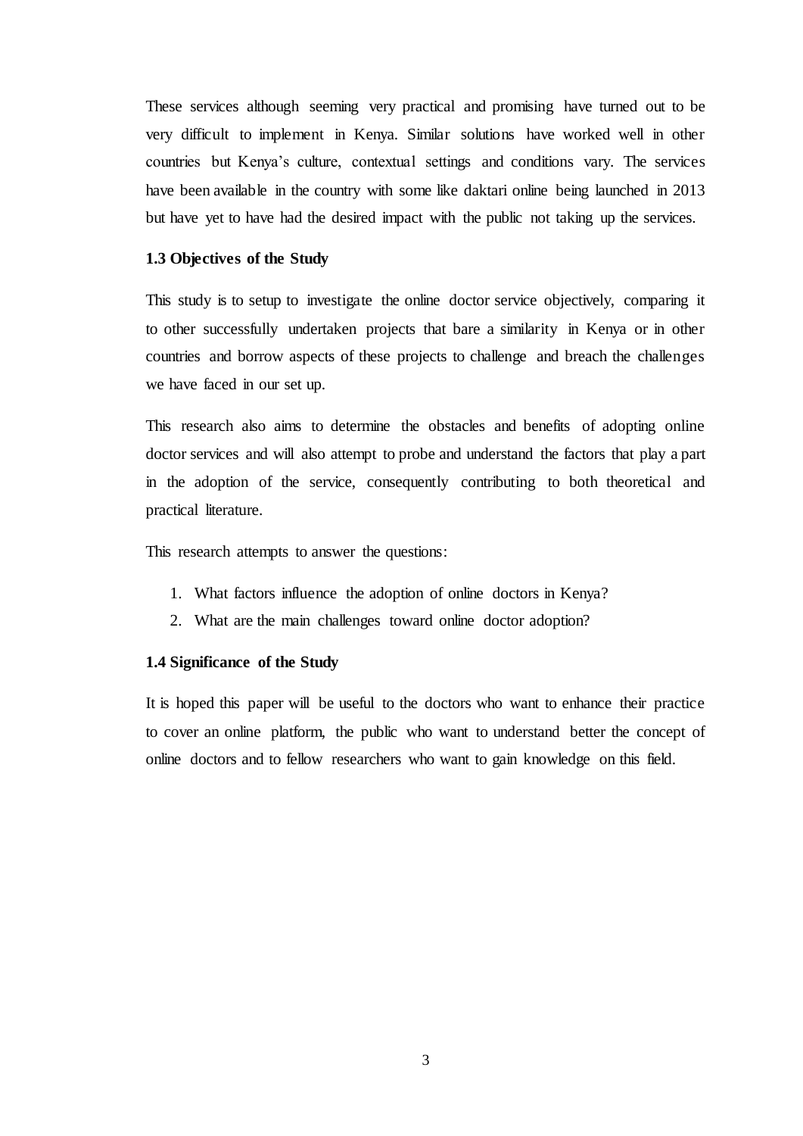These services although seeming very practical and promising have turned out to be very difficult to implement in Kenya. Similar solutions have worked well in other countries but Kenya's culture, contextual settings and conditions vary. The services have been available in the country with some like daktari online being launched in 2013 but have yet to have had the desired impact with the public not taking up the services.

### <span id="page-11-0"></span>**1.3 Objectives of the Study**

This study is to setup to investigate the online doctor service objectively, comparing it to other successfully undertaken projects that bare a similarity in Kenya or in other countries and borrow aspects of these projects to challenge and breach the challenges we have faced in our set up.

This research also aims to determine the obstacles and benefits of adopting online doctor services and will also attempt to probe and understand the factors that play a part in the adoption of the service, consequently contributing to both theoretical and practical literature.

This research attempts to answer the questions:

- 1. What factors influence the adoption of online doctors in Kenya?
- 2. What are the main challenges toward online doctor adoption?

#### <span id="page-11-1"></span>**1.4 Significance of the Study**

It is hoped this paper will be useful to the doctors who want to enhance their practice to cover an online platform, the public who want to understand better the concept of online doctors and to fellow researchers who want to gain knowledge on this field.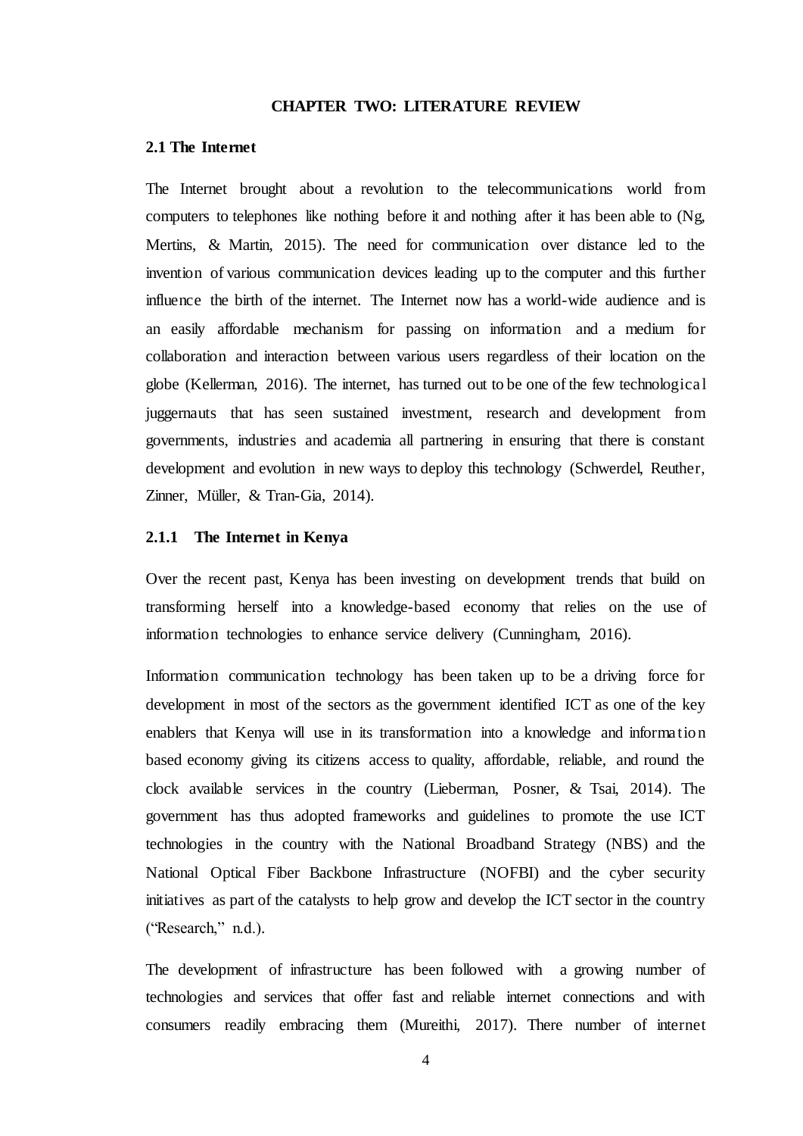#### **CHAPTER TWO: LITERATURE REVIEW**

### <span id="page-12-1"></span><span id="page-12-0"></span>**2.1 The Internet**

The Internet brought about a revolution to the telecommunications world from computers to telephones like nothing before it and nothing after it has been able to (Ng, Mertins, & Martin, 2015). The need for communication over distance led to the invention of various communication devices leading up to the computer and this further influence the birth of the internet. The Internet now has a world-wide audience and is an easily affordable mechanism for passing on information and a medium for collaboration and interaction between various users regardless of their location on the globe (Kellerman, 2016). The internet, has turned out to be one of the few technological juggernauts that has seen sustained investment, research and development from governments, industries and academia all partnering in ensuring that there is constant development and evolution in new ways to deploy this technology (Schwerdel, Reuther, Zinner, Müller, & Tran-Gia, 2014).

#### <span id="page-12-2"></span>**2.1.1 The Internet in Kenya**

Over the recent past, Kenya has been investing on development trends that build on transforming herself into a knowledge-based economy that relies on the use of information technologies to enhance service delivery (Cunningham, 2016).

Information communication technology has been taken up to be a driving force for development in most of the sectors as the government identified ICT as one of the key enablers that Kenya will use in its transformation into a knowledge and information based economy giving its citizens access to quality, affordable, reliable, and round the clock available services in the country (Lieberman, Posner, & Tsai, 2014). The government has thus adopted frameworks and guidelines to promote the use ICT technologies in the country with the National Broadband Strategy (NBS) and the National Optical Fiber Backbone Infrastructure (NOFBI) and the cyber security initiatives as part of the catalysts to help grow and develop the ICT sector in the country ("Research," n.d.).

The development of infrastructure has been followed with a growing number of technologies and services that offer fast and reliable internet connections and with consumers readily embracing them (Mureithi, 2017). There number of internet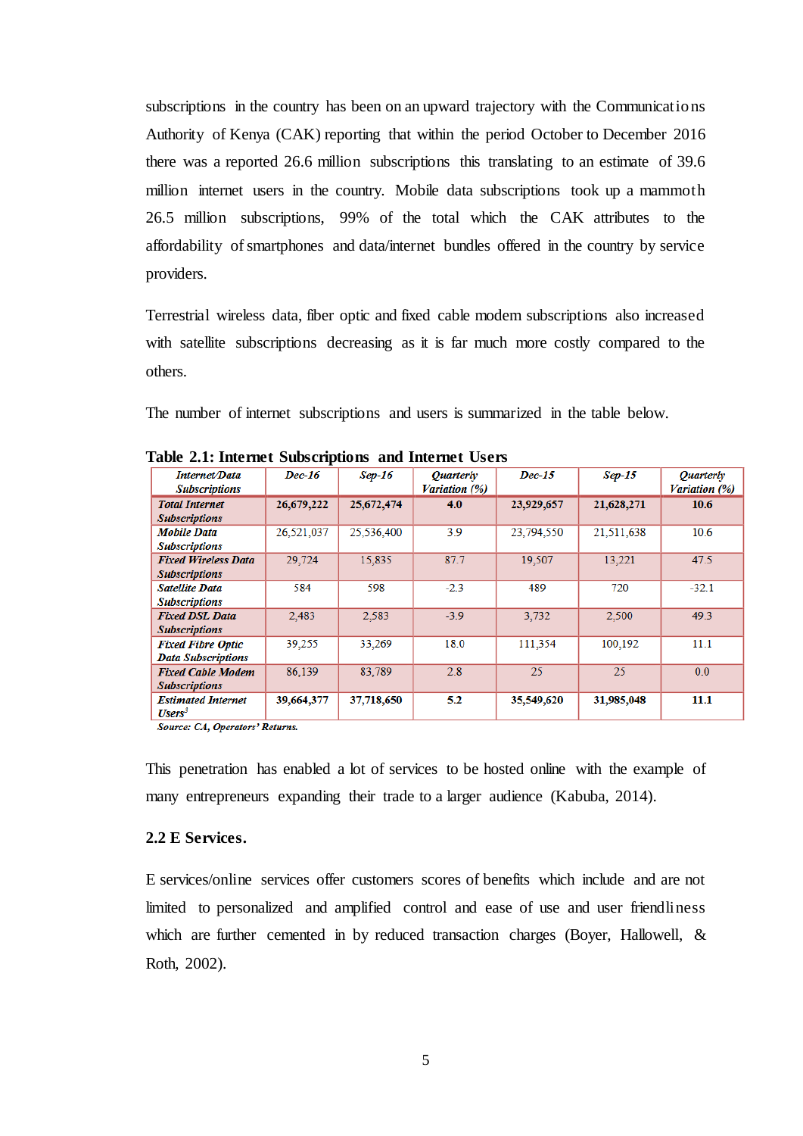subscriptions in the country has been on an upward trajectory with the Communications Authority of Kenya (CAK) reporting that within the period October to December 2016 there was a reported 26.6 million subscriptions this translating to an estimate of 39.6 million internet users in the country. Mobile data subscriptions took up a mammoth 26.5 million subscriptions, 99% of the total which the CAK attributes to the affordability of smartphones and data/internet bundles offered in the country by service providers.

Terrestrial wireless data, fiber optic and fixed cable modem subscriptions also increased with satellite subscriptions decreasing as it is far much more costly compared to the others.

The number of internet subscriptions and users is summarized in the table below.

| <b>Internet/Data</b>                            | Dec-16     | $Sep-16$   | <i><b>Ouarterly</b></i> | Dec-15     | $Sep-15$   | <i><b>Ouarterly</b></i> |
|-------------------------------------------------|------------|------------|-------------------------|------------|------------|-------------------------|
| <b>Subscriptions</b>                            |            |            | Variation (%)           |            |            | Variation (%)           |
| <b>Total Internet</b>                           | 26,679,222 | 25,672,474 | 4.0                     | 23,929,657 | 21,628,271 | 10.6                    |
| <b>Subscriptions</b>                            |            |            |                         |            |            |                         |
| Mobile Data                                     | 26,521,037 | 25,536,400 | 3.9                     | 23,794,550 | 21,511,638 | 10.6                    |
| <b>Subscriptions</b>                            |            |            |                         |            |            |                         |
| <b>Fixed Wireless Data</b>                      | 29.724     | 15.835     | 87.7                    | 19.507     | 13.221     | 47.5                    |
| <b>Subscriptions</b>                            |            |            |                         |            |            |                         |
| <b>Satellite Data</b>                           | 584        | 598        | $-2.3$                  | 489        | 720        | $-32.1$                 |
| <b>Subscriptions</b>                            |            |            |                         |            |            |                         |
| <b>Fixed DSL Data</b>                           | 2,483      | 2,583      | $-3.9$                  | 3.732      | 2.500      | 49.3                    |
| <b>Subscriptions</b>                            |            |            |                         |            |            |                         |
| <b>Fixed Fibre Optic</b>                        | 39,255     | 33,269     | 18.0                    | 111.354    | 100.192    | 11.1                    |
| <b>Data Subscriptions</b>                       |            |            |                         |            |            |                         |
| <b>Fixed Cable Modem</b>                        | 86,139     | 83.789     | 2.8                     | 25         | 25         | 0.0                     |
| <b>Subscriptions</b>                            |            |            |                         |            |            |                         |
| <b>Estimated Internet</b><br>$\mathbf{Users}^3$ | 39,664,377 | 37,718,650 | 5.2                     | 35,549,620 | 31,985,048 | 11.1                    |

<span id="page-13-1"></span>

| Table 2.1: Internet Subscriptions and Internet Users |  |  |  |  |  |
|------------------------------------------------------|--|--|--|--|--|
|------------------------------------------------------|--|--|--|--|--|

Source: CA, Operators' Returns.

This penetration has enabled a lot of services to be hosted online with the example of many entrepreneurs expanding their trade to a larger audience (Kabuba, 2014).

### <span id="page-13-0"></span>**2.2 E Services.**

E services/online services offer customers scores of benefits which include and are not limited to personalized and amplified control and ease of use and user friendliness which are further cemented in by reduced transaction charges (Boyer, Hallowell, & Roth, 2002).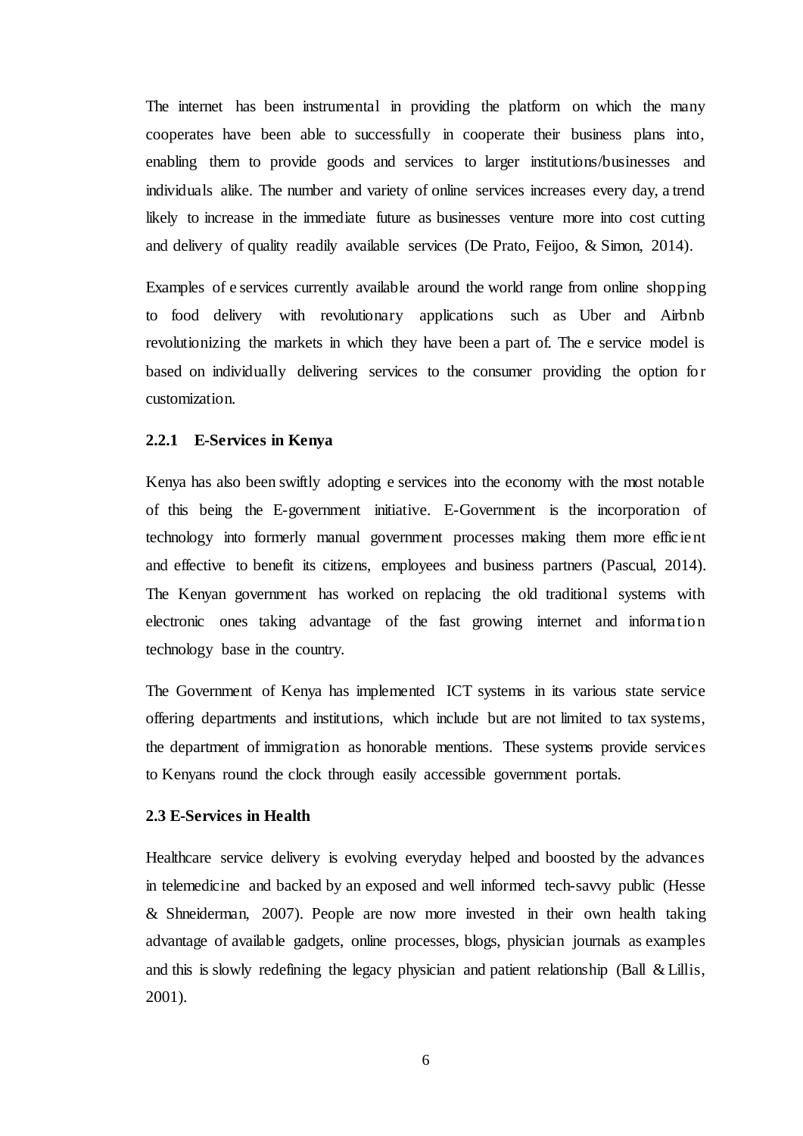The internet has been instrumental in providing the platform on which the many cooperates have been able to successfully in cooperate their business plans into, enabling them to provide goods and services to larger institutions/businesses and individuals alike. The number and variety of online services increases every day, a trend likely to increase in the immediate future as businesses venture more into cost cutting and delivery of quality readily available services (De Prato, Feijoo, & Simon, 2014).

Examples of e services currently available around the world range from online shopping to food delivery with revolutionary applications such as Uber and Airbnb revolutionizing the markets in which they have been a part of. The e service model is based on individually delivering services to the consumer providing the option for customization.

## <span id="page-14-0"></span>**2.2.1 E-Services in Kenya**

Kenya has also been swiftly adopting e services into the economy with the most notable of this being the E-government initiative. E-Government is the incorporation of technology into formerly manual government processes making them more efficient and effective to benefit its citizens, employees and business partners (Pascual, 2014). The Kenyan government has worked on replacing the old traditional systems with electronic ones taking advantage of the fast growing internet and information technology base in the country.

The Government of Kenya has implemented ICT systems in its various state service offering departments and institutions, which include but are not limited to tax systems, the department of immigration as honorable mentions. These systems provide services to Kenyans round the clock through easily accessible government portals.

### <span id="page-14-1"></span>**2.3 E-Services in Health**

Healthcare service delivery is evolving everyday helped and boosted by the advances in telemedicine and backed by an exposed and well informed tech-savvy public (Hesse & Shneiderman, 2007). People are now more invested in their own health taking advantage of available gadgets, online processes, blogs, physician journals as examples and this is slowly redefining the legacy physician and patient relationship (Ball & Lillis, 2001).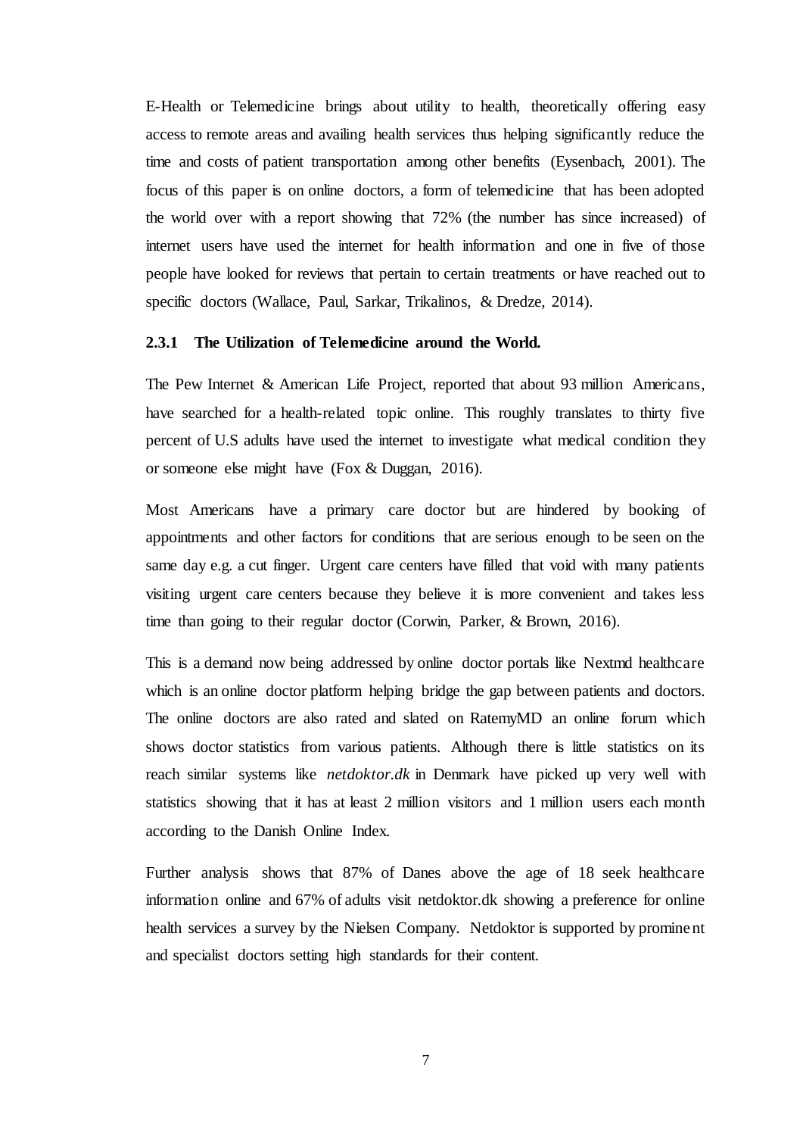E-Health or Telemedicine brings about utility to health, theoretically offering easy access to remote areas and availing health services thus helping significantly reduce the time and costs of patient transportation among other benefits (Eysenbach, 2001). The focus of this paper is on online doctors, a form of telemedicine that has been adopted the world over with a report showing that 72% (the number has since increased) of internet users have used the internet for health information and one in five of those people have looked for reviews that pertain to certain treatments or have reached out to specific doctors (Wallace, Paul, Sarkar, Trikalinos, & Dredze, 2014).

### <span id="page-15-0"></span>**2.3.1 The Utilization of Telemedicine around the World.**

The Pew Internet & American Life Project, reported that about 93 million Americans, have searched for a health-related topic online. This roughly translates to thirty five percent of U.S adults have used the internet to investigate what medical condition they or someone else might have (Fox & Duggan, 2016).

Most Americans have a primary care doctor but are hindered by booking of appointments and other factors for conditions that are serious enough to be seen on the same day e.g. a cut finger. Urgent care centers have filled that void with many patients visiting urgent care centers because they believe it is more convenient and takes less time than going to their regular doctor (Corwin, Parker, & Brown, 2016).

This is a demand now being addressed by online doctor portals like Nextmd healthcare which is an online doctor platform helping bridge the gap between patients and doctors. The online doctors are also rated and slated on RatemyMD an online forum which shows doctor statistics from various patients. Although there is little statistics on its reach similar systems like *netdoktor.dk* in Denmark have picked up very well with statistics showing that it has at least 2 million visitors and 1 million users each month according to the Danish Online Index.

Further analysis shows that 87% of Danes above the age of 18 seek healthcare information online and 67% of adults visit netdoktor.dk showing a preference for online health services a survey by the Nielsen Company. Netdoktor is supported by prominent and specialist doctors setting high standards for their content.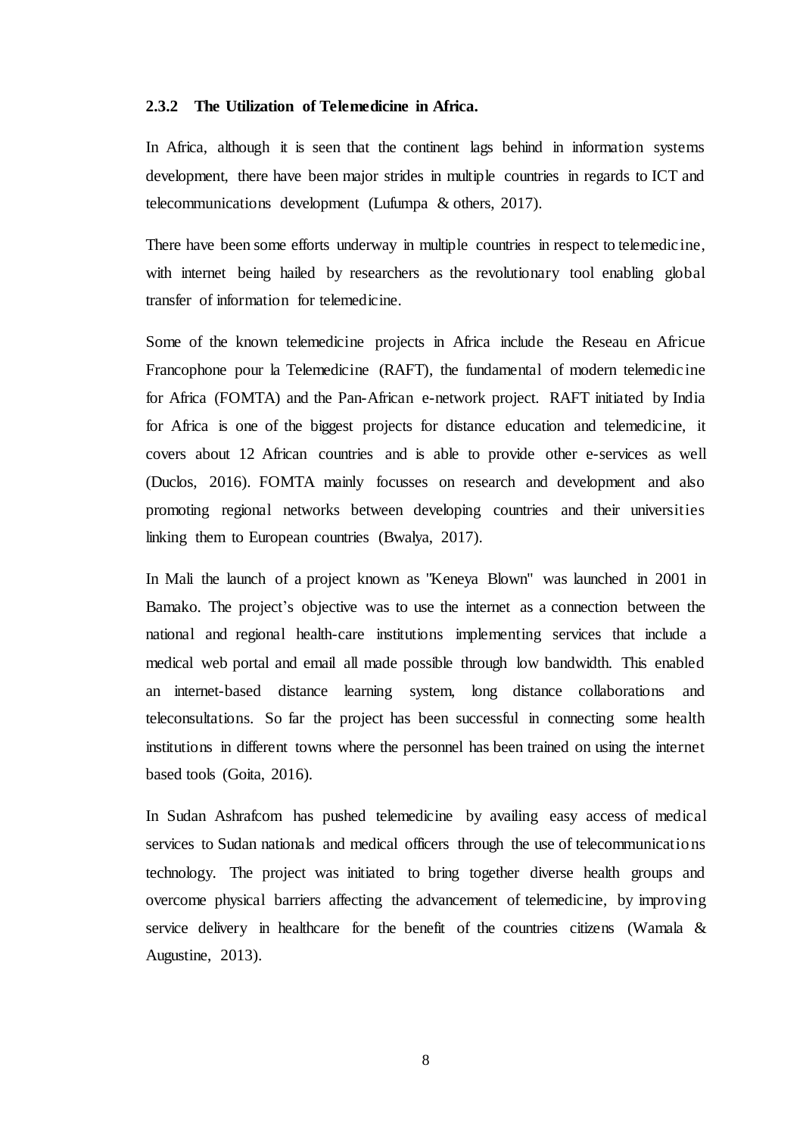### <span id="page-16-0"></span>**2.3.2 The Utilization of Telemedicine in Africa.**

In Africa, although it is seen that the continent lags behind in information systems development, there have been major strides in multiple countries in regards to ICT and telecommunications development (Lufumpa & others, 2017).

There have been some efforts underway in multiple countries in respect to telemedicine, with internet being hailed by researchers as the revolutionary tool enabling global transfer of information for telemedicine.

Some of the known telemedicine projects in Africa include the Reseau en Africue Francophone pour la Telemedicine (RAFT), the fundamental of modern telemedicine for Africa (FOMTA) and the Pan-African e-network project. RAFT initiated by India for Africa is one of the biggest projects for distance education and telemedicine, it covers about 12 African countries and is able to provide other e-services as well (Duclos, 2016). FOMTA mainly focusses on research and development and also promoting regional networks between developing countries and their universities linking them to European countries (Bwalya, 2017).

In Mali the launch of a project known as "Keneya Blown" was launched in 2001 in Bamako. The project's objective was to use the internet as a connection between the national and regional health-care institutions implementing services that include a medical web portal and email all made possible through low bandwidth. This enabled an internet-based distance learning system, long distance collaborations and teleconsultations. So far the project has been successful in connecting some health institutions in different towns where the personnel has been trained on using the internet based tools (Goita, 2016).

In Sudan Ashrafcom has pushed telemedicine by availing easy access of medical services to Sudan nationals and medical officers through the use of telecommunications technology. The project was initiated to bring together diverse health groups and overcome physical barriers affecting the advancement of telemedicine, by improving service delivery in healthcare for the benefit of the countries citizens (Wamala  $\&$ Augustine, 2013).

8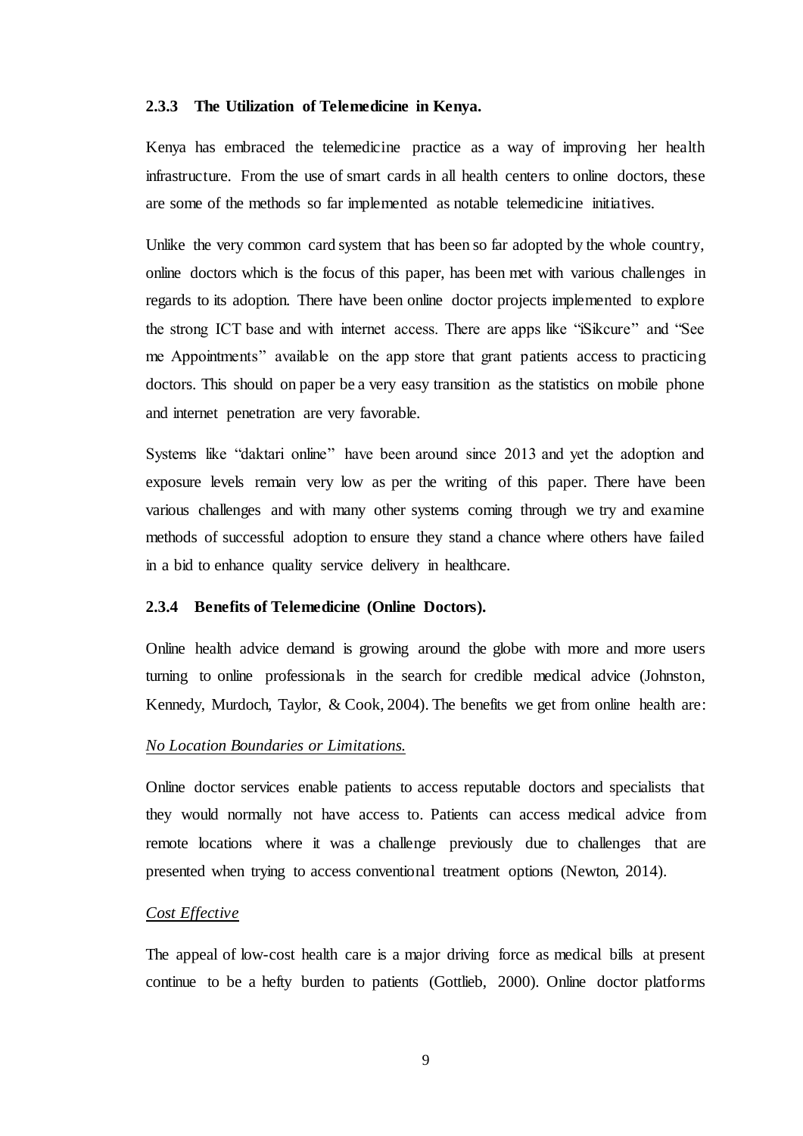#### <span id="page-17-0"></span>**2.3.3 The Utilization of Telemedicine in Kenya.**

Kenya has embraced the telemedicine practice as a way of improving her health infrastructure. From the use of smart cards in all health centers to online doctors, these are some of the methods so far implemented as notable telemedicine initiatives.

Unlike the very common card system that has been so far adopted by the whole country, online doctors which is the focus of this paper, has been met with various challenges in regards to its adoption. There have been online doctor projects implemented to explore the strong ICT base and with internet access. There are apps like "iSikcure" and "See me Appointments" available on the app store that grant patients access to practicing doctors. This should on paper be a very easy transition as the statistics on mobile phone and internet penetration are very favorable.

Systems like "daktari online" have been around since 2013 and yet the adoption and exposure levels remain very low as per the writing of this paper. There have been various challenges and with many other systems coming through we try and examine methods of successful adoption to ensure they stand a chance where others have failed in a bid to enhance quality service delivery in healthcare.

#### <span id="page-17-1"></span>**2.3.4 Benefits of Telemedicine (Online Doctors).**

Online health advice demand is growing around the globe with more and more users turning to online professionals in the search for credible medical advice (Johnston, Kennedy, Murdoch, Taylor, & Cook, 2004). The benefits we get from online health are:

# *No Location Boundaries or Limitations.*

Online doctor services enable patients to access reputable doctors and specialists that they would normally not have access to. Patients can access medical advice from remote locations where it was a challenge previously due to challenges that are presented when trying to access conventional treatment options (Newton, 2014).

# *Cost Effective*

The appeal of low-cost health care is a major driving force as medical bills at present continue to be a hefty burden to patients (Gottlieb, 2000). Online doctor platforms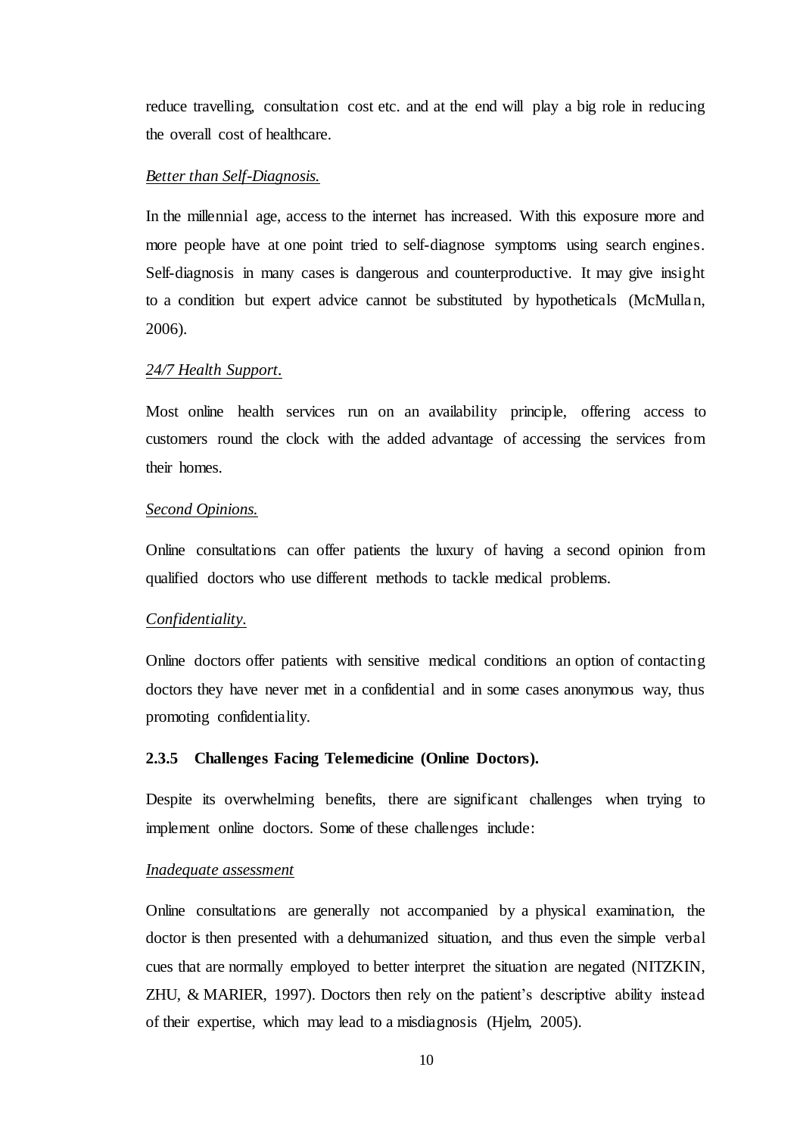reduce travelling, consultation cost etc. and at the end will play a big role in reducing the overall cost of healthcare.

# *Better than Self-Diagnosis.*

In the millennial age, access to the internet has increased. With this exposure more and more people have at one point tried to self-diagnose symptoms using search engines. Self-diagnosis in many cases is dangerous and counterproductive. It may give insight to a condition but expert advice cannot be substituted by hypotheticals (McMullan, 2006).

#### *24/7 Health Support.*

Most online health services run on an availability principle, offering access to customers round the clock with the added advantage of accessing the services from their homes.

# *Second Opinions.*

Online consultations can offer patients the luxury of having a second opinion from qualified doctors who use different methods to tackle medical problems.

#### *Confidentiality.*

Online doctors offer patients with sensitive medical conditions an option of contacting doctors they have never met in a confidential and in some cases anonymous way, thus promoting confidentiality.

### <span id="page-18-0"></span>**2.3.5 Challenges Facing Telemedicine (Online Doctors).**

Despite its overwhelming benefits, there are significant challenges when trying to implement online doctors. Some of these challenges include:

### *Inadequate assessment*

Online consultations are generally not accompanied by a physical examination, the doctor is then presented with a dehumanized situation, and thus even the simple verbal cues that are normally employed to better interpret the situation are negated (NITZKIN, ZHU, & MARIER, 1997). Doctors then rely on the patient's descriptive ability instead of their expertise, which may lead to a misdiagnosis (Hjelm, 2005).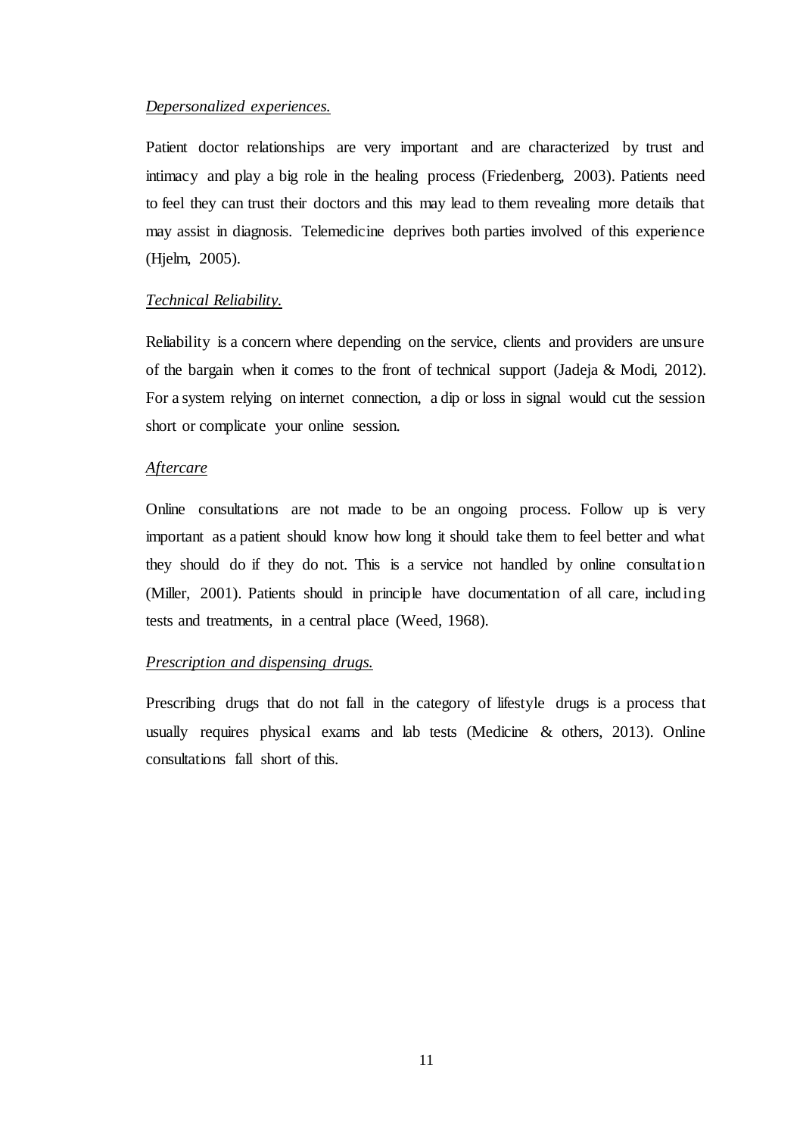## *Depersonalized experiences.*

Patient doctor relationships are very important and are characterized by trust and intimacy and play a big role in the healing process (Friedenberg, 2003). Patients need to feel they can trust their doctors and this may lead to them revealing more details that may assist in diagnosis. Telemedicine deprives both parties involved of this experience (Hjelm, 2005).

# *Technical Reliability.*

Reliability is a concern where depending on the service, clients and providers are unsure of the bargain when it comes to the front of technical support (Jadeja & Modi, 2012). For a system relying on internet connection, a dip or loss in signal would cut the session short or complicate your online session.

# *Aftercare*

Online consultations are not made to be an ongoing process. Follow up is very important as a patient should know how long it should take them to feel better and what they should do if they do not. This is a service not handled by online consultation (Miller, 2001). Patients should in principle have documentation of all care, including tests and treatments, in a central place (Weed, 1968).

# *Prescription and dispensing drugs.*

Prescribing drugs that do not fall in the category of lifestyle drugs is a process that usually requires physical exams and lab tests (Medicine & others, 2013). Online consultations fall short of this.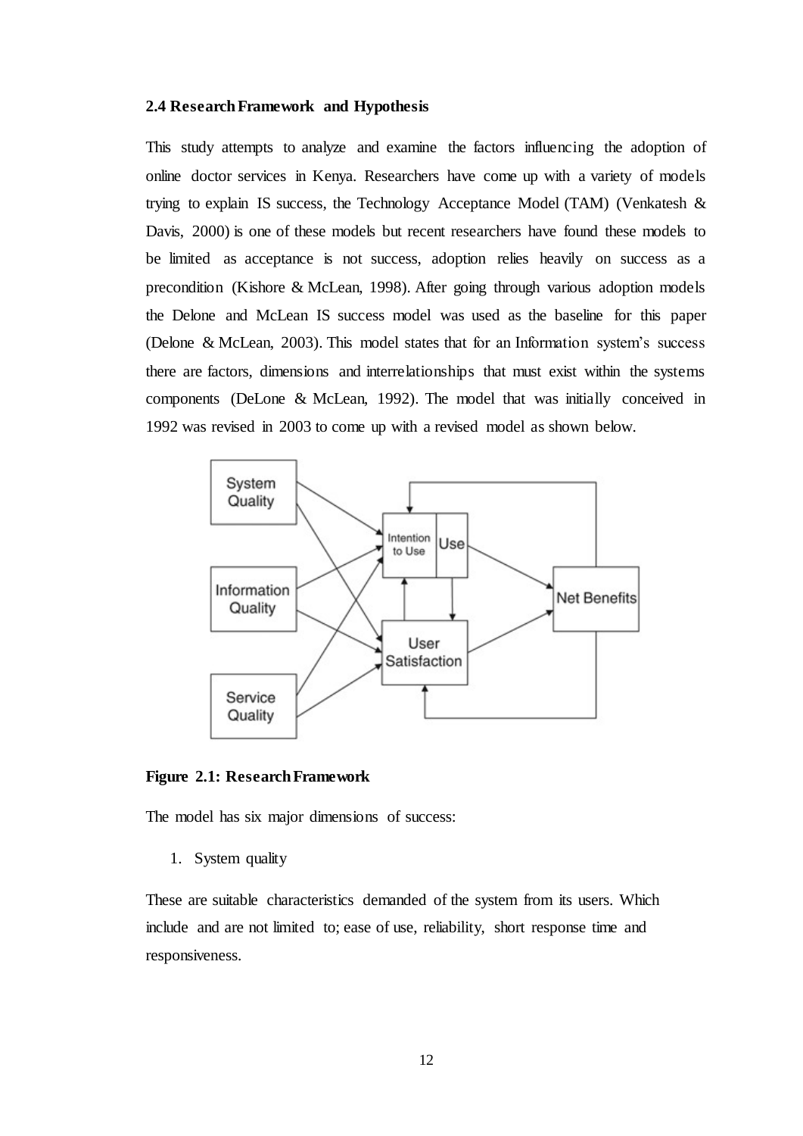#### <span id="page-20-0"></span>**2.4 Research Framework and Hypothesis**

This study attempts to analyze and examine the factors influencing the adoption of online doctor services in Kenya. Researchers have come up with a variety of models trying to explain IS success, the Technology Acceptance Model (TAM) (Venkatesh & Davis, 2000) is one of these models but recent researchers have found these models to be limited as acceptance is not success, adoption relies heavily on success as a precondition (Kishore & McLean, 1998). After going through various adoption models the Delone and McLean IS success model was used as the baseline for this paper (Delone & McLean, 2003). This model states that for an Information system's success there are factors, dimensions and interrelationships that must exist within the systems components (DeLone & McLean, 1992). The model that was initially conceived in 1992 was revised in 2003 to come up with a revised model as shown below.



<span id="page-20-1"></span>**Figure 2.1: Research Framework**

The model has six major dimensions of success:

1. System quality

These are suitable characteristics demanded of the system from its users. Which include and are not limited to; ease of use, reliability, short response time and responsiveness.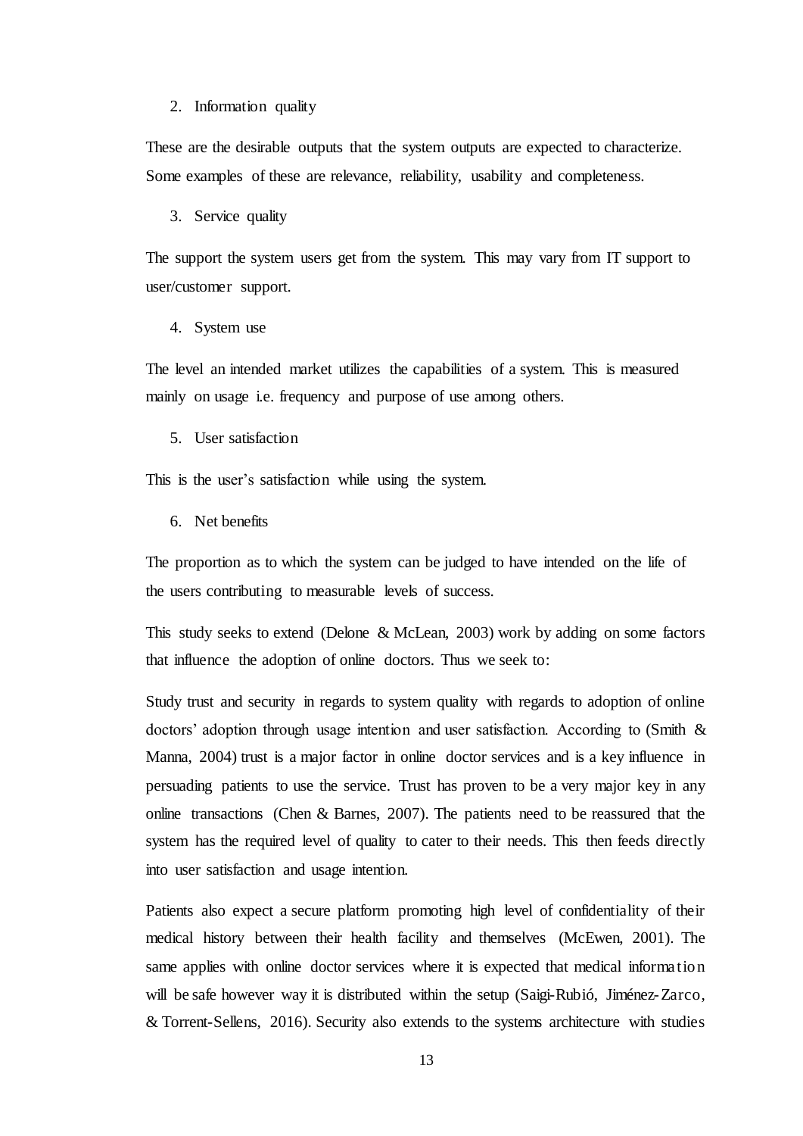#### 2. Information quality

These are the desirable outputs that the system outputs are expected to characterize. Some examples of these are relevance, reliability, usability and completeness.

3. Service quality

The support the system users get from the system. This may vary from IT support to user/customer support.

4. System use

The level an intended market utilizes the capabilities of a system. This is measured mainly on usage i.e. frequency and purpose of use among others.

5. User satisfaction

This is the user's satisfaction while using the system.

6. Net benefits

The proportion as to which the system can be judged to have intended on the life of the users contributing to measurable levels of success.

This study seeks to extend (Delone & McLean, 2003) work by adding on some factors that influence the adoption of online doctors. Thus we seek to:

Study trust and security in regards to system quality with regards to adoption of online doctors' adoption through usage intention and user satisfaction. According to (Smith & Manna, 2004) trust is a major factor in online doctor services and is a key influence in persuading patients to use the service. Trust has proven to be a very major key in any online transactions (Chen & Barnes, 2007). The patients need to be reassured that the system has the required level of quality to cater to their needs. This then feeds directly into user satisfaction and usage intention.

Patients also expect a secure platform promoting high level of confidentiality of their medical history between their health facility and themselves (McEwen, 2001). The same applies with online doctor services where it is expected that medical information will be safe however way it is distributed within the setup (Saigi-Rubió, Jiménez-Zarco, & Torrent-Sellens, 2016). Security also extends to the systems architecture with studies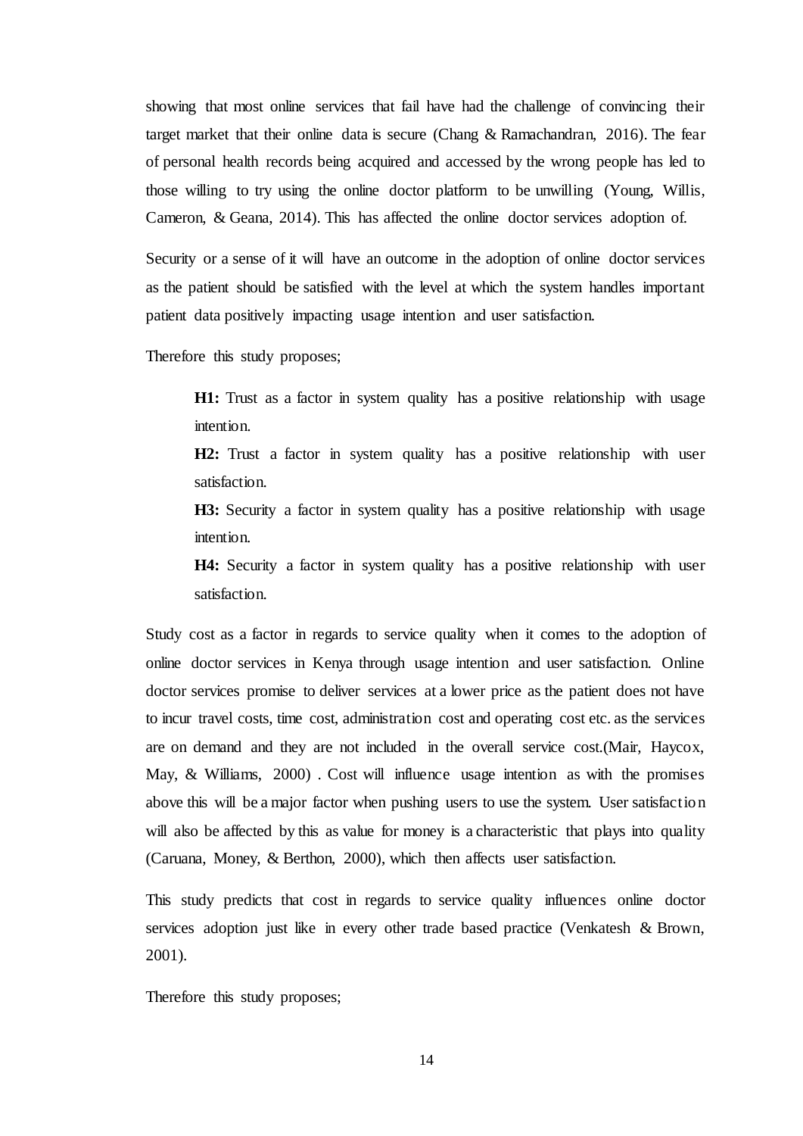showing that most online services that fail have had the challenge of convincing their target market that their online data is secure (Chang & Ramachandran, 2016). The fear of personal health records being acquired and accessed by the wrong people has led to those willing to try using the online doctor platform to be unwilling (Young, Willis, Cameron, & Geana, 2014). This has affected the online doctor services adoption of.

Security or a sense of it will have an outcome in the adoption of online doctor services as the patient should be satisfied with the level at which the system handles important patient data positively impacting usage intention and user satisfaction.

Therefore this study proposes;

**H1:** Trust as a factor in system quality has a positive relationship with usage intention.

**H2:** Trust a factor in system quality has a positive relationship with user satisfaction.

**H3:** Security a factor in system quality has a positive relationship with usage intention.

**H4:** Security a factor in system quality has a positive relationship with user satisfaction.

Study cost as a factor in regards to service quality when it comes to the adoption of online doctor services in Kenya through usage intention and user satisfaction. Online doctor services promise to deliver services at a lower price as the patient does not have to incur travel costs, time cost, administration cost and operating cost etc. as the services are on demand and they are not included in the overall service cost.(Mair, Haycox, May, & Williams, 2000) . Cost will influence usage intention as with the promises above this will be a major factor when pushing users to use the system. User satisfaction will also be affected by this as value for money is a characteristic that plays into quality (Caruana, Money, & Berthon, 2000), which then affects user satisfaction.

This study predicts that cost in regards to service quality influences online doctor services adoption just like in every other trade based practice (Venkatesh & Brown, 2001).

Therefore this study proposes;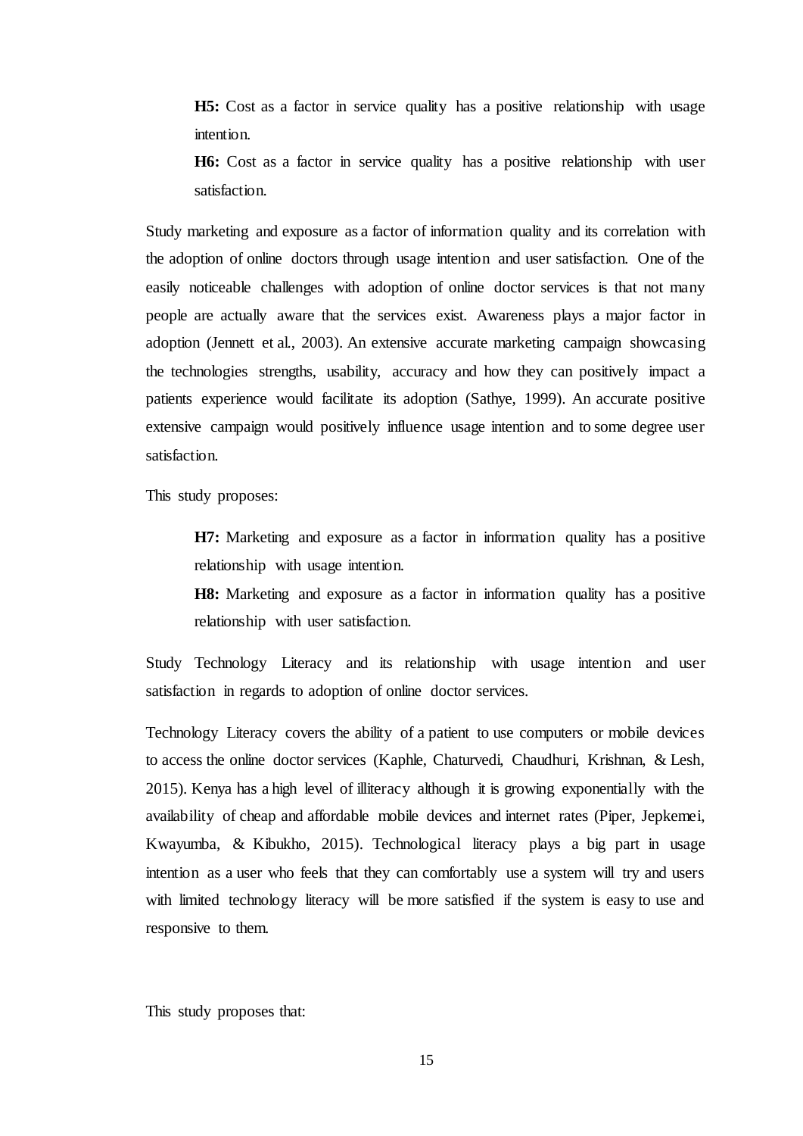**H5:** Cost as a factor in service quality has a positive relationship with usage intention.

**H6:** Cost as a factor in service quality has a positive relationship with user satisfaction.

Study marketing and exposure as a factor of information quality and its correlation with the adoption of online doctors through usage intention and user satisfaction. One of the easily noticeable challenges with adoption of online doctor services is that not many people are actually aware that the services exist. Awareness plays a major factor in adoption (Jennett et al., 2003). An extensive accurate marketing campaign showcasing the technologies strengths, usability, accuracy and how they can positively impact a patients experience would facilitate its adoption (Sathye, 1999). An accurate positive extensive campaign would positively influence usage intention and to some degree user satisfaction.

This study proposes:

**H7:** Marketing and exposure as a factor in information quality has a positive relationship with usage intention.

**H8:** Marketing and exposure as a factor in information quality has a positive relationship with user satisfaction.

Study Technology Literacy and its relationship with usage intention and user satisfaction in regards to adoption of online doctor services.

Technology Literacy covers the ability of a patient to use computers or mobile devices to access the online doctor services (Kaphle, Chaturvedi, Chaudhuri, Krishnan, & Lesh, 2015). Kenya has a high level of illiteracy although it is growing exponentially with the availability of cheap and affordable mobile devices and internet rates (Piper, Jepkemei, Kwayumba, & Kibukho, 2015). Technological literacy plays a big part in usage intention as a user who feels that they can comfortably use a system will try and users with limited technology literacy will be more satisfied if the system is easy to use and responsive to them.

This study proposes that: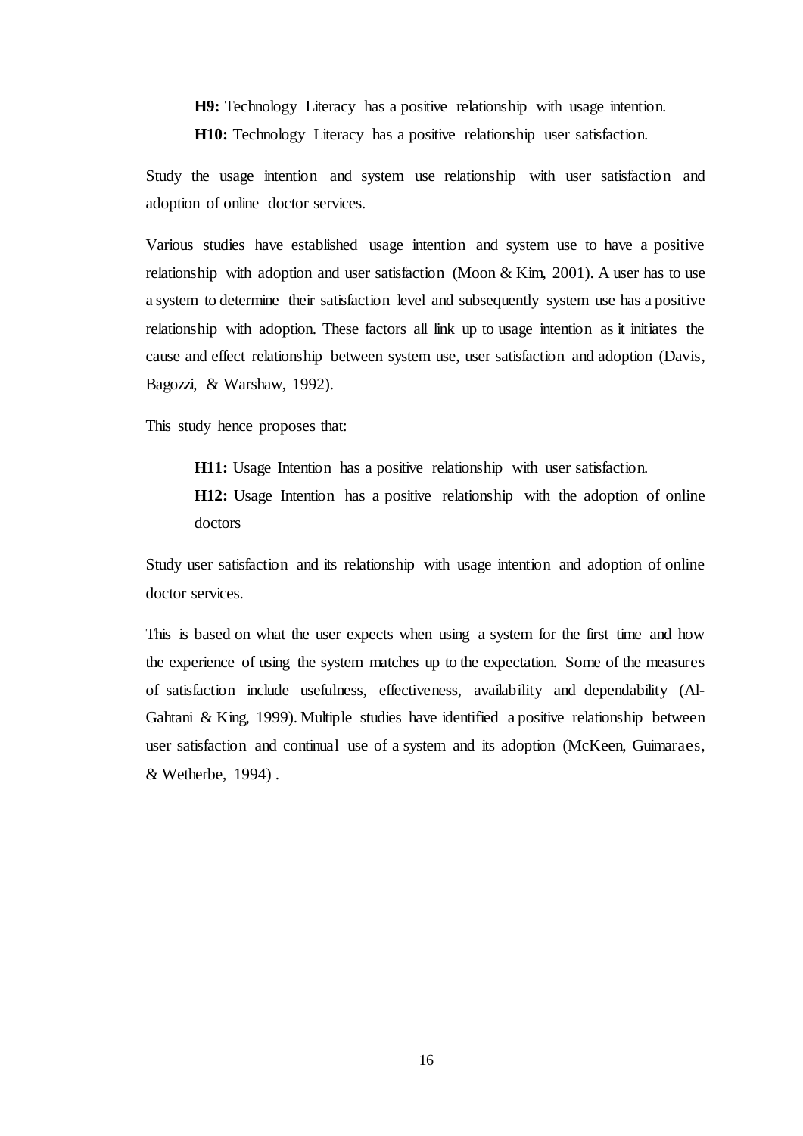**H9:** Technology Literacy has a positive relationship with usage intention. **H10:** Technology Literacy has a positive relationship user satisfaction.

Study the usage intention and system use relationship with user satisfaction and adoption of online doctor services.

Various studies have established usage intention and system use to have a positive relationship with adoption and user satisfaction (Moon & Kim, 2001). A user has to use a system to determine their satisfaction level and subsequently system use has a positive relationship with adoption. These factors all link up to usage intention as it initiates the cause and effect relationship between system use, user satisfaction and adoption (Davis, Bagozzi, & Warshaw, 1992).

This study hence proposes that:

**H11:** Usage Intention has a positive relationship with user satisfaction. **H12:** Usage Intention has a positive relationship with the adoption of online doctors

Study user satisfaction and its relationship with usage intention and adoption of online doctor services.

This is based on what the user expects when using a system for the first time and how the experience of using the system matches up to the expectation. Some of the measures of satisfaction include usefulness, effectiveness, availability and dependability (Al-Gahtani & King, 1999). Multiple studies have identified a positive relationship between user satisfaction and continual use of a system and its adoption (McKeen, Guimaraes, & Wetherbe, 1994) .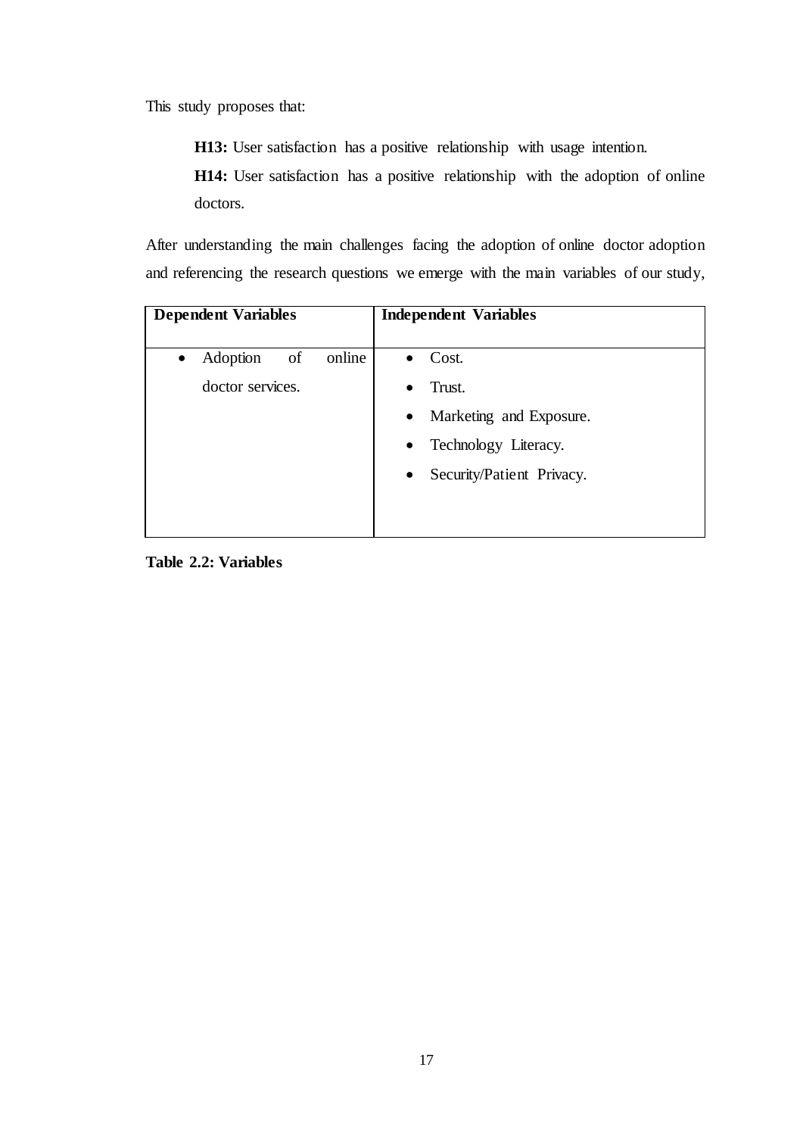This study proposes that:

**H13:** User satisfaction has a positive relationship with usage intention.

**H14:** User satisfaction has a positive relationship with the adoption of online doctors.

After understanding the main challenges facing the adoption of online doctor adoption and referencing the research questions we emerge with the main variables of our study,

| <b>Dependent Variables</b>            | <b>Independent Variables</b>           |
|---------------------------------------|----------------------------------------|
| online<br>Adoption<br>of<br>$\bullet$ | Cost.<br>$\bullet$                     |
| doctor services.                      | Trust.<br>$\bullet$                    |
|                                       | Marketing and Exposure.<br>$\bullet$   |
|                                       | Technology Literacy.<br>$\bullet$      |
|                                       | Security/Patient Privacy.<br>$\bullet$ |
|                                       |                                        |
|                                       |                                        |

<span id="page-25-0"></span>**Table 2.2: Variables**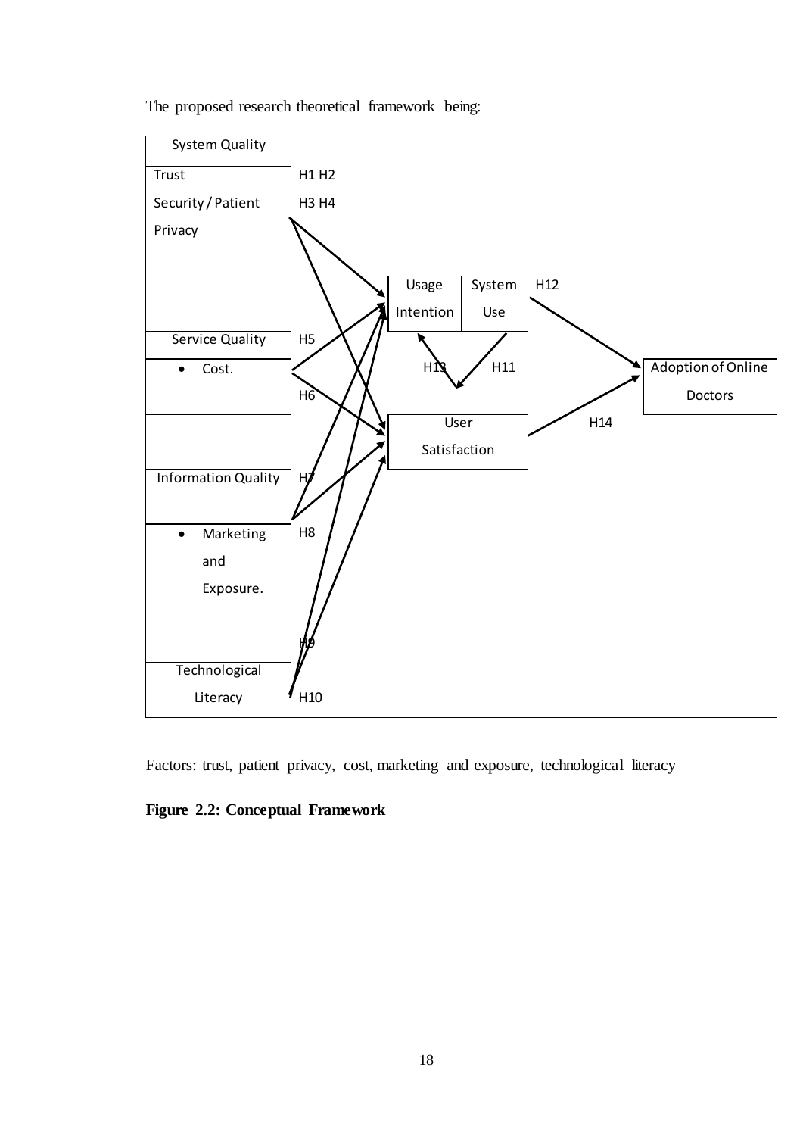The proposed research theoretical framework being:



Factors: trust, patient privacy, cost, marketing and exposure, technological literacy

# <span id="page-26-0"></span>**Figure 2.2: Conceptual Framework**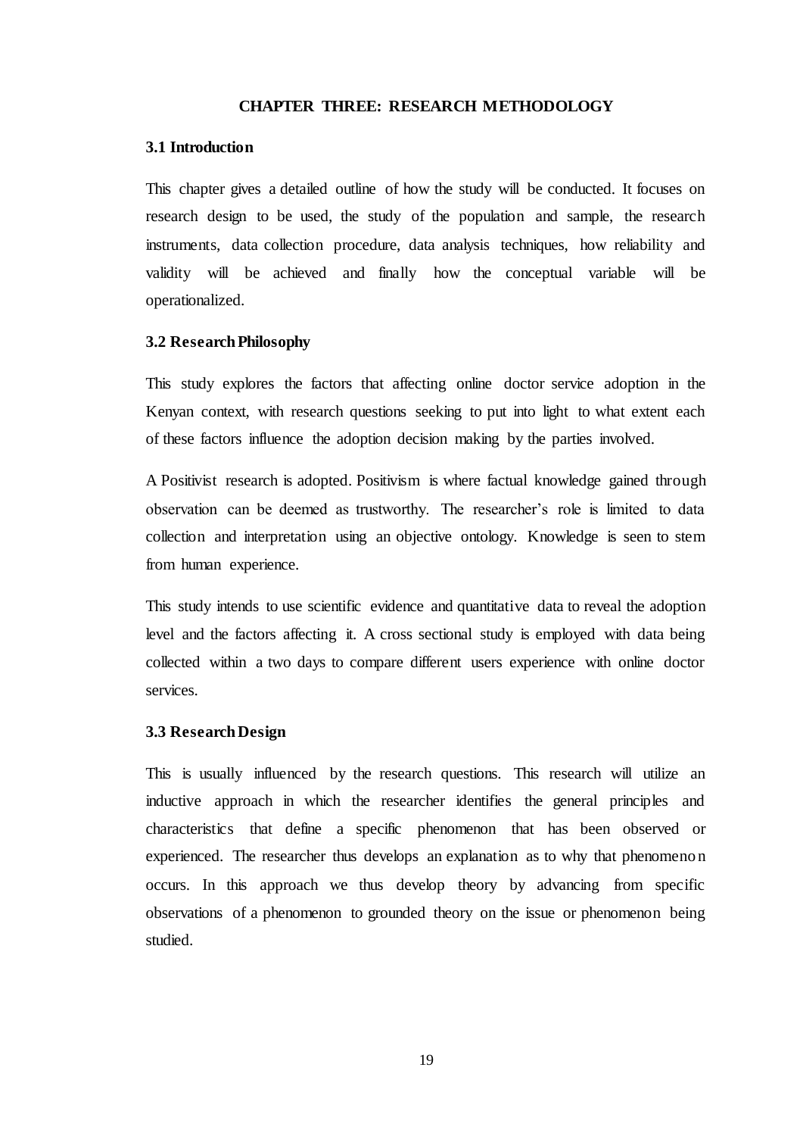#### **CHAPTER THREE: RESEARCH METHODOLOGY**

### <span id="page-27-1"></span><span id="page-27-0"></span>**3.1 Introduction**

This chapter gives a detailed outline of how the study will be conducted. It focuses on research design to be used, the study of the population and sample, the research instruments, data collection procedure, data analysis techniques, how reliability and validity will be achieved and finally how the conceptual variable will be operationalized.

### <span id="page-27-2"></span>**3.2 Research Philosophy**

This study explores the factors that affecting online doctor service adoption in the Kenyan context, with research questions seeking to put into light to what extent each of these factors influence the adoption decision making by the parties involved.

A Positivist research is adopted. Positivism is where factual knowledge gained through observation can be deemed as trustworthy. The researcher's role is limited to data collection and interpretation using an objective ontology. Knowledge is seen to stem from human experience.

This study intends to use scientific evidence and quantitative data to reveal the adoption level and the factors affecting it. A cross sectional study is employed with data being collected within a two days to compare different users experience with online doctor services.

## <span id="page-27-3"></span>**3.3 Research Design**

This is usually influenced by the research questions. This research will utilize an inductive approach in which the researcher identifies the general principles and characteristics that define a specific phenomenon that has been observed or experienced. The researcher thus develops an explanation as to why that phenomenon occurs. In this approach we thus develop theory by advancing from specific observations of a phenomenon to grounded theory on the issue or phenomenon being studied.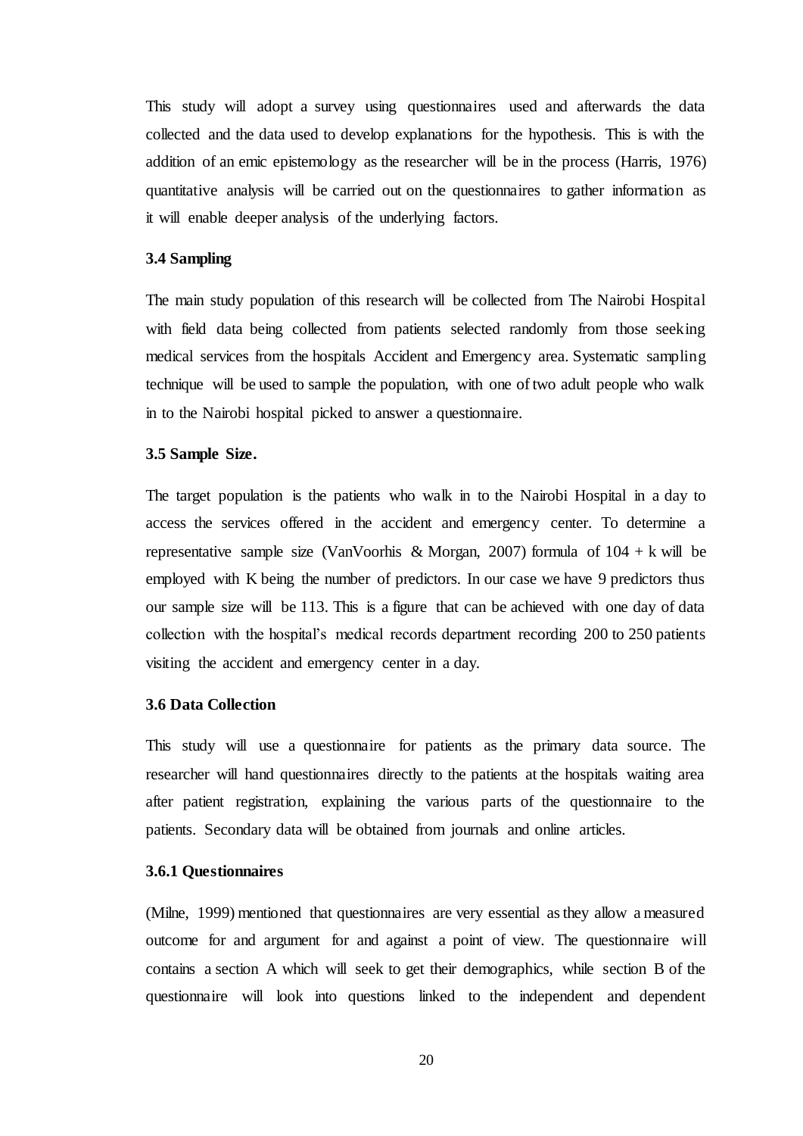This study will adopt a survey using questionnaires used and afterwards the data collected and the data used to develop explanations for the hypothesis. This is with the addition of an emic epistemology as the researcher will be in the process (Harris, 1976) quantitative analysis will be carried out on the questionnaires to gather information as it will enable deeper analysis of the underlying factors.

### <span id="page-28-0"></span>**3.4 Sampling**

The main study population of this research will be collected from The Nairobi Hospital with field data being collected from patients selected randomly from those seeking medical services from the hospitals Accident and Emergency area. Systematic sampling technique will be used to sample the population, with one of two adult people who walk in to the Nairobi hospital picked to answer a questionnaire.

#### <span id="page-28-1"></span>**3.5 Sample Size.**

The target population is the patients who walk in to the Nairobi Hospital in a day to access the services offered in the accident and emergency center. To determine a representative sample size (VanVoorhis & Morgan, 2007) formula of  $104 + k$  will be employed with K being the number of predictors. In our case we have 9 predictors thus our sample size will be 113. This is a figure that can be achieved with one day of data collection with the hospital's medical records department recording 200 to 250 patients visiting the accident and emergency center in a day.

#### <span id="page-28-2"></span>**3.6 Data Collection**

This study will use a questionnaire for patients as the primary data source. The researcher will hand questionnaires directly to the patients at the hospitals waiting area after patient registration, explaining the various parts of the questionnaire to the patients. Secondary data will be obtained from journals and online articles.

#### <span id="page-28-3"></span>**3.6.1 Questionnaires**

(Milne, 1999) mentioned that questionnaires are very essential as they allow a measured outcome for and argument for and against a point of view. The questionnaire will contains a section A which will seek to get their demographics, while section B of the questionnaire will look into questions linked to the independent and dependent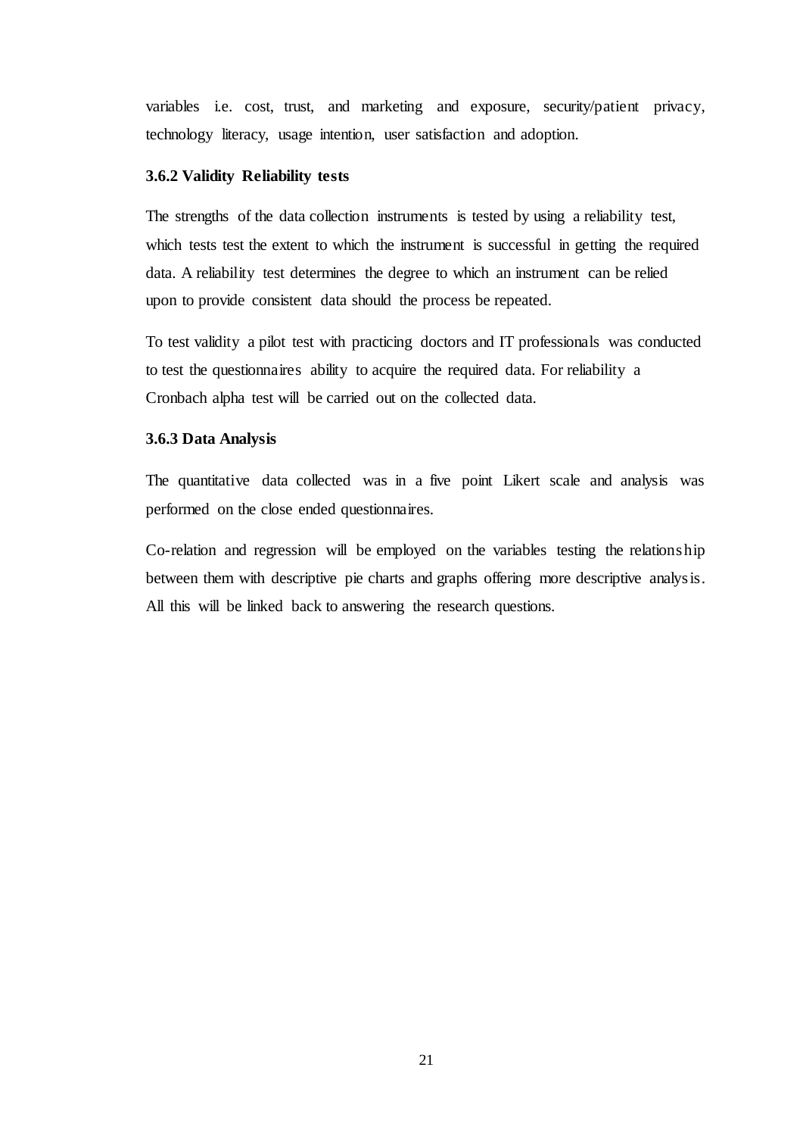variables i.e. cost, trust, and marketing and exposure, security/patient privacy, technology literacy, usage intention, user satisfaction and adoption.

### <span id="page-29-0"></span>**3.6.2 Validity Reliability tests**

The strengths of the data collection instruments is tested by using a reliability test, which tests test the extent to which the instrument is successful in getting the required data. A reliability test determines the degree to which an instrument can be relied upon to provide consistent data should the process be repeated.

To test validity a pilot test with practicing doctors and IT professionals was conducted to test the questionnaires ability to acquire the required data. For reliability a Cronbach alpha test will be carried out on the collected data.

# <span id="page-29-1"></span>**3.6.3 Data Analysis**

The quantitative data collected was in a five point Likert scale and analysis was performed on the close ended questionnaires.

Co-relation and regression will be employed on the variables testing the relationship between them with descriptive pie charts and graphs offering more descriptive analysis. All this will be linked back to answering the research questions.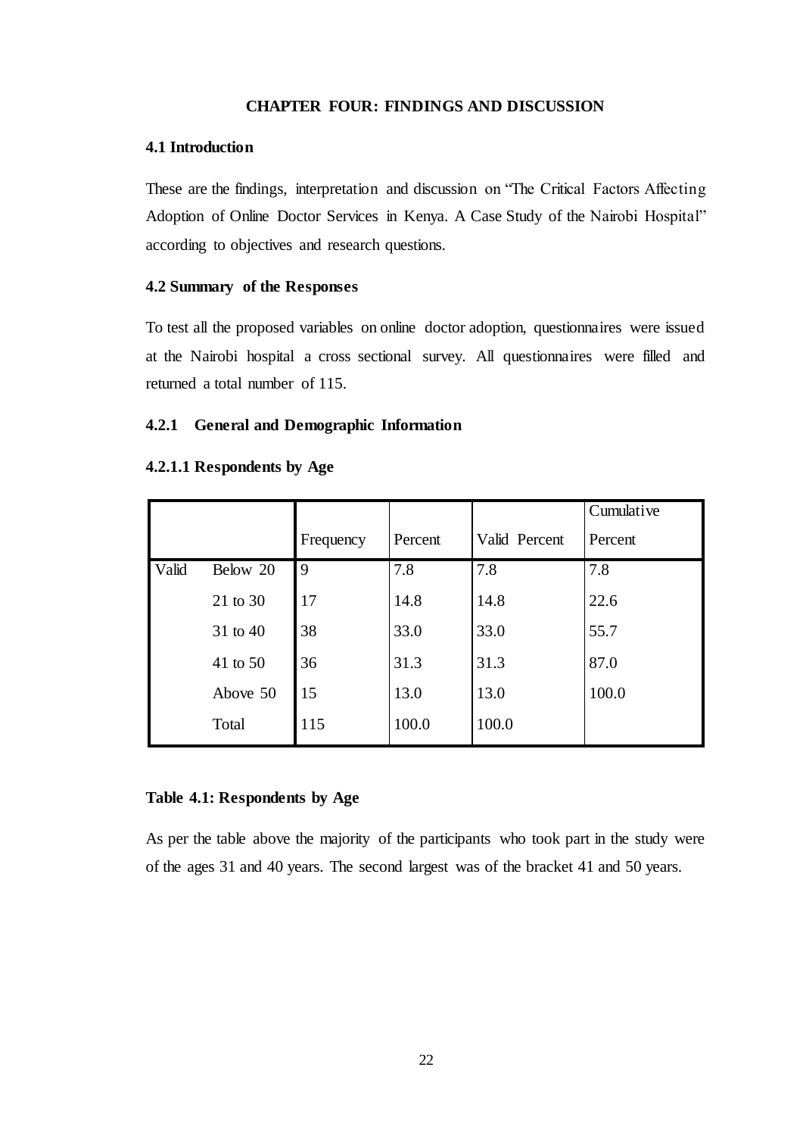# **CHAPTER FOUR: FINDINGS AND DISCUSSION**

#### <span id="page-30-1"></span><span id="page-30-0"></span>**4.1 Introduction**

These are the findings, interpretation and discussion on "The Critical Factors Affecting Adoption of Online Doctor Services in Kenya. A Case Study of the Nairobi Hospital" according to objectives and research questions.

### <span id="page-30-2"></span>**4.2 Summary of the Responses**

To test all the proposed variables on online doctor adoption, questionnaires were issued at the Nairobi hospital a cross sectional survey. All questionnaires were filled and returned a total number of 115.

### <span id="page-30-3"></span>**4.2.1 General and Demographic Information**

### **4.2.1.1 Respondents by Age**

|       |          |           |         |               | Cumulative |
|-------|----------|-----------|---------|---------------|------------|
|       |          | Frequency | Percent | Valid Percent | Percent    |
| Valid | Below 20 | 9         | 7.8     | 7.8           | 7.8        |
|       | 21 to 30 | 17        | 14.8    | 14.8          | 22.6       |
|       | 31 to 40 | 38        | 33.0    | 33.0          | 55.7       |
|       | 41 to 50 | 36        | 31.3    | 31.3          | 87.0       |
|       | Above 50 | 15        | 13.0    | 13.0          | 100.0      |
|       | Total    | 115       | 100.0   | 100.0         |            |

### <span id="page-30-4"></span>**Table 4.1: Respondents by Age**

As per the table above the majority of the participants who took part in the study were of the ages 31 and 40 years. The second largest was of the bracket 41 and 50 years.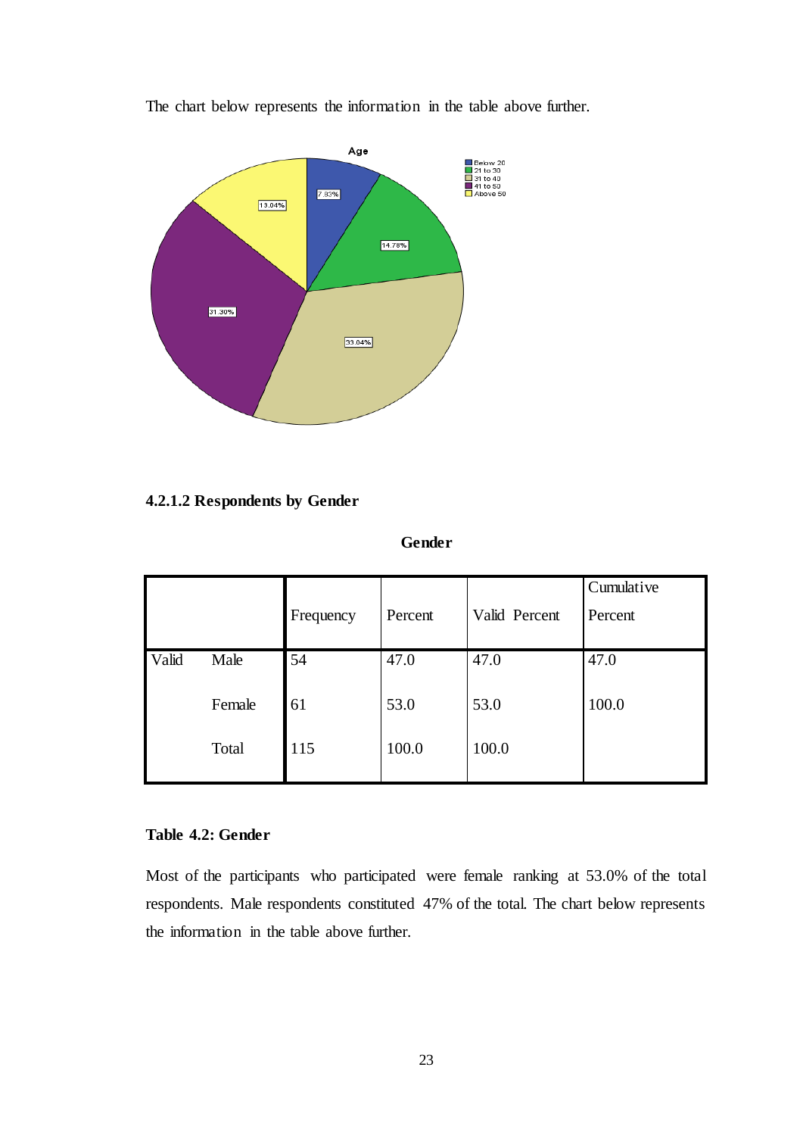

The chart below represents the information in the table above further.

# **4.2.1.2 Respondents by Gender**

**Gender**

|       |        | Frequency | Percent | Valid Percent | Cumulative<br>Percent |
|-------|--------|-----------|---------|---------------|-----------------------|
| Valid | Male   | 54        | 47.0    | 47.0          | 47.0                  |
|       | Female | 61        | 53.0    | 53.0          | 100.0                 |
|       | Total  | 115       | 100.0   | 100.0         |                       |

# <span id="page-31-0"></span>**Table 4.2: Gender**

Most of the participants who participated were female ranking at 53.0% of the total respondents. Male respondents constituted 47% of the total. The chart below represents the information in the table above further.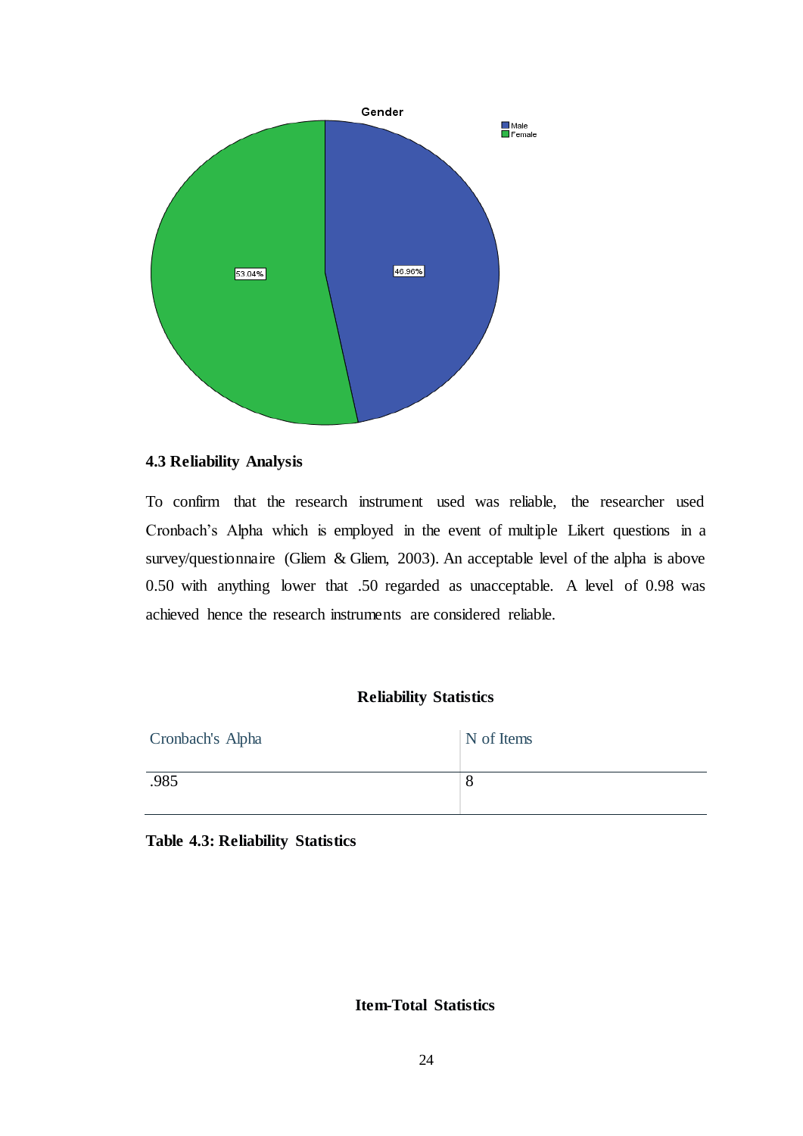

# <span id="page-32-0"></span>**4.3 Reliability Analysis**

To confirm that the research instrument used was reliable, the researcher used Cronbach's Alpha which is employed in the event of multiple Likert questions in a survey/questionnaire (Gliem & Gliem, 2003). An acceptable level of the alpha is above 0.50 with anything lower that .50 regarded as unacceptable. A level of 0.98 was achieved hence the research instruments are considered reliable.

## **Reliability Statistics**

| Cronbach's Alpha | N of Items |
|------------------|------------|
| .985             | O          |

<span id="page-32-1"></span>**Table 4.3: Reliability Statistics**

# **Item-Total Statistics**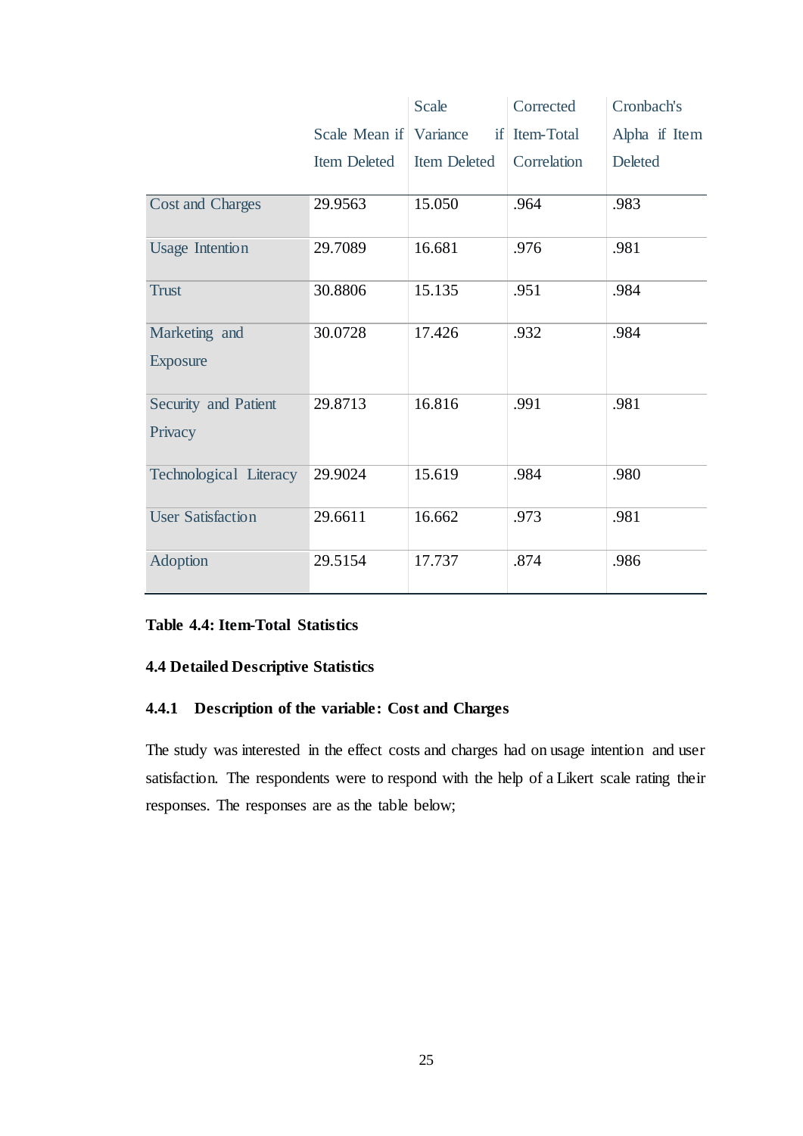|                          |                        | Scale               | Corrected     | Cronbach's    |
|--------------------------|------------------------|---------------------|---------------|---------------|
|                          | Scale Mean if Variance |                     | if Item-Total | Alpha if Item |
|                          | <b>Item Deleted</b>    | <b>Item Deleted</b> | Correlation   | Deleted       |
|                          |                        |                     |               |               |
| <b>Cost and Charges</b>  | 29.9563                | 15.050              | .964          | .983          |
| <b>Usage Intention</b>   | 29.7089                | 16.681              | .976          | .981          |
| <b>Trust</b>             | 30.8806                | 15.135              | .951          | .984          |
| Marketing and            | 30.0728                | 17.426              | .932          | .984          |
| <b>Exposure</b>          |                        |                     |               |               |
| Security and Patient     | 29.8713                | 16.816              | .991          | .981          |
| Privacy                  |                        |                     |               |               |
| Technological Literacy   | 29.9024                | 15.619              | .984          | .980          |
| <b>User Satisfaction</b> | 29.6611                | 16.662              | .973          | .981          |
| Adoption                 | 29.5154                | 17.737              | .874          | .986          |

# <span id="page-33-2"></span>**Table 4.4: Item-Total Statistics**

# <span id="page-33-0"></span>**4.4 Detailed Descriptive Statistics**

# <span id="page-33-1"></span>**4.4.1 Description of the variable: Cost and Charges**

The study was interested in the effect costs and charges had on usage intention and user satisfaction. The respondents were to respond with the help of a Likert scale rating their responses. The responses are as the table below;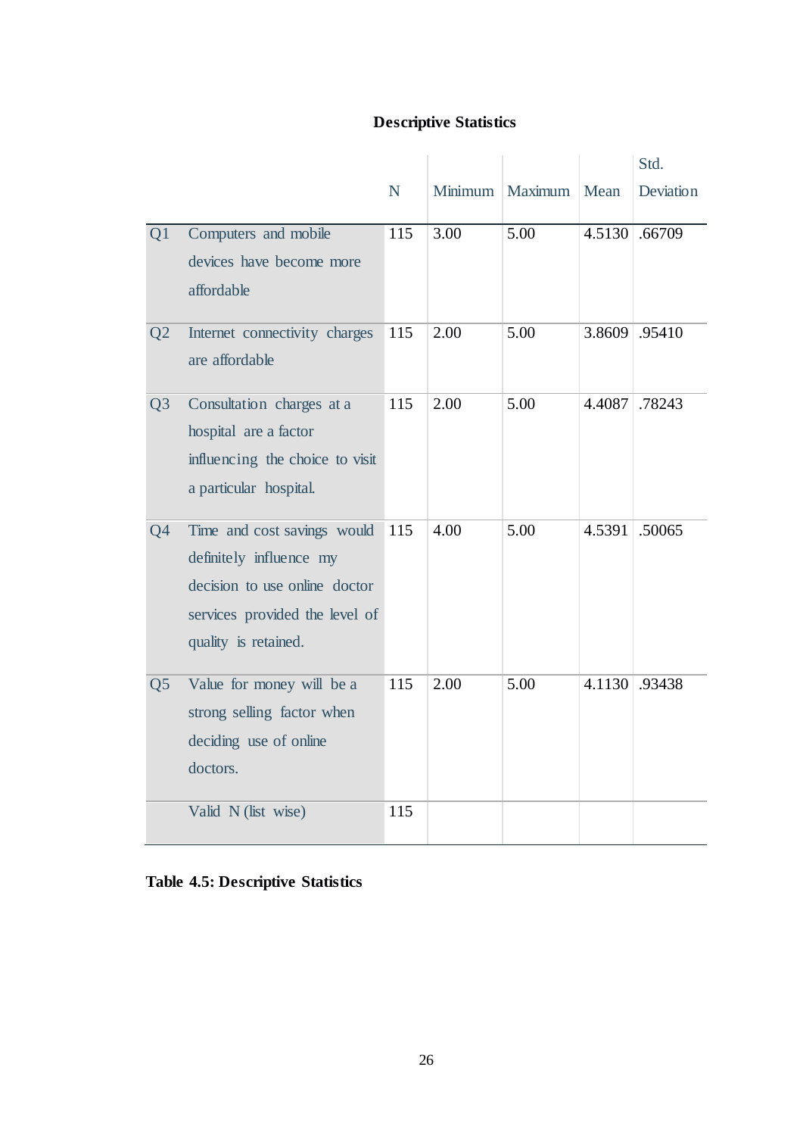# **Descriptive Statistics**

|                |                                                                                                                                                   |           |         |         |        | Std.      |
|----------------|---------------------------------------------------------------------------------------------------------------------------------------------------|-----------|---------|---------|--------|-----------|
|                |                                                                                                                                                   | ${\bf N}$ | Minimum | Maximum | Mean   | Deviation |
| Q1             | Computers and mobile<br>devices have become more<br>affordable                                                                                    | 115       | 3.00    | 5.00    | 4.5130 | .66709    |
| Q <sub>2</sub> | Internet connectivity charges<br>are affordable                                                                                                   | 115       | 2.00    | 5.00    | 3.8609 | .95410    |
| Q <sub>3</sub> | Consultation charges at a<br>hospital are a factor<br>influencing the choice to visit<br>a particular hospital.                                   | 115       | 2.00    | 5.00    | 4.4087 | .78243    |
| Q <sub>4</sub> | Time and cost savings would<br>definitely influence my<br>decision to use online doctor<br>services provided the level of<br>quality is retained. | 115       | 4.00    | 5.00    | 4.5391 | .50065    |
| Q <sub>5</sub> | Value for money will be a<br>strong selling factor when<br>deciding use of online<br>doctors.                                                     | 115       | 2.00    | 5.00    | 4.1130 | .93438    |
|                | Valid N (list wise)                                                                                                                               | 115       |         |         |        |           |

<span id="page-34-0"></span>

|  |  |  | <b>Table 4.5: Descriptive Statistics</b> |
|--|--|--|------------------------------------------|
|--|--|--|------------------------------------------|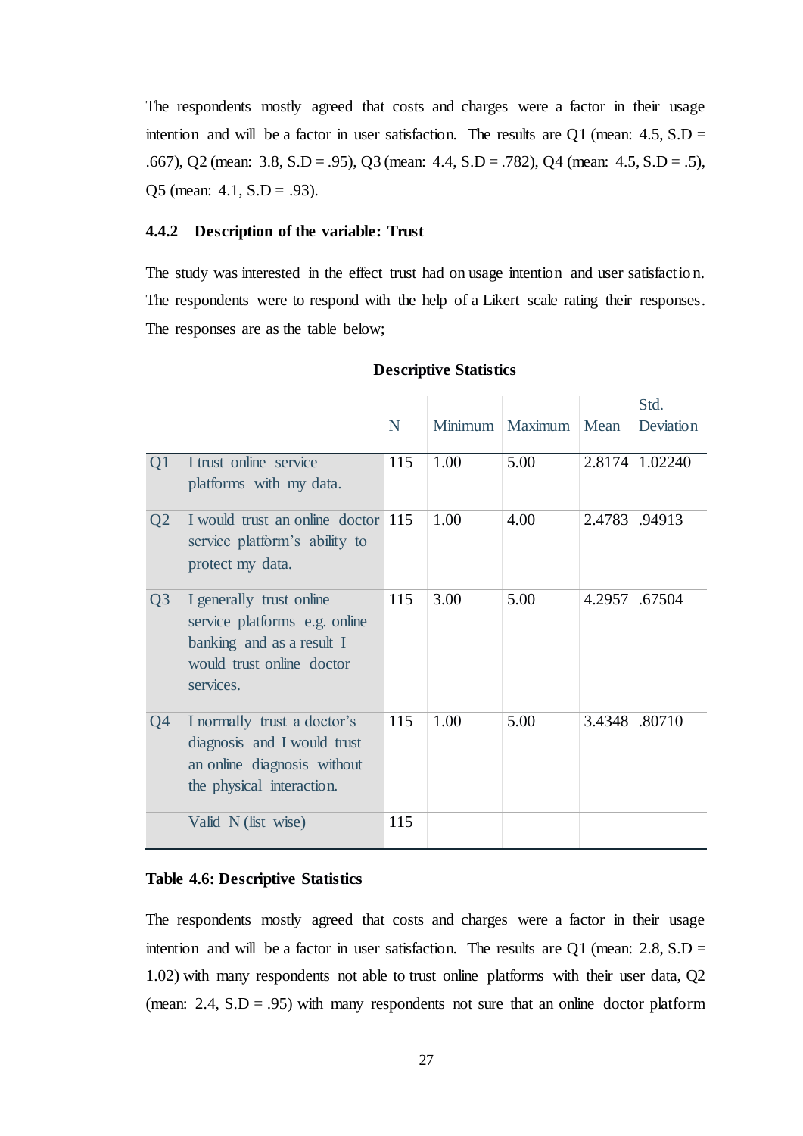The respondents mostly agreed that costs and charges were a factor in their usage intention and will be a factor in user satisfaction. The results are Q1 (mean:  $4.5$ , S.D = .667), Q2 (mean: 3.8, S.D = .95), Q3 (mean: 4.4, S.D = .782), Q4 (mean: 4.5, S.D = .5), Q5 (mean:  $4.1$ ,  $S.D = .93$ ).

### <span id="page-35-0"></span>**4.4.2 Description of the variable: Trust**

The study was interested in the effect trust had on usage intention and user satisfaction. The respondents were to respond with the help of a Likert scale rating their responses. The responses are as the table below;

|                |                                                                                                                                  | N   |      | Minimum   Maximum   Mean |        | Std.<br>Deviation |
|----------------|----------------------------------------------------------------------------------------------------------------------------------|-----|------|--------------------------|--------|-------------------|
| Q1             | I trust online service<br>platforms with my data.                                                                                | 115 | 1.00 | 5.00                     | 2.8174 | 1.02240           |
| Q <sub>2</sub> | I would trust an online doctor 115<br>service platform's ability to<br>protect my data.                                          |     | 1.00 | 4.00                     | 2.4783 | .94913            |
| Q <sub>3</sub> | I generally trust online<br>service platforms e.g. online<br>banking and as a result I<br>would trust online doctor<br>services. | 115 | 3.00 | 5.00                     | 4.2957 | .67504            |
| Q4             | I normally trust a doctor's<br>diagnosis and I would trust<br>an online diagnosis without<br>the physical interaction.           | 115 | 1.00 | 5.00                     | 3.4348 | .80710            |
|                | Valid N (list wise)                                                                                                              | 115 |      |                          |        |                   |

#### **Descriptive Statistics**

### <span id="page-35-1"></span>**Table 4.6: Descriptive Statistics**

The respondents mostly agreed that costs and charges were a factor in their usage intention and will be a factor in user satisfaction. The results are Q1 (mean: 2.8,  $S.D =$ 1.02) with many respondents not able to trust online platforms with their user data, Q2 (mean:  $2.4$ ,  $S.D = .95$ ) with many respondents not sure that an online doctor platform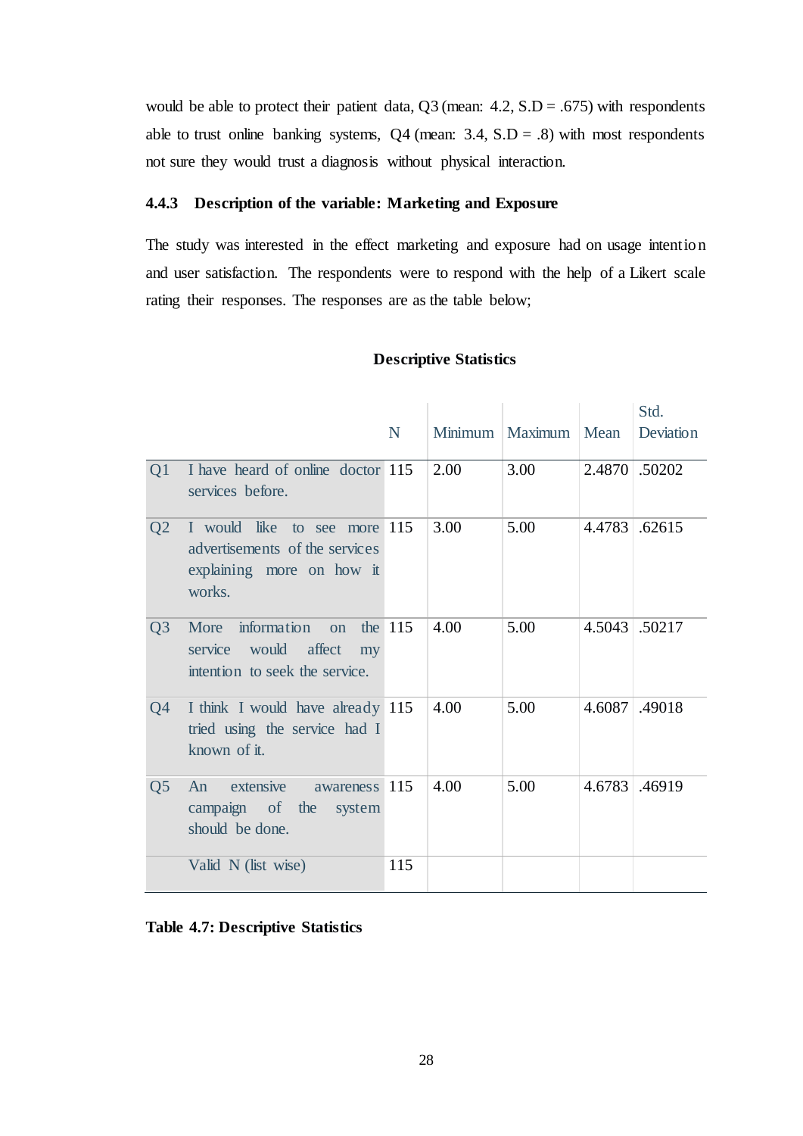would be able to protect their patient data,  $Q3$  (mean:  $4.2$ ,  $S.D = .675$ ) with respondents able to trust online banking systems,  $Q4$  (mean: 3.4, S.D = .8) with most respondents not sure they would trust a diagnosis without physical interaction.

# <span id="page-36-0"></span>**4.4.3 Description of the variable: Marketing and Exposure**

The study was interested in the effect marketing and exposure had on usage intention and user satisfaction. The respondents were to respond with the help of a Likert scale rating their responses. The responses are as the table below;

### **Descriptive Statistics**

|                |                                                                                                       |         |      |                          |        | Std.          |
|----------------|-------------------------------------------------------------------------------------------------------|---------|------|--------------------------|--------|---------------|
|                |                                                                                                       | N       |      | Minimum   Maximum   Mean |        | Deviation     |
| Q1             | I have heard of online doctor 115<br>services before.                                                 |         | 2.00 | 3.00                     | 2.4870 | .50202        |
| Q <sub>2</sub> | I would like to see more 115<br>advertisements of the services<br>explaining more on how it<br>works. |         | 3.00 | 5.00                     | 4.4783 | .62615        |
| Q <sub>3</sub> | information<br>More<br>$\Omega$<br>service<br>would affect<br>my<br>intention to seek the service.    | the 115 | 4.00 | 5.00                     |        | 4.5043 .50217 |
| Q4             | I think I would have already 115<br>tried using the service had I<br>known of it.                     |         | 4.00 | 5.00                     | 4.6087 | .49018        |
| Q <sub>5</sub> | extensive<br>An<br>awareness<br>campaign of the<br>system<br>should be done.                          | 115     | 4.00 | 5.00                     | 4.6783 | .46919        |
|                | Valid N (list wise)                                                                                   | 115     |      |                          |        |               |

### <span id="page-36-1"></span>**Table 4.7: Descriptive Statistics**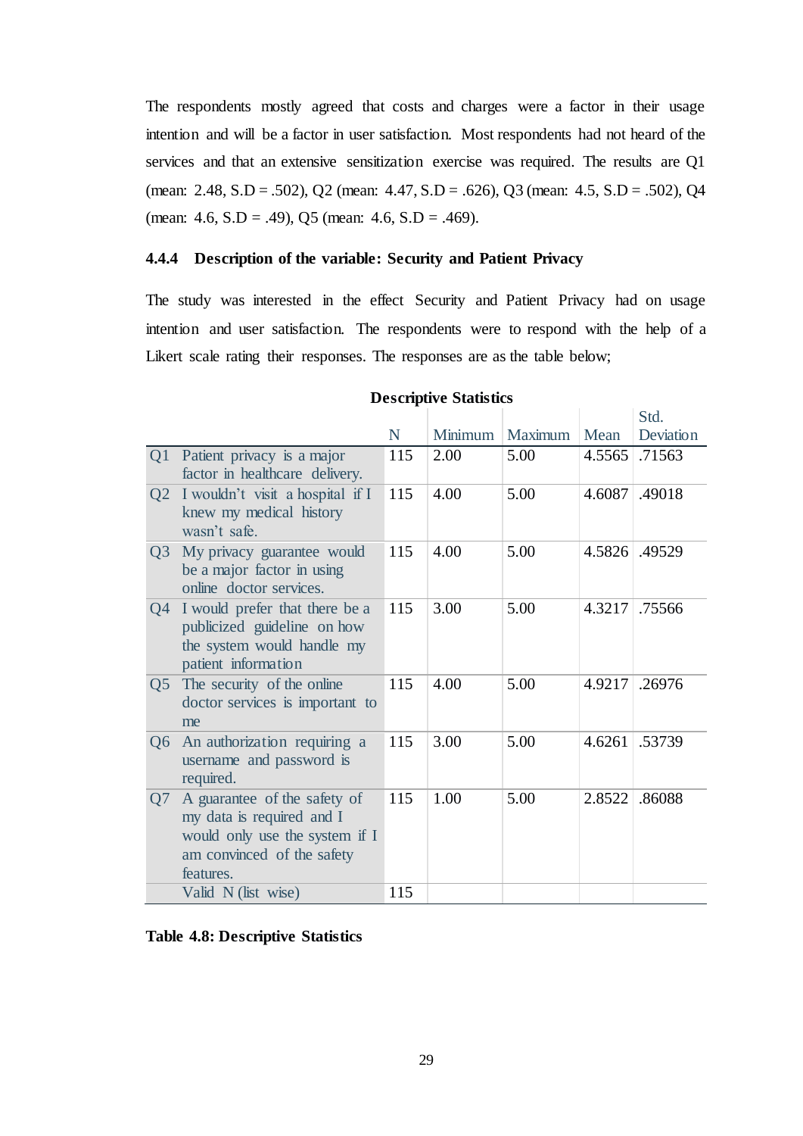The respondents mostly agreed that costs and charges were a factor in their usage intention and will be a factor in user satisfaction. Most respondents had not heard of the services and that an extensive sensitization exercise was required. The results are Q1 (mean: 2.48, S.D = .502), Q2 (mean: 4.47, S.D = .626), Q3 (mean: 4.5, S.D = .502), Q4 (mean:  $4.6$ ,  $S.D = .49$ ),  $Q5$  (mean:  $4.6$ ,  $S.D = .469$ ).

# <span id="page-37-0"></span>**4.4.4 Description of the variable: Security and Patient Privacy**

The study was interested in the effect Security and Patient Privacy had on usage intention and user satisfaction. The respondents were to respond with the help of a Likert scale rating their responses. The responses are as the table below;

|                |                                                                                                                                        | N   | Minimum | Maximum | Mean   | Std.<br>Deviation |
|----------------|----------------------------------------------------------------------------------------------------------------------------------------|-----|---------|---------|--------|-------------------|
| Q1             | Patient privacy is a major<br>factor in healthcare delivery.                                                                           | 115 | 2.00    | 5.00    | 4.5565 | .71563            |
| Q <sub>2</sub> | I wouldn't visit a hospital if I<br>knew my medical history<br>wasn't safe.                                                            | 115 | 4.00    | 5.00    | 4.6087 | .49018            |
| Q <sub>3</sub> | My privacy guarantee would<br>be a major factor in using<br>online doctor services.                                                    | 115 | 4.00    | 5.00    | 4.5826 | .49529            |
| Q4             | I would prefer that there be a<br>publicized guideline on how<br>the system would handle my<br>patient information                     | 115 | 3.00    | 5.00    | 4.3217 | .75566            |
| Q <sub>5</sub> | The security of the online<br>doctor services is important to<br>me                                                                    | 115 | 4.00    | 5.00    | 4.9217 | .26976            |
| Q <sub>6</sub> | An authorization requiring a<br>username and password is<br>required.                                                                  | 115 | 3.00    | 5.00    | 4.6261 | .53739            |
| Q7             | A guarantee of the safety of<br>my data is required and I<br>would only use the system if I<br>am convinced of the safety<br>features. | 115 | 1.00    | 5.00    | 2.8522 | .86088            |
|                | Valid N (list wise)                                                                                                                    | 115 |         |         |        |                   |

### **Descriptive Statistics**

<span id="page-37-1"></span>**Table 4.8: Descriptive Statistics**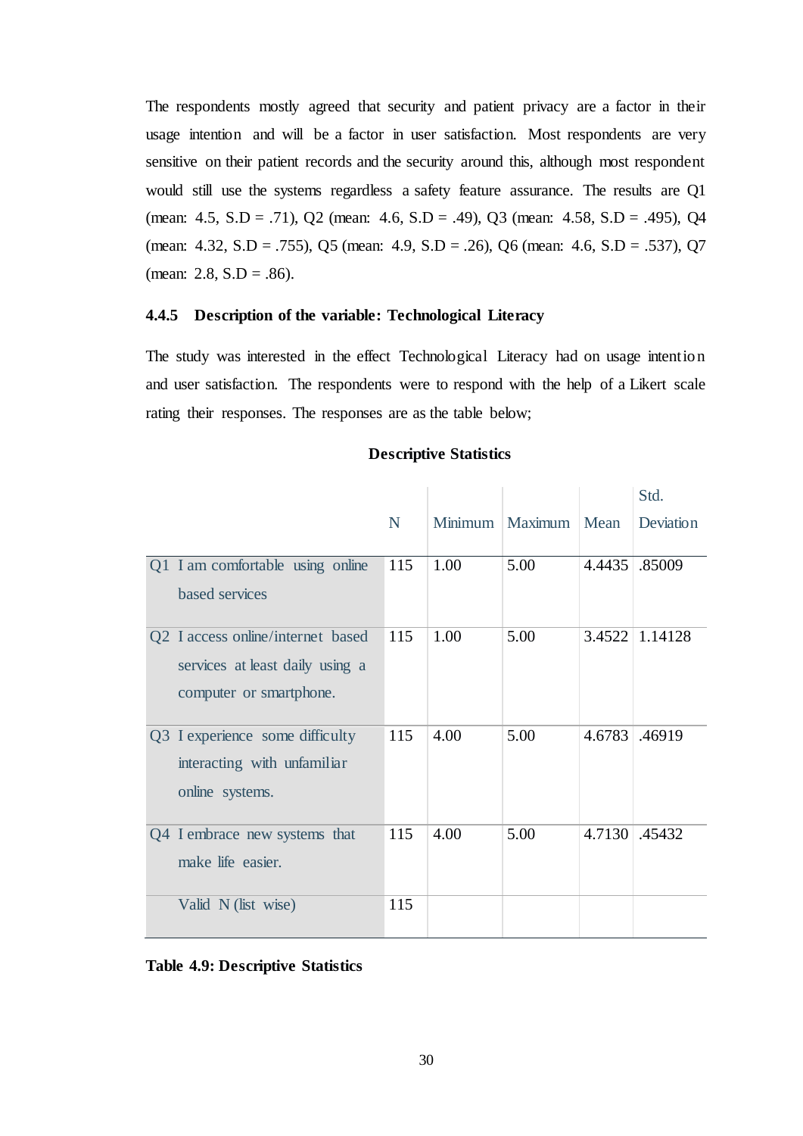The respondents mostly agreed that security and patient privacy are a factor in their usage intention and will be a factor in user satisfaction. Most respondents are very sensitive on their patient records and the security around this, although most respondent would still use the systems regardless a safety feature assurance. The results are Q1 (mean: 4.5, S.D = .71), Q2 (mean: 4.6, S.D = .49), Q3 (mean: 4.58, S.D = .495), Q4 (mean: 4.32, S.D = .755), Q5 (mean: 4.9, S.D = .26), Q6 (mean: 4.6, S.D = .537), Q7 (mean: 2.8,  $S.D = .86$ ).

### <span id="page-38-0"></span>**4.4.5 Description of the variable: Technological Literacy**

The study was interested in the effect Technological Literacy had on usage intention and user satisfaction. The respondents were to respond with the help of a Likert scale rating their responses. The responses are as the table below;

|                                                                                                 |             |      |                 |        | Std.      |
|-------------------------------------------------------------------------------------------------|-------------|------|-----------------|--------|-----------|
|                                                                                                 | $\mathbf N$ |      | Minimum Maximum | Mean   | Deviation |
| Q1 I am comfortable using online<br>based services                                              | 115         | 1.00 | 5.00            | 4.4435 | .85009    |
| Q2 I access online/internet based<br>services at least daily using a<br>computer or smartphone. | 115         | 1.00 | 5.00            | 3.4522 | 1.14128   |
| Q3 I experience some difficulty<br>interacting with unfamiliar<br>online systems.               | 115         | 4.00 | 5.00            | 4.6783 | .46919    |
| Q4 I embrace new systems that<br>make life easier.                                              | 115         | 4.00 | 5.00            | 4.7130 | .45432    |
| Valid N (list wise)                                                                             | 115         |      |                 |        |           |

### **Descriptive Statistics**

### <span id="page-38-1"></span>**Table 4.9: Descriptive Statistics**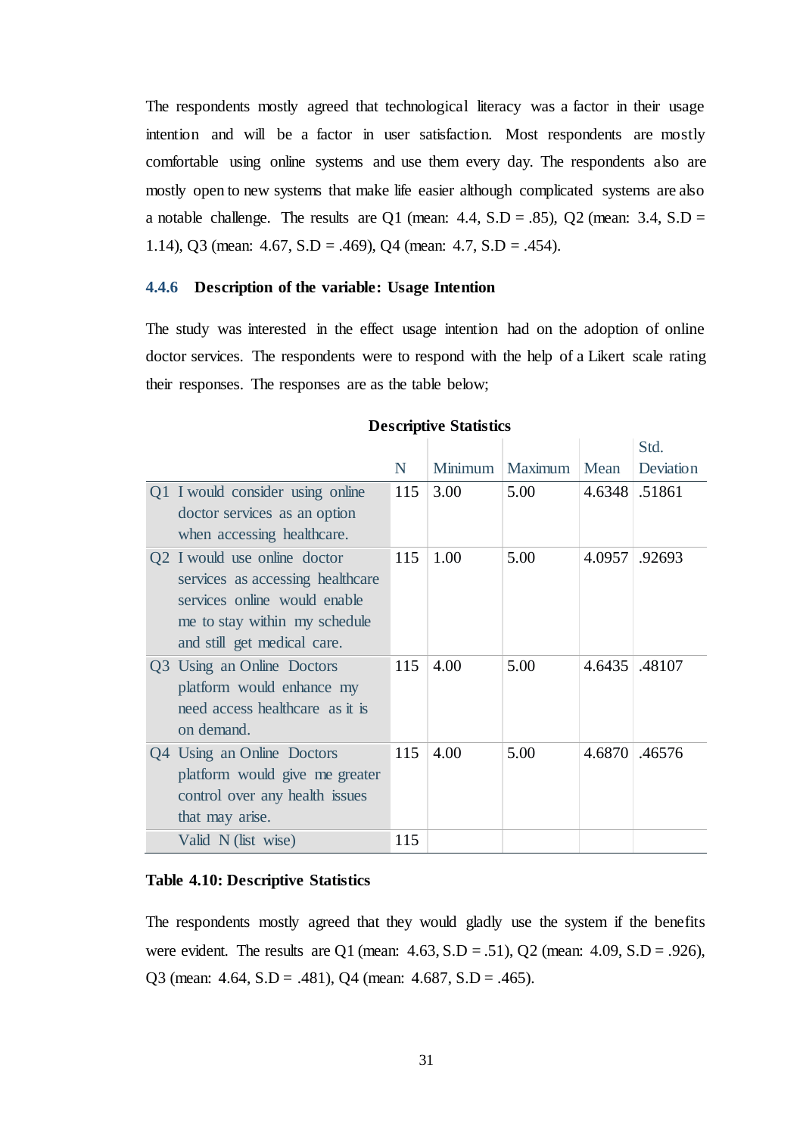The respondents mostly agreed that technological literacy was a factor in their usage intention and will be a factor in user satisfaction. Most respondents are mostly comfortable using online systems and use them every day. The respondents also are mostly open to new systems that make life easier although complicated systems are also a notable challenge. The results are Q1 (mean:  $4.4$ , S.D =  $.85$ ), Q2 (mean:  $3.4$ , S.D = 1.14), Q3 (mean: 4.67, S.D = .469), Q4 (mean: 4.7, S.D = .454).

### <span id="page-39-0"></span>**4.4.6 Description of the variable: Usage Intention**

The study was interested in the effect usage intention had on the adoption of online doctor services. The respondents were to respond with the help of a Likert scale rating their responses. The responses are as the table below;

|                                  |     |         |         |               | Std.      |
|----------------------------------|-----|---------|---------|---------------|-----------|
|                                  | N   | Minimum | Maximum | Mean          | Deviation |
| Q1 I would consider using online | 115 | 3.00    | 5.00    | 4.6348 .51861 |           |
| doctor services as an option     |     |         |         |               |           |
| when accessing healthcare.       |     |         |         |               |           |
| Q2 I would use online doctor     | 115 | 1.00    | 5.00    | 4.0957        | .92693    |
| services as accessing healthcare |     |         |         |               |           |
| services online would enable     |     |         |         |               |           |
| me to stay within my schedule    |     |         |         |               |           |
| and still get medical care.      |     |         |         |               |           |
| Q3 Using an Online Doctors       | 115 | 4.00    | 5.00    | 4.6435        | .48107    |
| platform would enhance my        |     |         |         |               |           |
| need access healthcare as it is  |     |         |         |               |           |
| on demand.                       |     |         |         |               |           |
| Q4 Using an Online Doctors       | 115 | 4.00    | 5.00    | 4.6870        | .46576    |
| platform would give me greater   |     |         |         |               |           |
| control over any health issues   |     |         |         |               |           |
| that may arise.                  |     |         |         |               |           |
| Valid N (list wise)              | 115 |         |         |               |           |

### **Descriptive Statistics**

#### <span id="page-39-1"></span>**Table 4.10: Descriptive Statistics**

The respondents mostly agreed that they would gladly use the system if the benefits were evident. The results are Q1 (mean:  $4.63$ , S.D = .51), Q2 (mean:  $4.09$ , S.D = .926), Q3 (mean:  $4.64$ ,  $S.D = .481$ ), Q4 (mean:  $4.687$ ,  $S.D = .465$ ).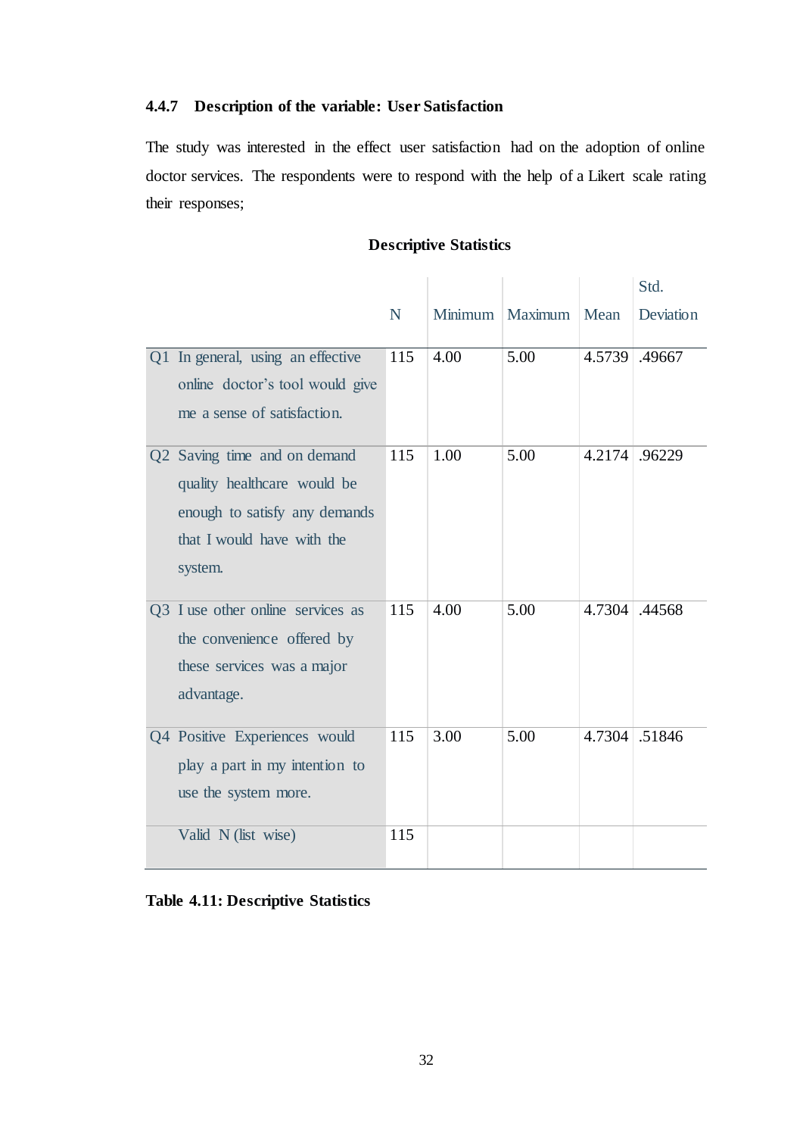# <span id="page-40-0"></span>**4.4.7 Description of the variable: User Satisfaction**

The study was interested in the effect user satisfaction had on the adoption of online doctor services. The respondents were to respond with the help of a Likert scale rating their responses;

|                                                                                                                                       |     |      |                 |               | Std.      |
|---------------------------------------------------------------------------------------------------------------------------------------|-----|------|-----------------|---------------|-----------|
|                                                                                                                                       | N   |      | Minimum Maximum | Mean          | Deviation |
| Q1 In general, using an effective<br>online doctor's tool would give<br>me a sense of satisfaction.                                   | 115 | 4.00 | 5.00            | 4.5739 .49667 |           |
| Q2 Saving time and on demand<br>quality healthcare would be<br>enough to satisfy any demands<br>that I would have with the<br>system. | 115 | 1.00 | 5.00            | 4.2174 .96229 |           |
| Q3 I use other online services as<br>the convenience offered by<br>these services was a major<br>advantage.                           | 115 | 4.00 | 5.00            | 4.7304 .44568 |           |
| Q4 Positive Experiences would<br>play a part in my intention to<br>use the system more.                                               | 115 | 3.00 | 5.00            | 4.7304 .51846 |           |
| Valid N (list wise)                                                                                                                   | 115 |      |                 |               |           |

# **Descriptive Statistics**

# <span id="page-40-1"></span>**Table 4.11: Descriptive Statistics**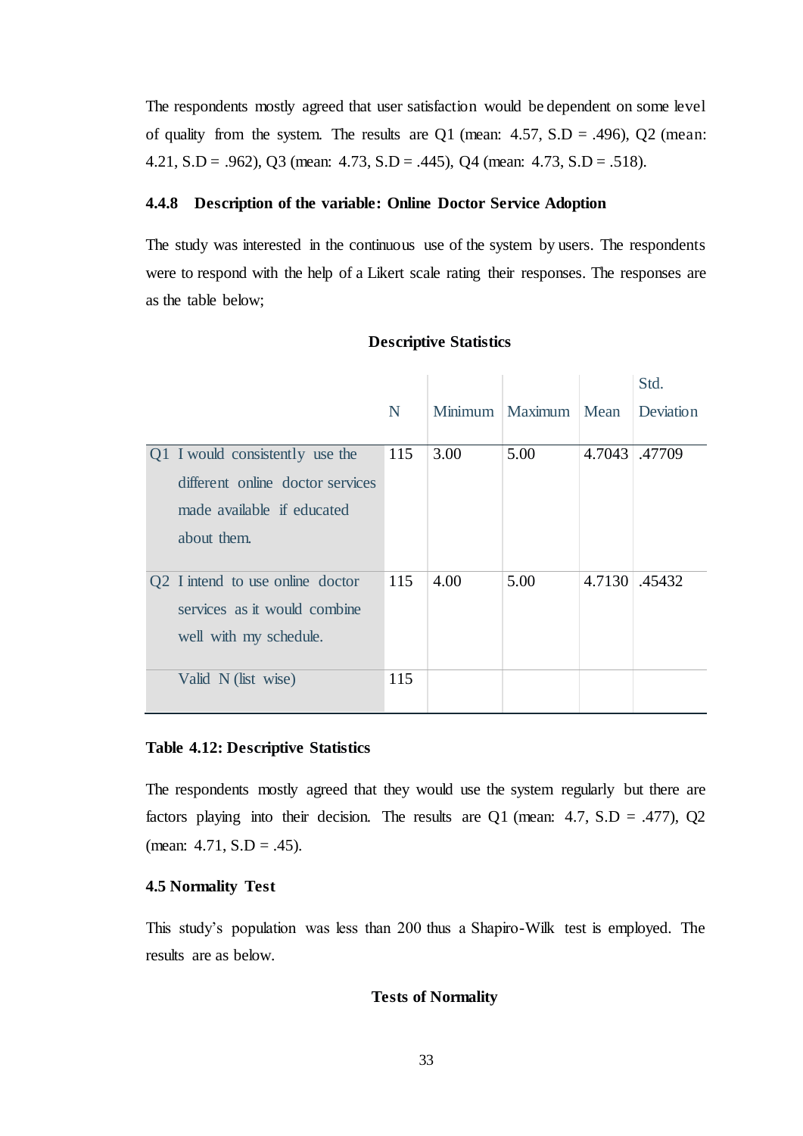The respondents mostly agreed that user satisfaction would be dependent on some level of quality from the system. The results are Q1 (mean:  $4.57$ , S.D = .496), Q2 (mean: 4.21, S.D = .962), Q3 (mean: 4.73, S.D = .445), Q4 (mean: 4.73, S.D = .518).

### <span id="page-41-0"></span>**4.4.8 Description of the variable: Online Doctor Service Adoption**

The study was interested in the continuous use of the system by users. The respondents were to respond with the help of a Likert scale rating their responses. The responses are as the table below;

|                                  |     |      |                   |        | Std.         |
|----------------------------------|-----|------|-------------------|--------|--------------|
|                                  | N   |      | Minimum   Maximum | Mean   | Deviation    |
|                                  |     |      |                   |        |              |
| Q1 I would consistently use the  | 115 | 3.00 | 5.00              | 4.7043 | .47709       |
| different online doctor services |     |      |                   |        |              |
| made available if educated       |     |      |                   |        |              |
| about them.                      |     |      |                   |        |              |
|                                  |     |      |                   |        |              |
| Q2 I intend to use online doctor | 115 | 4.00 | 5.00              |        | 4.7130 45432 |
| services as it would combine     |     |      |                   |        |              |
| well with my schedule.           |     |      |                   |        |              |
|                                  |     |      |                   |        |              |
| Valid N (list wise)              | 115 |      |                   |        |              |

### **Descriptive Statistics**

#### <span id="page-41-2"></span>**Table 4.12: Descriptive Statistics**

The respondents mostly agreed that they would use the system regularly but there are factors playing into their decision. The results are Q1 (mean:  $4.7$ ,  $S.D = .477$ ), Q2 (mean:  $4.71$ ,  $S.D = .45$ ).

## <span id="page-41-1"></span>**4.5 Normality Test**

This study's population was less than 200 thus a Shapiro-Wilk test is employed. The results are as below.

## **Tests of Normality**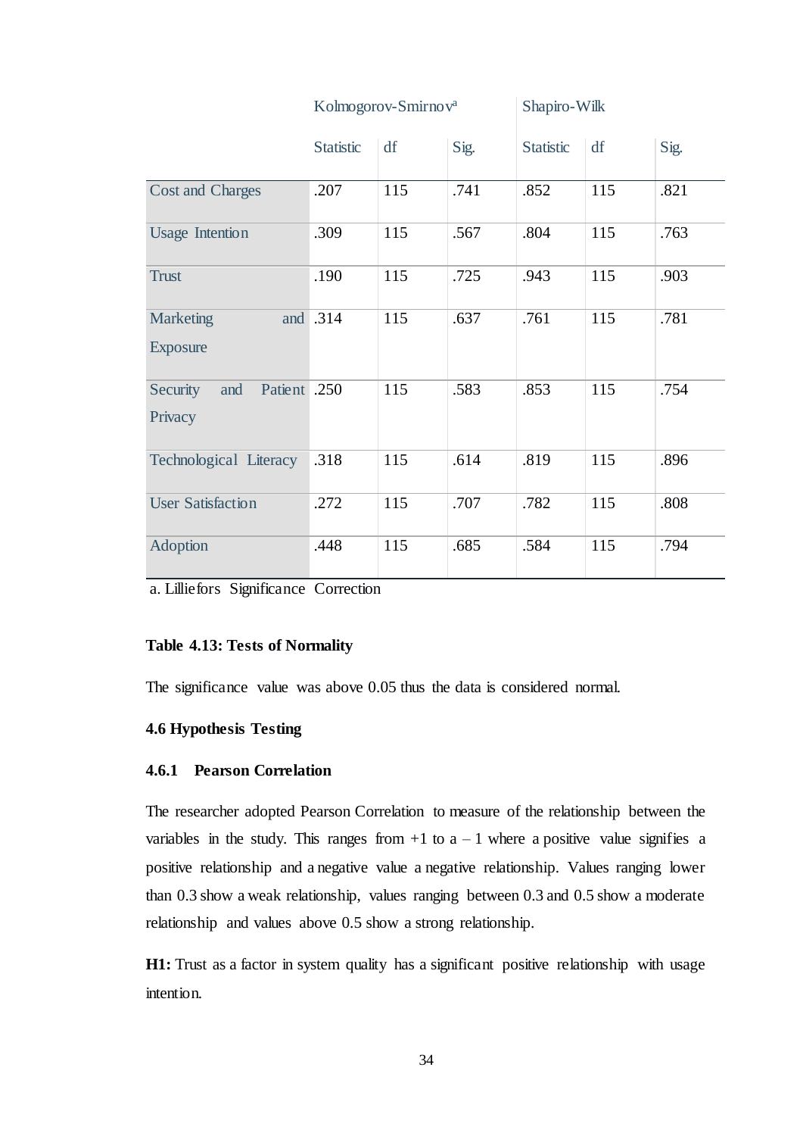|                                 |                  | Kolmogorov-Smirnov <sup>a</sup> |      | Shapiro-Wilk     |     |      |
|---------------------------------|------------------|---------------------------------|------|------------------|-----|------|
|                                 | <b>Statistic</b> | df                              | Sig. | <b>Statistic</b> | df  | Sig. |
| <b>Cost and Charges</b>         | .207             | 115                             | .741 | .852             | 115 | .821 |
| <b>Usage Intention</b>          | .309             | 115                             | .567 | .804             | 115 | .763 |
| <b>Trust</b>                    | .190             | 115                             | .725 | .943             | 115 | .903 |
| <b>Marketing</b>                | and .314         | 115                             | .637 | .761             | 115 | .781 |
| <b>Exposure</b>                 |                  |                                 |      |                  |     |      |
| Patient .250<br>Security<br>and |                  | 115                             | .583 | .853             | 115 | .754 |
| Privacy                         |                  |                                 |      |                  |     |      |
| Technological Literacy          | .318             | 115                             | .614 | .819             | 115 | .896 |
| <b>User Satisfaction</b>        | .272             | 115                             | .707 | .782             | 115 | .808 |
| Adoption                        | .448             | 115                             | .685 | .584             | 115 | .794 |

a. Lilliefors Significance Correction

# <span id="page-42-2"></span>**Table 4.13: Tests of Normality**

The significance value was above 0.05 thus the data is considered normal.

### <span id="page-42-0"></span>**4.6 Hypothesis Testing**

# <span id="page-42-1"></span>**4.6.1 Pearson Correlation**

The researcher adopted Pearson Correlation to measure of the relationship between the variables in the study. This ranges from  $+1$  to  $a - 1$  where a positive value signifies a positive relationship and a negative value a negative relationship. Values ranging lower than 0.3 show a weak relationship, values ranging between 0.3 and 0.5 show a moderate relationship and values above 0.5 show a strong relationship.

H1: Trust as a factor in system quality has a significant positive relationship with usage intention.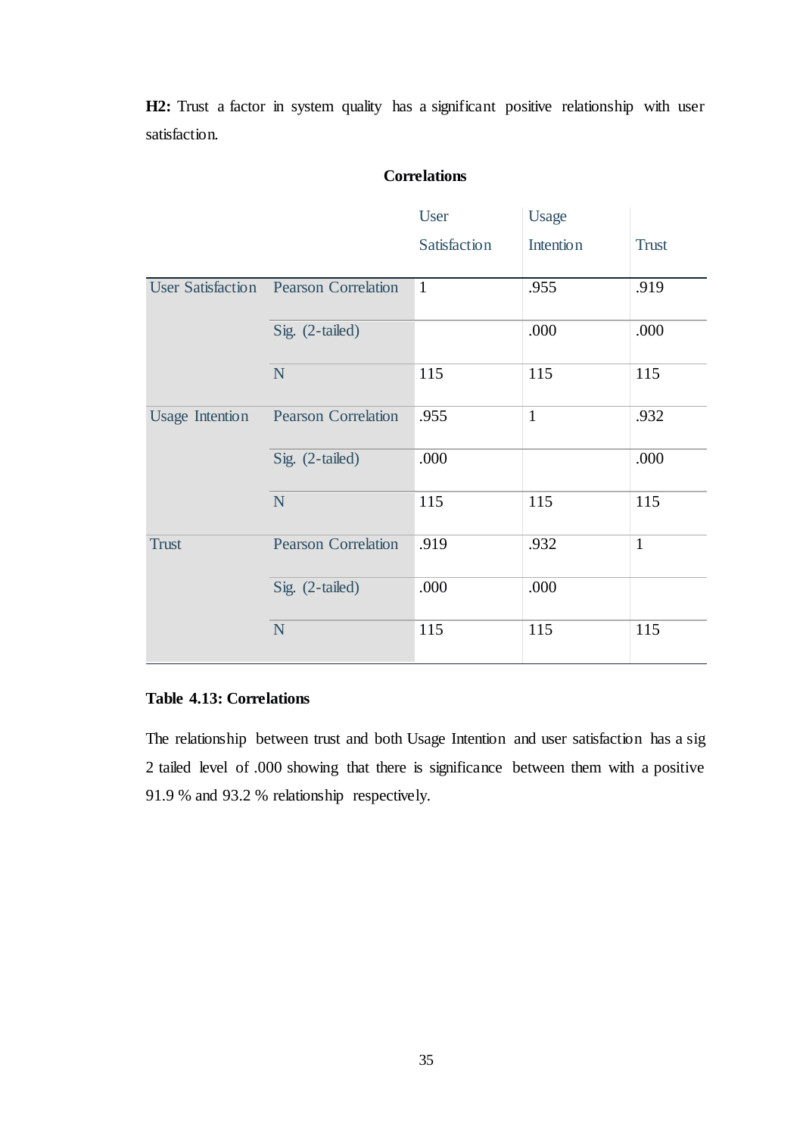H2: Trust a factor in system quality has a significant positive relationship with user satisfaction.

# **Correlations**

|                        |                                       | User         | <b>Usage</b>     |              |
|------------------------|---------------------------------------|--------------|------------------|--------------|
|                        |                                       | Satisfaction | <b>Intention</b> | <b>Trust</b> |
|                        | User Satisfaction Pearson Correlation | $\mathbf{1}$ | .955             | .919         |
|                        | Sig. (2-tailed)                       |              | .000             | .000         |
|                        | N                                     | 115          | 115              | 115          |
| <b>Usage Intention</b> | <b>Pearson Correlation</b>            | .955         | $\mathbf{1}$     | .932         |
|                        | Sig. (2-tailed)                       | .000         |                  | .000         |
|                        | N                                     | 115          | 115              | 115          |
| <b>Trust</b>           | <b>Pearson Correlation</b>            | .919         | .932             | $\mathbf{1}$ |
|                        | Sig. (2-tailed)                       | .000         | .000             |              |
|                        | N                                     | 115          | 115              | 115          |

# <span id="page-43-0"></span>**Table 4.13: Correlations**

The relationship between trust and both Usage Intention and user satisfaction has a sig 2 tailed level of .000 showing that there is significance between them with a positive 91.9 % and 93.2 % relationship respectively.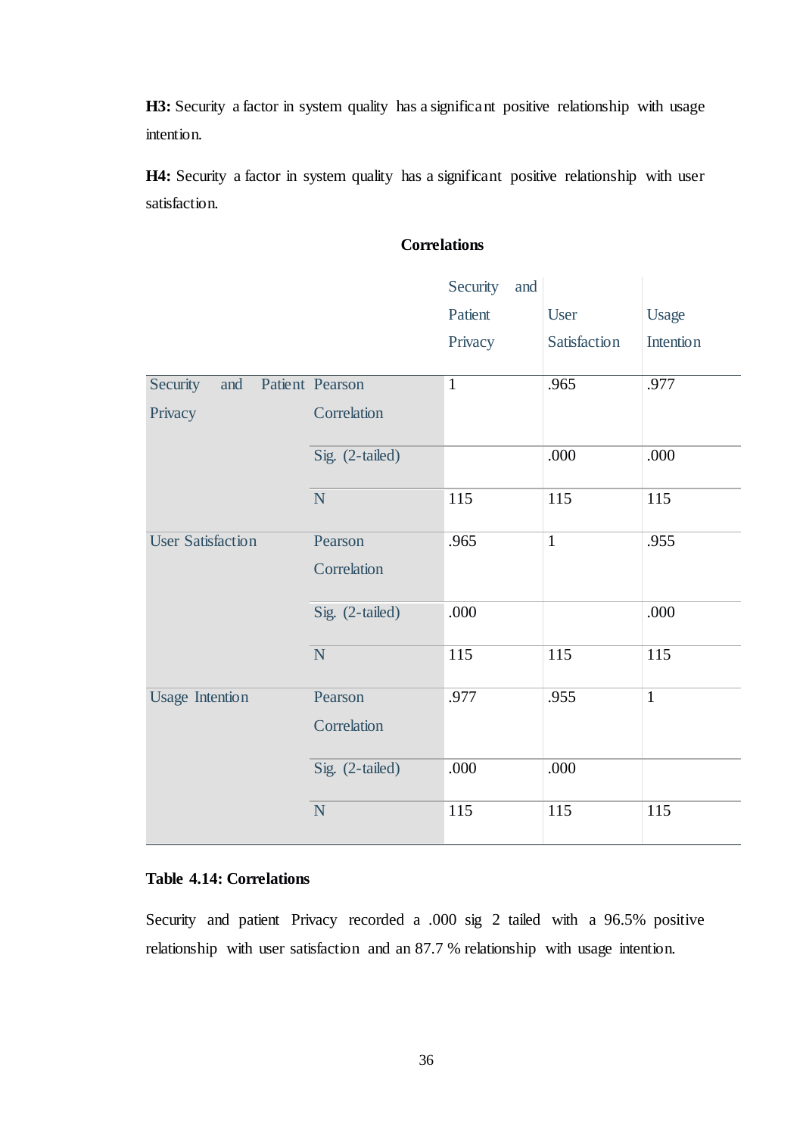H3: Security a factor in system quality has a significant positive relationship with usage intention.

H4: Security a factor in system quality has a significant positive relationship with user satisfaction.

# **Correlations**

|                          |                 | Security<br>and |              |                  |
|--------------------------|-----------------|-----------------|--------------|------------------|
|                          |                 | Patient         | User         | Usage            |
|                          |                 | Privacy         | Satisfaction | <b>Intention</b> |
|                          |                 |                 |              |                  |
| Security<br>and          | Patient Pearson | $\mathbf{1}$    | .965         | .977             |
| Privacy                  | Correlation     |                 |              |                  |
|                          | Sig. (2-tailed) |                 | .000         | .000             |
|                          | $\mathbf N$     | 115             | 115          | 115              |
| <b>User Satisfaction</b> | Pearson         | .965            | $\mathbf{1}$ | .955             |
|                          | Correlation     |                 |              |                  |
|                          | Sig. (2-tailed) | .000            |              | .000             |
|                          | $\mathbf N$     | 115             | 115          | 115              |
| <b>Usage Intention</b>   | Pearson         | .977            | .955         | $\mathbf{1}$     |
|                          | Correlation     |                 |              |                  |
|                          | Sig. (2-tailed) | .000            | .000         |                  |
|                          | N               | 115             | 115          | 115              |

# <span id="page-44-0"></span>**Table 4.14: Correlations**

Security and patient Privacy recorded a .000 sig 2 tailed with a 96.5% positive relationship with user satisfaction and an 87.7 % relationship with usage intention.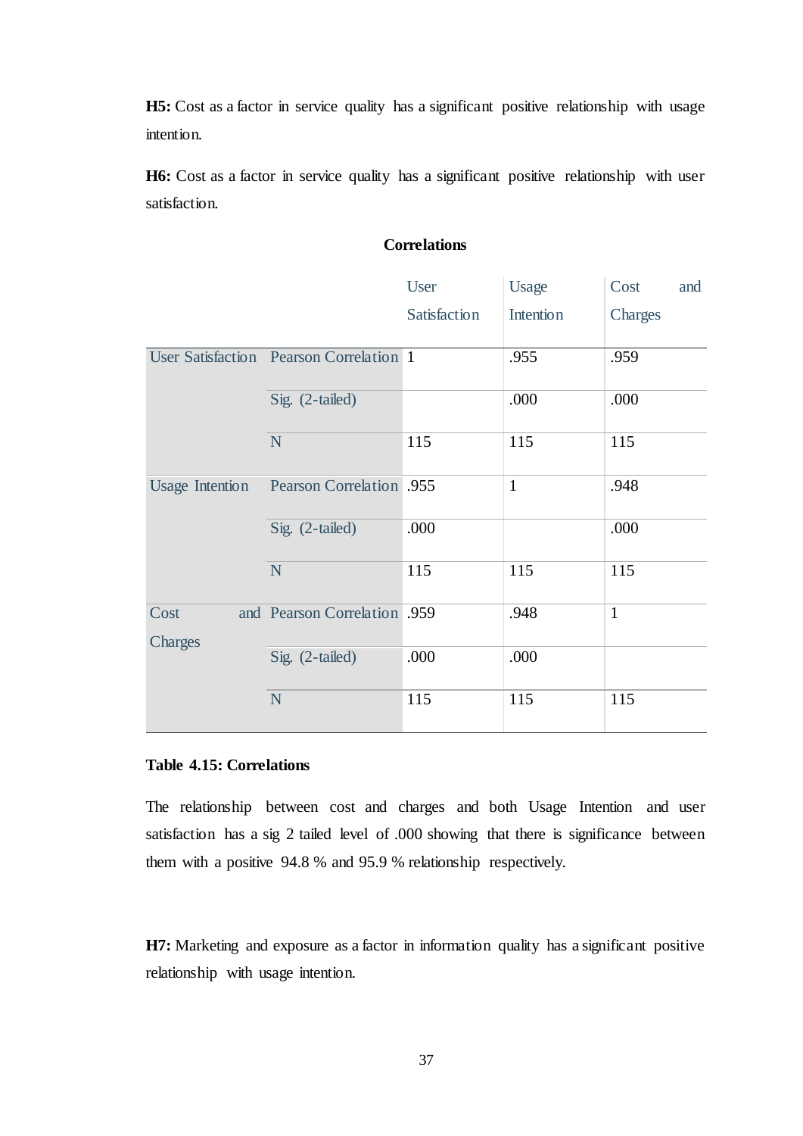H5: Cost as a factor in service quality has a significant positive relationship with usage intention.

H6: Cost as a factor in service quality has a significant positive relationship with user satisfaction.

|                 |                                         | <b>User</b>  | Usage            | Cost<br>and  |
|-----------------|-----------------------------------------|--------------|------------------|--------------|
|                 |                                         | Satisfaction | <b>Intention</b> | Charges      |
|                 | User Satisfaction Pearson Correlation 1 |              | .955             | .959         |
|                 | Sig. (2-tailed)                         |              | .000             | .000         |
|                 | N                                       | 115          | 115              | 115          |
| Usage Intention | <b>Pearson Correlation</b> .955         |              | $\mathbf{1}$     | .948         |
|                 | Sig. (2-tailed)                         | .000         |                  | .000         |
|                 | N                                       | 115          | 115              | 115          |
| Cost<br>Charges | and Pearson Correlation .959            |              | .948             | $\mathbf{1}$ |
|                 | Sig. (2-tailed)                         | .000         | .000             |              |
|                 | N                                       | 115          | 115              | 115          |

# **Correlations**

# <span id="page-45-0"></span>**Table 4.15: Correlations**

The relationship between cost and charges and both Usage Intention and user satisfaction has a sig 2 tailed level of .000 showing that there is significance between them with a positive 94.8 % and 95.9 % relationship respectively.

**H7:** Marketing and exposure as a factor in information quality has a significant positive relationship with usage intention.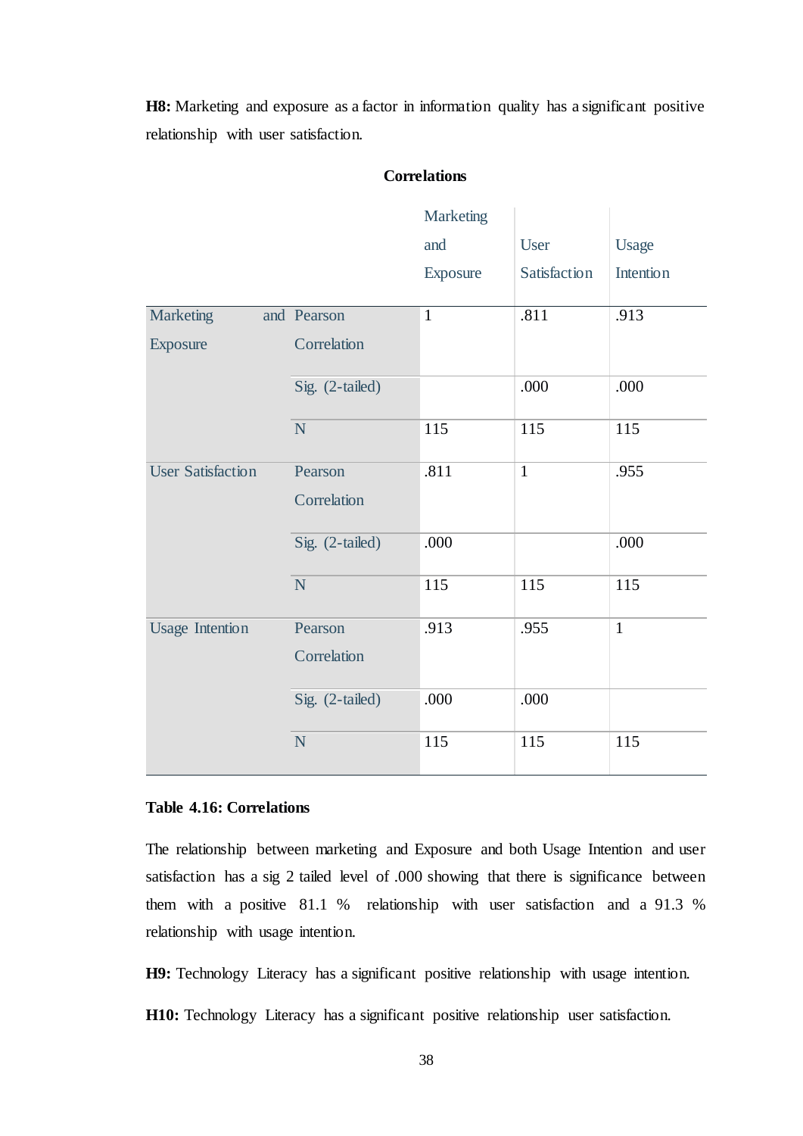**H8:** Marketing and exposure as a factor in information quality has a significant positive relationship with user satisfaction.

|                          |                 | Marketing    |              |                  |
|--------------------------|-----------------|--------------|--------------|------------------|
|                          |                 | and          | User         | Usage            |
|                          |                 | Exposure     | Satisfaction | <b>Intention</b> |
| <b>Marketing</b>         | and Pearson     | $\mathbf{1}$ | .811         | .913             |
|                          |                 |              |              |                  |
| Exposure                 | Correlation     |              |              |                  |
|                          | Sig. (2-tailed) |              | .000         | .000             |
|                          | N               | 115          | 115          | 115              |
| <b>User Satisfaction</b> | Pearson         | .811         | $\mathbf{1}$ | .955             |
|                          | Correlation     |              |              |                  |
|                          | Sig. (2-tailed) | .000         |              | .000             |
|                          | ${\bf N}$       | 115          | 115          | 115              |
| <b>Usage Intention</b>   | Pearson         | .913         | .955         | $\mathbf{1}$     |
|                          | Correlation     |              |              |                  |
|                          | Sig. (2-tailed) | .000         | .000         |                  |
|                          | N               | 115          | 115          | 115              |

# **Correlations**

## <span id="page-46-0"></span>**Table 4.16: Correlations**

The relationship between marketing and Exposure and both Usage Intention and user satisfaction has a sig 2 tailed level of .000 showing that there is significance between them with a positive 81.1 % relationship with user satisfaction and a 91.3 % relationship with usage intention.

**H9:** Technology Literacy has a significant positive relationship with usage intention.

**H10:** Technology Literacy has a significant positive relationship user satisfaction.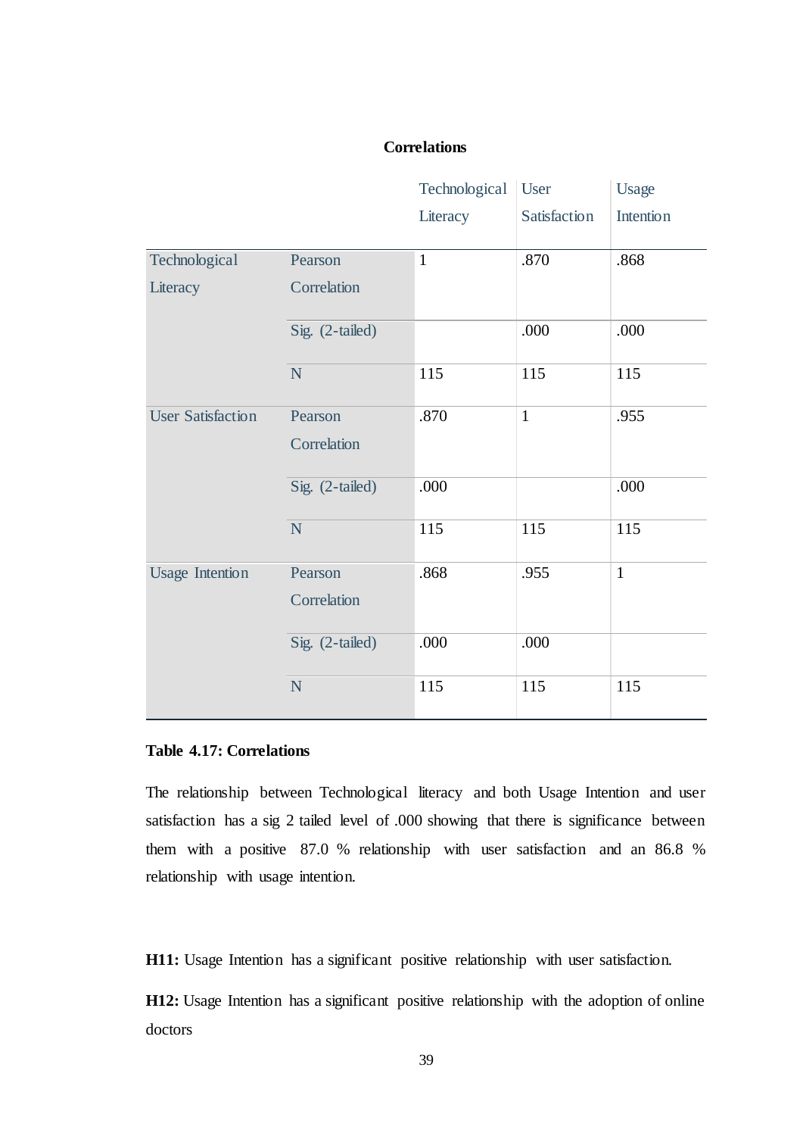# **Correlations**

|                          |                 | Technological | User         | Usage            |
|--------------------------|-----------------|---------------|--------------|------------------|
|                          |                 | Literacy      | Satisfaction | <b>Intention</b> |
| Technological            | Pearson         | $\mathbf{1}$  | .870         | .868             |
| Literacy                 | Correlation     |               |              |                  |
|                          | Sig. (2-tailed) |               | .000         | .000             |
|                          | N               | 115           | 115          | 115              |
| <b>User Satisfaction</b> | Pearson         | .870          | $\mathbf{1}$ | .955             |
|                          | Correlation     |               |              |                  |
|                          | Sig. (2-tailed) | .000          |              | .000             |
|                          | $\overline{N}$  | 115           | 115          | 115              |
| <b>Usage Intention</b>   | Pearson         | .868          | .955         | $\mathbf{1}$     |
|                          | Correlation     |               |              |                  |
|                          | Sig. (2-tailed) | .000          | .000         |                  |
|                          | $\mathbf N$     | 115           | 115          | 115              |

## <span id="page-47-0"></span>**Table 4.17: Correlations**

The relationship between Technological literacy and both Usage Intention and user satisfaction has a sig 2 tailed level of .000 showing that there is significance between them with a positive 87.0 % relationship with user satisfaction and an 86.8 % relationship with usage intention.

**H11:** Usage Intention has a significant positive relationship with user satisfaction.

H12: Usage Intention has a significant positive relationship with the adoption of online doctors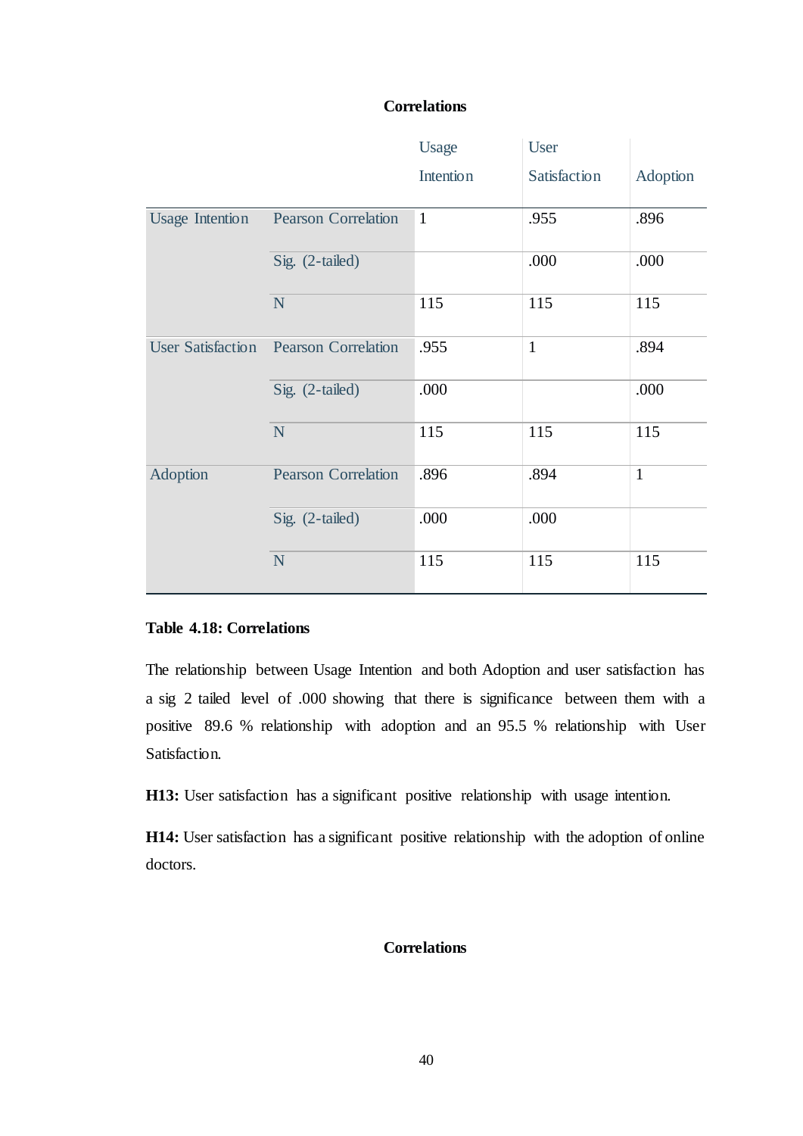# **Correlations**

|                          |                            | Usage            | User         |              |
|--------------------------|----------------------------|------------------|--------------|--------------|
|                          |                            | <b>Intention</b> | Satisfaction | Adoption     |
| <b>Usage Intention</b>   | <b>Pearson Correlation</b> | $\mathbf{1}$     | .955         | .896         |
|                          | Sig. (2-tailed)            |                  | .000         | .000         |
|                          | N                          | 115              | 115          | 115          |
| <b>User Satisfaction</b> | <b>Pearson Correlation</b> | .955             | $\mathbf{1}$ | .894         |
|                          | Sig. (2-tailed)            | .000             |              | .000         |
|                          | N                          | 115              | 115          | 115          |
| Adoption                 | <b>Pearson Correlation</b> | .896             | .894         | $\mathbf{1}$ |
|                          | Sig. (2-tailed)            | .000             | .000         |              |
|                          | N                          | 115              | 115          | 115          |

# <span id="page-48-0"></span>**Table 4.18: Correlations**

The relationship between Usage Intention and both Adoption and user satisfaction has a sig 2 tailed level of .000 showing that there is significance between them with a positive 89.6 % relationship with adoption and an 95.5 % relationship with User Satisfaction.

**H13:** User satisfaction has a significant positive relationship with usage intention.

**H14:** User satisfaction has a significant positive relationship with the adoption of online doctors.

# **Correlations**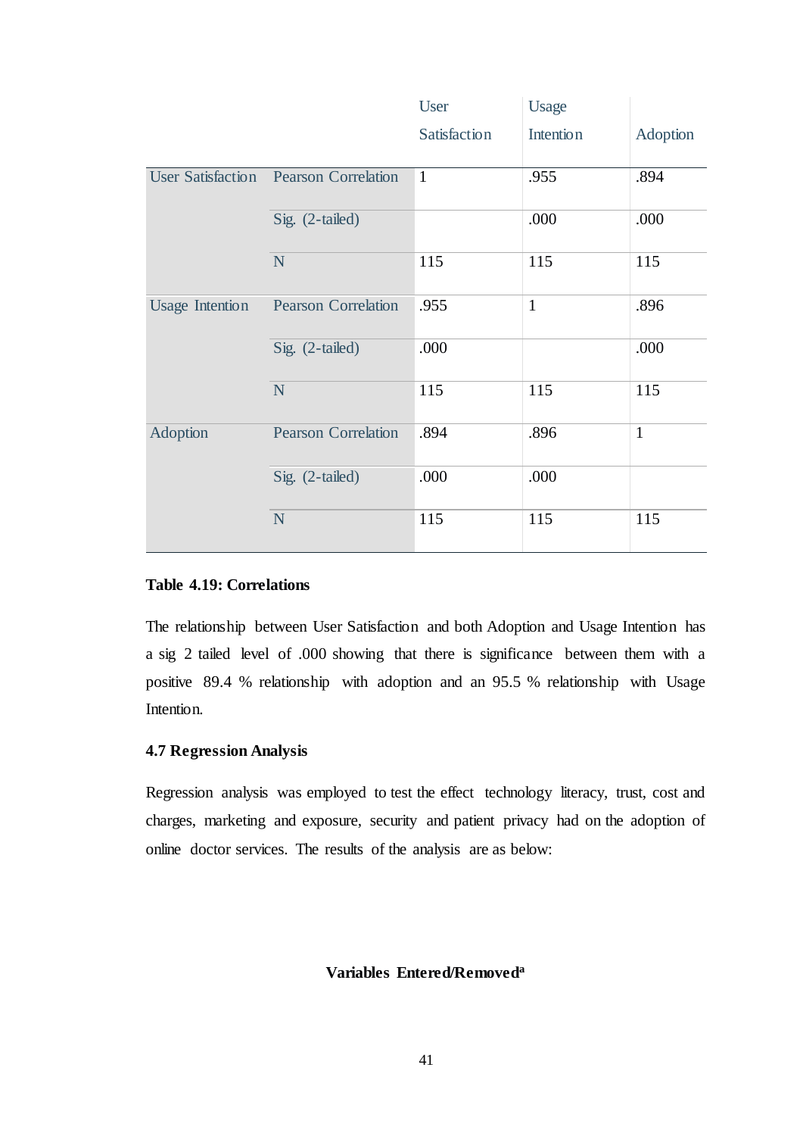|                          |                            | <b>User</b>  | <b>Usage</b>     |              |
|--------------------------|----------------------------|--------------|------------------|--------------|
|                          |                            | Satisfaction | <b>Intention</b> | Adoption     |
| <b>User Satisfaction</b> | <b>Pearson Correlation</b> | $\mathbf{1}$ | .955             | .894         |
|                          | Sig. (2-tailed)            |              | .000             | .000         |
|                          | N                          | 115          | 115              | 115          |
| <b>Usage Intention</b>   | <b>Pearson Correlation</b> | .955         | $\mathbf{1}$     | .896         |
|                          | Sig. (2-tailed)            | .000         |                  | .000         |
|                          | N                          | 115          | 115              | 115          |
| <b>Adoption</b>          | <b>Pearson Correlation</b> | .894         | .896             | $\mathbf{1}$ |
|                          | Sig. (2-tailed)            | .000         | .000             |              |
|                          | ${\bf N}$                  | 115          | 115              | 115          |

# <span id="page-49-1"></span>**Table 4.19: Correlations**

The relationship between User Satisfaction and both Adoption and Usage Intention has a sig 2 tailed level of .000 showing that there is significance between them with a positive 89.4 % relationship with adoption and an 95.5 % relationship with Usage Intention.

# <span id="page-49-0"></span>**4.7 Regression Analysis**

Regression analysis was employed to test the effect technology literacy, trust, cost and charges, marketing and exposure, security and patient privacy had on the adoption of online doctor services. The results of the analysis are as below:

# **Variables Entered/Removeda**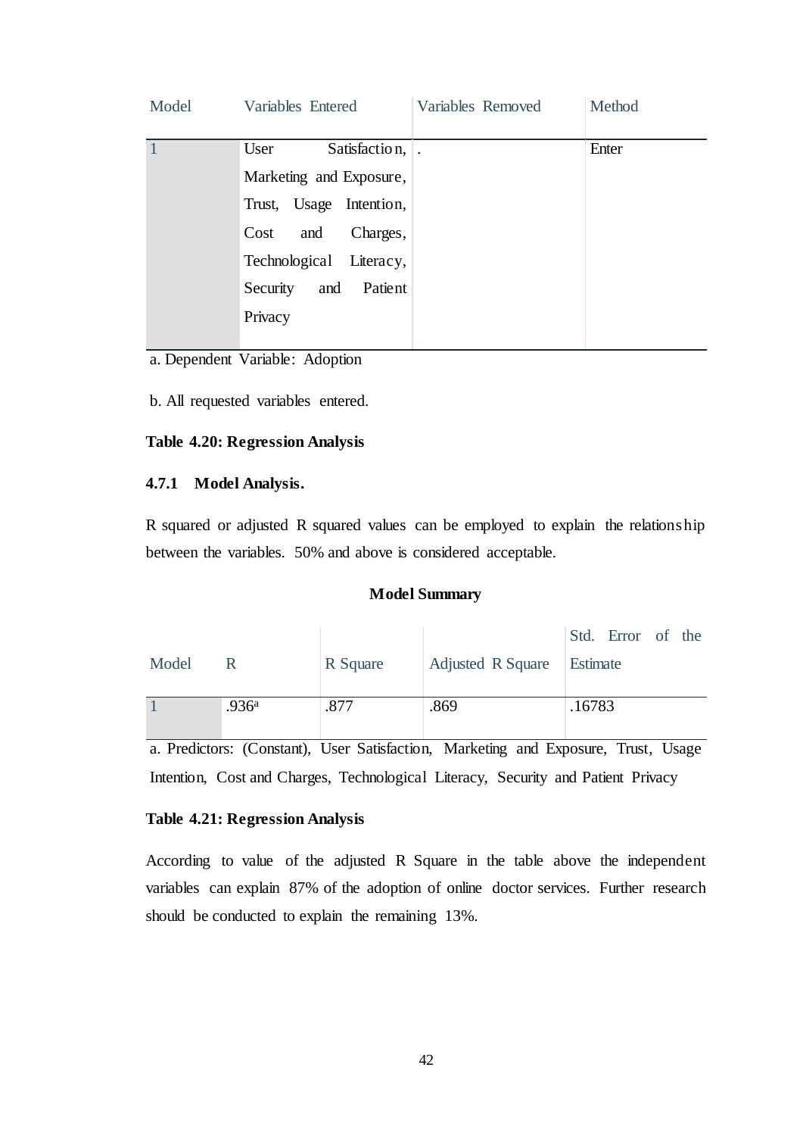| Model | Variables Entered          | Variables Removed | Method |
|-------|----------------------------|-------------------|--------|
|       | Satisfaction,<br>User      |                   | Enter  |
|       | Marketing and Exposure,    |                   |        |
|       | Trust, Usage Intention,    |                   |        |
|       | Cost<br>Charges,<br>and    |                   |        |
|       | Technological Literacy,    |                   |        |
|       | Patient<br>and<br>Security |                   |        |
|       | Privacy                    |                   |        |
|       |                            |                   |        |

a. Dependent Variable: Adoption

b. All requested variables entered.

# <span id="page-50-1"></span>**Table 4.20: Regression Analysis**

### <span id="page-50-0"></span>**4.7.1 Model Analysis.**

R squared or adjusted R squared values can be employed to explain the relationship between the variables. 50% and above is considered acceptable.

#### **Model Summary**

|       |                   |          |                   | Std. Error of the |
|-------|-------------------|----------|-------------------|-------------------|
| Model | R                 | R Square | Adjusted R Square | Estimate          |
|       |                   |          |                   |                   |
|       | .936 <sup>a</sup> | .877     | .869              | .16783            |
|       |                   |          |                   |                   |

a. Predictors: (Constant), User Satisfaction, Marketing and Exposure, Trust, Usage Intention, Cost and Charges, Technological Literacy, Security and Patient Privacy

# <span id="page-50-2"></span>**Table 4.21: Regression Analysis**

According to value of the adjusted R Square in the table above the independent variables can explain 87% of the adoption of online doctor services. Further research should be conducted to explain the remaining 13%.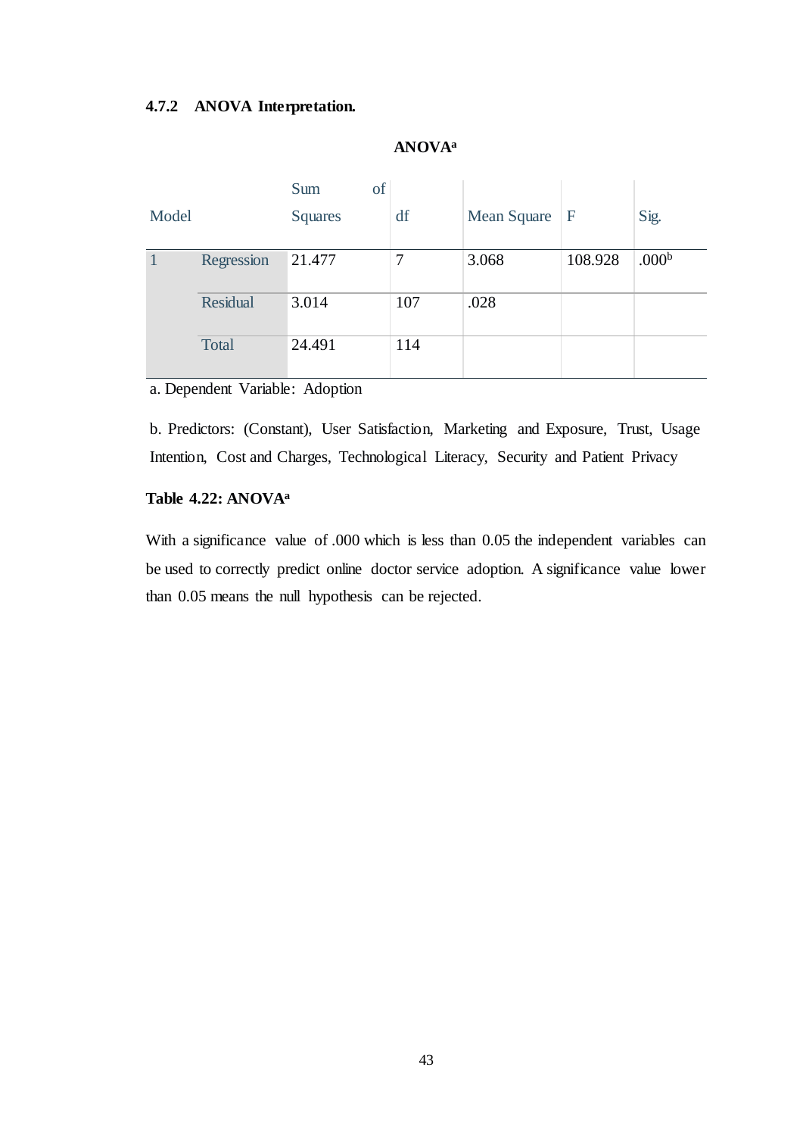# <span id="page-51-0"></span>**4.7.2 ANOVA Interpretation.**

| Model |                 | of<br>Sum<br><b>Squares</b> | df  | Mean Square $ F $ |         | Sig.              |
|-------|-----------------|-----------------------------|-----|-------------------|---------|-------------------|
|       | Regression      | 21.477                      | 7   | 3.068             | 108.928 | .000 <sup>b</sup> |
|       | <b>Residual</b> | 3.014                       | 107 | .028              |         |                   |
|       | Total           | 24.491                      | 114 |                   |         |                   |

# **ANOVA<sup>a</sup>**

a. Dependent Variable: Adoption

b. Predictors: (Constant), User Satisfaction, Marketing and Exposure, Trust, Usage Intention, Cost and Charges, Technological Literacy, Security and Patient Privacy

# <span id="page-51-1"></span>**Table 4.22: ANOVA<sup>a</sup>**

With a significance value of .000 which is less than 0.05 the independent variables can be used to correctly predict online doctor service adoption. A significance value lower than 0.05 means the null hypothesis can be rejected.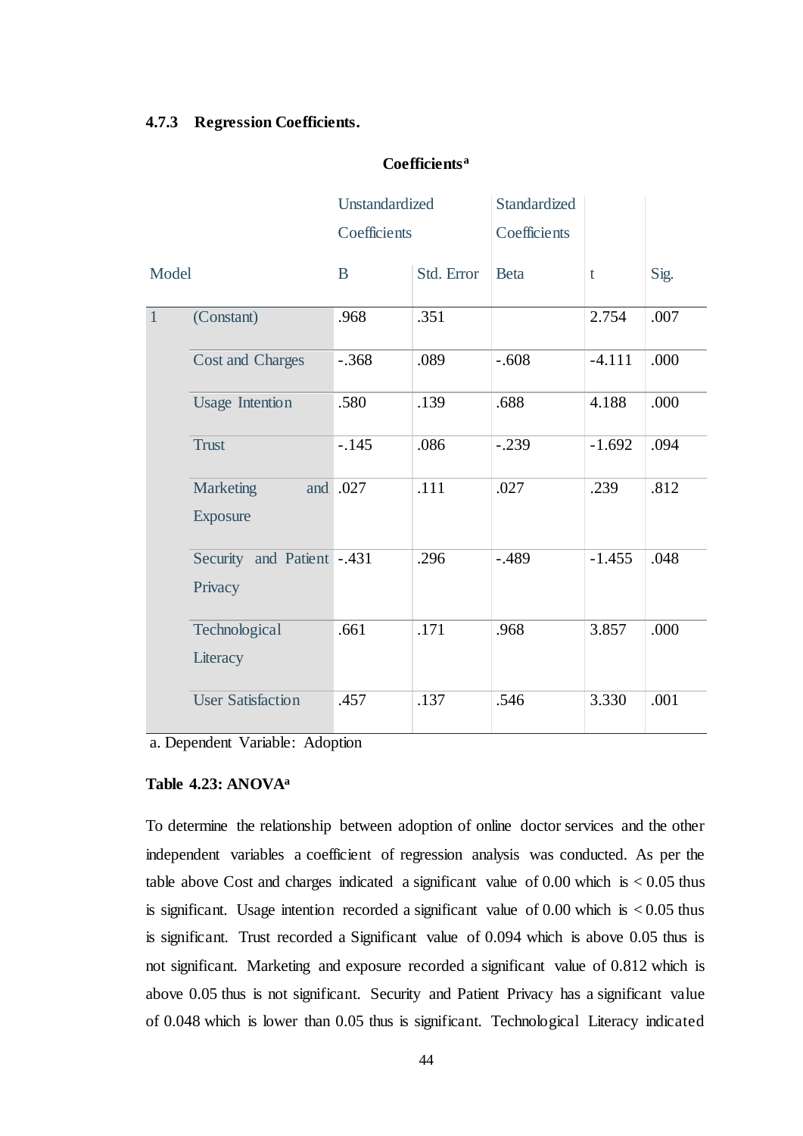### <span id="page-52-0"></span>**4.7.3 Regression Coefficients.**

### **Coefficients<sup>a</sup>**

|              |                                       | Unstandardized |            | Standardized |          |      |
|--------------|---------------------------------------|----------------|------------|--------------|----------|------|
|              |                                       | Coefficients   |            | Coefficients |          |      |
| Model        |                                       | B              | Std. Error | <b>Beta</b>  | t        | Sig. |
| $\mathbf{1}$ | (Constant)                            | .968           | .351       |              | 2.754    | .007 |
|              | <b>Cost and Charges</b>               | $-.368$        | .089       | $-.608$      | $-4.111$ | .000 |
|              | <b>Usage Intention</b>                | .580           | .139       | .688         | 4.188    | .000 |
|              | <b>Trust</b>                          | $-.145$        | .086       | $-.239$      | $-1.692$ | .094 |
|              | Marketing<br><b>Exposure</b>          | and .027       | .111       | .027         | .239     | .812 |
|              | Security and Patient -.431<br>Privacy |                | .296       | $-.489$      | $-1.455$ | .048 |
|              | Technological<br>Literacy             | .661           | .171       | .968         | 3.857    | .000 |
|              | <b>User Satisfaction</b>              | .457           | .137       | .546         | 3.330    | .001 |

a. Dependent Variable: Adoption

# <span id="page-52-1"></span>**Table 4.23: ANOVA<sup>a</sup>**

To determine the relationship between adoption of online doctor services and the other independent variables a coefficient of regression analysis was conducted. As per the table above Cost and charges indicated a significant value of  $0.00$  which is  $< 0.05$  thus is significant. Usage intention recorded a significant value of 0.00 which is  $< 0.05$  thus is significant. Trust recorded a Significant value of 0.094 which is above 0.05 thus is not significant. Marketing and exposure recorded a significant value of 0.812 which is above 0.05 thus is not significant. Security and Patient Privacy has a significant value of 0.048 which is lower than 0.05 thus is significant. Technological Literacy indicated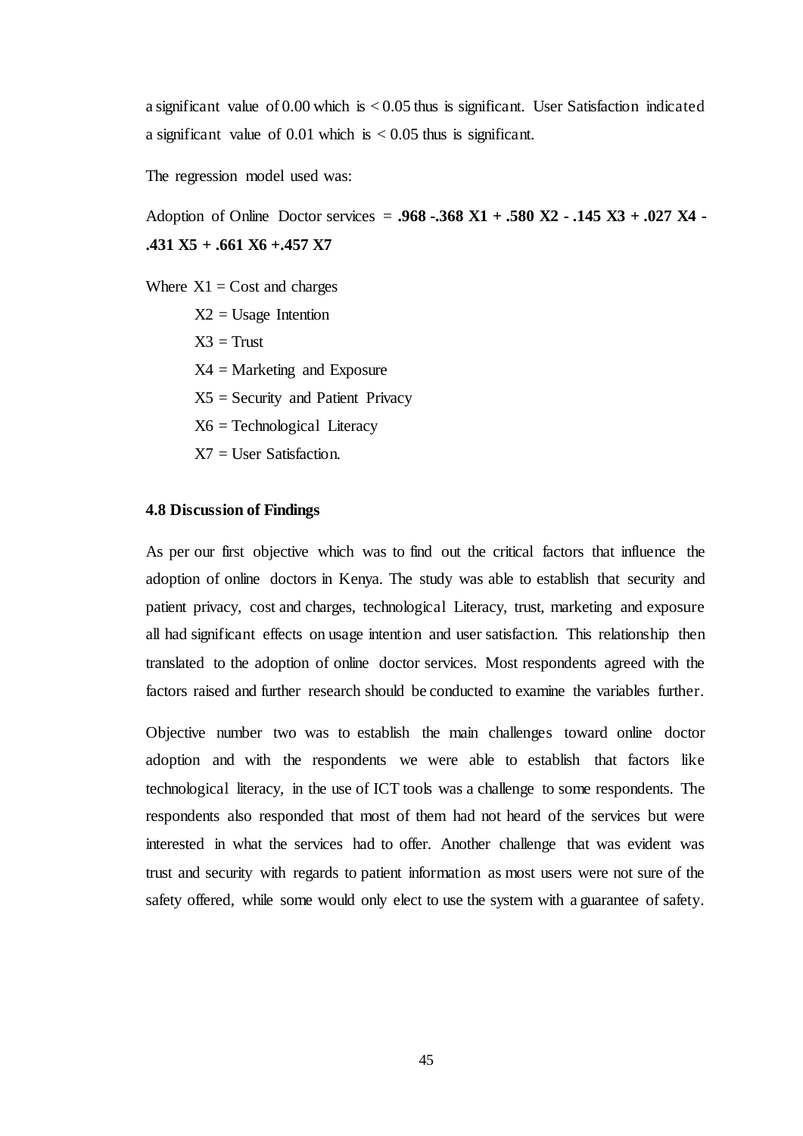a significant value of 0.00 which is < 0.05 thus is significant. User Satisfaction indicated a significant value of 0.01 which is  $< 0.05$  thus is significant.

The regression model used was:

Adoption of Online Doctor services = **.968 -.368 X1 + .580 X2 - .145 X3 + .027 X4 - .431 X5 + .661 X6 +.457 X7**

Where  $X1 = \text{Cost}$  and charges

 $X2 =$  Usage Intention

 $X3 =$ Trust

 $X4 =$ Marketing and Exposure

 $X5 =$  Security and Patient Privacy

X6 = Technological Literacy

 $X7 =$  User Satisfaction.

### <span id="page-53-0"></span>**4.8 Discussion of Findings**

As per our first objective which was to find out the critical factors that influence the adoption of online doctors in Kenya. The study was able to establish that security and patient privacy, cost and charges, technological Literacy, trust, marketing and exposure all had significant effects on usage intention and user satisfaction. This relationship then translated to the adoption of online doctor services. Most respondents agreed with the factors raised and further research should be conducted to examine the variables further.

Objective number two was to establish the main challenges toward online doctor adoption and with the respondents we were able to establish that factors like technological literacy, in the use of ICT tools was a challenge to some respondents. The respondents also responded that most of them had not heard of the services but were interested in what the services had to offer. Another challenge that was evident was trust and security with regards to patient information as most users were not sure of the safety offered, while some would only elect to use the system with a guarantee of safety.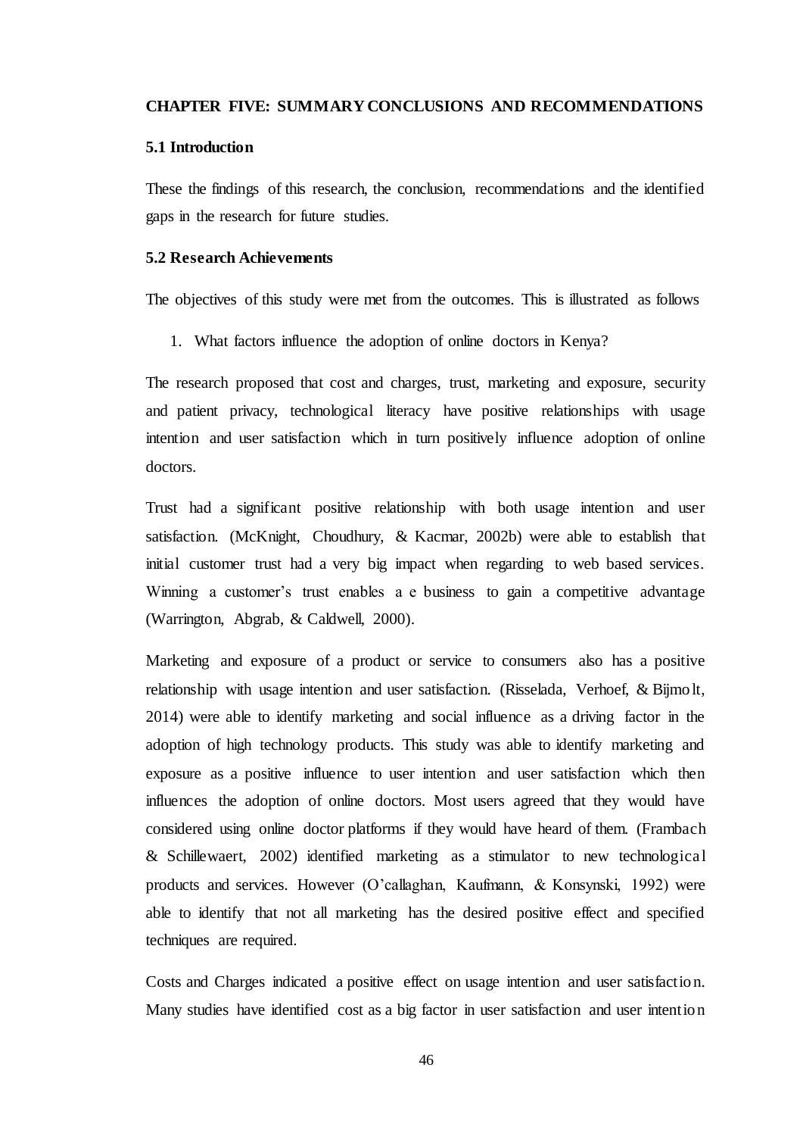#### <span id="page-54-0"></span>**CHAPTER FIVE: SUMMARY CONCLUSIONS AND RECOMMENDATIONS**

### <span id="page-54-1"></span>**5.1 Introduction**

These the findings of this research, the conclusion, recommendations and the identified gaps in the research for future studies.

# <span id="page-54-2"></span>**5.2 Research Achievements**

The objectives of this study were met from the outcomes. This is illustrated as follows

1. What factors influence the adoption of online doctors in Kenya?

The research proposed that cost and charges, trust, marketing and exposure, security and patient privacy, technological literacy have positive relationships with usage intention and user satisfaction which in turn positively influence adoption of online doctors.

Trust had a significant positive relationship with both usage intention and user satisfaction. (McKnight, Choudhury, & Kacmar, 2002b) were able to establish that initial customer trust had a very big impact when regarding to web based services. Winning a customer's trust enables a e business to gain a competitive advantage (Warrington, Abgrab, & Caldwell, 2000).

Marketing and exposure of a product or service to consumers also has a positive relationship with usage intention and user satisfaction. (Risselada, Verhoef, & Bijmolt, 2014) were able to identify marketing and social influence as a driving factor in the adoption of high technology products. This study was able to identify marketing and exposure as a positive influence to user intention and user satisfaction which then influences the adoption of online doctors. Most users agreed that they would have considered using online doctor platforms if they would have heard of them. (Frambach & Schillewaert, 2002) identified marketing as a stimulator to new technological products and services. However (O'callaghan, Kaufmann, & Konsynski, 1992) were able to identify that not all marketing has the desired positive effect and specified techniques are required.

Costs and Charges indicated a positive effect on usage intention and user satisfaction. Many studies have identified cost as a big factor in user satisfaction and user intention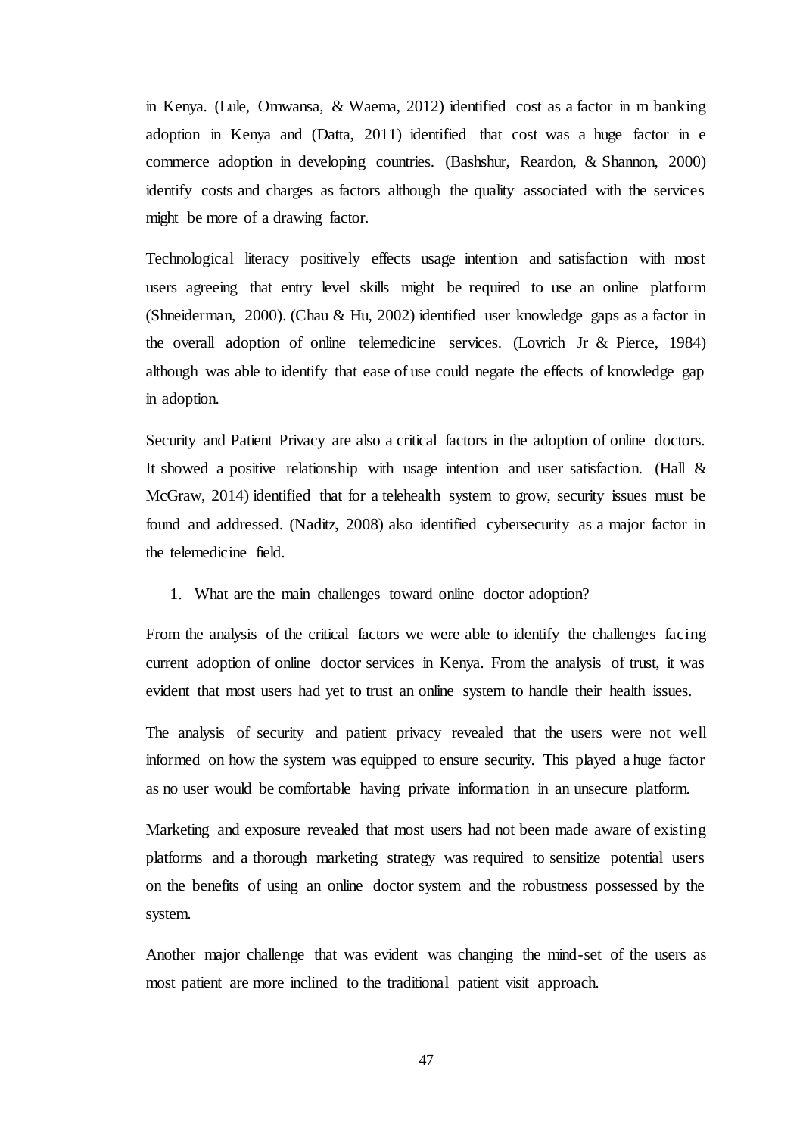in Kenya. (Lule, Omwansa, & Waema, 2012) identified cost as a factor in m banking adoption in Kenya and (Datta, 2011) identified that cost was a huge factor in e commerce adoption in developing countries. (Bashshur, Reardon, & Shannon, 2000) identify costs and charges as factors although the quality associated with the services might be more of a drawing factor.

Technological literacy positively effects usage intention and satisfaction with most users agreeing that entry level skills might be required to use an online platform (Shneiderman, 2000). (Chau & Hu, 2002) identified user knowledge gaps as a factor in the overall adoption of online telemedicine services. (Lovrich Jr & Pierce, 1984) although was able to identify that ease of use could negate the effects of knowledge gap in adoption.

Security and Patient Privacy are also a critical factors in the adoption of online doctors. It showed a positive relationship with usage intention and user satisfaction. (Hall & McGraw, 2014) identified that for a telehealth system to grow, security issues must be found and addressed. (Naditz, 2008) also identified cybersecurity as a major factor in the telemedicine field.

1. What are the main challenges toward online doctor adoption?

From the analysis of the critical factors we were able to identify the challenges facing current adoption of online doctor services in Kenya. From the analysis of trust, it was evident that most users had yet to trust an online system to handle their health issues.

The analysis of security and patient privacy revealed that the users were not well informed on how the system was equipped to ensure security. This played a huge factor as no user would be comfortable having private information in an unsecure platform.

Marketing and exposure revealed that most users had not been made aware of existing platforms and a thorough marketing strategy was required to sensitize potential users on the benefits of using an online doctor system and the robustness possessed by the system.

Another major challenge that was evident was changing the mind-set of the users as most patient are more inclined to the traditional patient visit approach.

47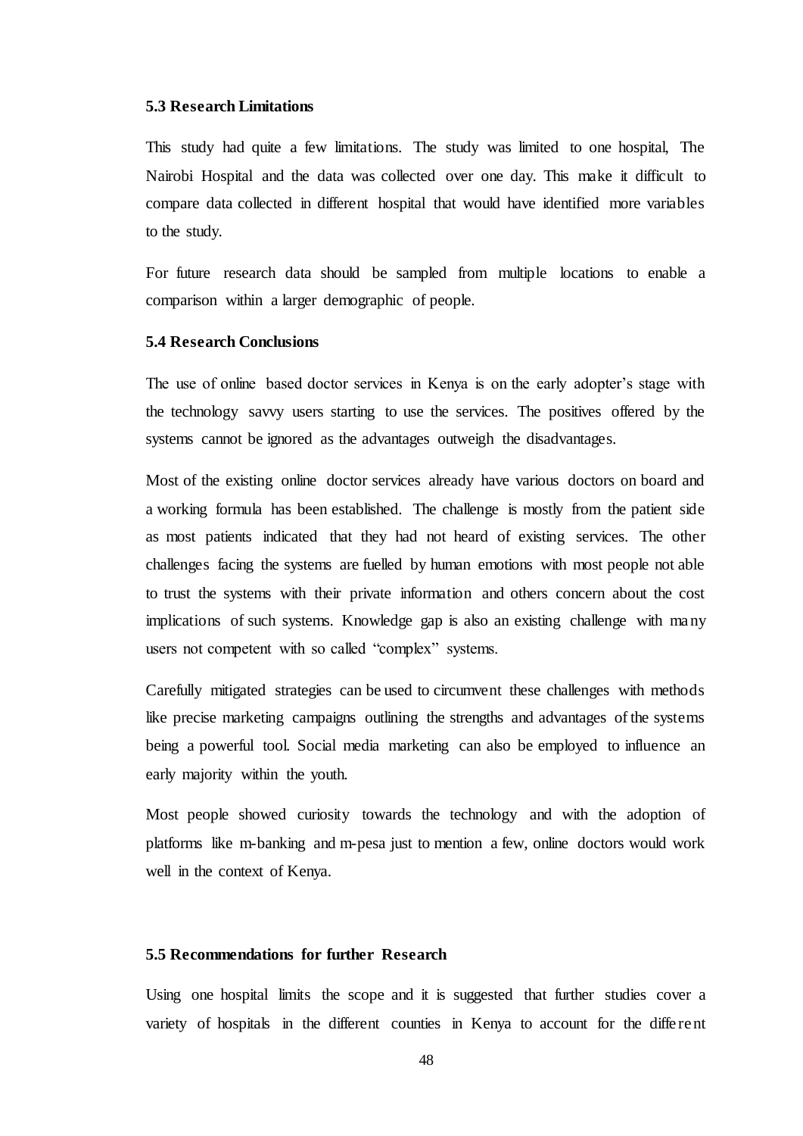### <span id="page-56-0"></span>**5.3 Research Limitations**

This study had quite a few limitations. The study was limited to one hospital, The Nairobi Hospital and the data was collected over one day. This make it difficult to compare data collected in different hospital that would have identified more variables to the study.

For future research data should be sampled from multiple locations to enable a comparison within a larger demographic of people.

### <span id="page-56-1"></span>**5.4 Research Conclusions**

The use of online based doctor services in Kenya is on the early adopter's stage with the technology savvy users starting to use the services. The positives offered by the systems cannot be ignored as the advantages outweigh the disadvantages.

Most of the existing online doctor services already have various doctors on board and a working formula has been established. The challenge is mostly from the patient side as most patients indicated that they had not heard of existing services. The other challenges facing the systems are fuelled by human emotions with most people not able to trust the systems with their private information and others concern about the cost implications of such systems. Knowledge gap is also an existing challenge with ma ny users not competent with so called "complex" systems.

Carefully mitigated strategies can be used to circumvent these challenges with methods like precise marketing campaigns outlining the strengths and advantages of the systems being a powerful tool. Social media marketing can also be employed to influence an early majority within the youth.

Most people showed curiosity towards the technology and with the adoption of platforms like m-banking and m-pesa just to mention a few, online doctors would work well in the context of Kenya.

### <span id="page-56-2"></span>**5.5 Recommendations for further Research**

Using one hospital limits the scope and it is suggested that further studies cover a variety of hospitals in the different counties in Kenya to account for the diffe rent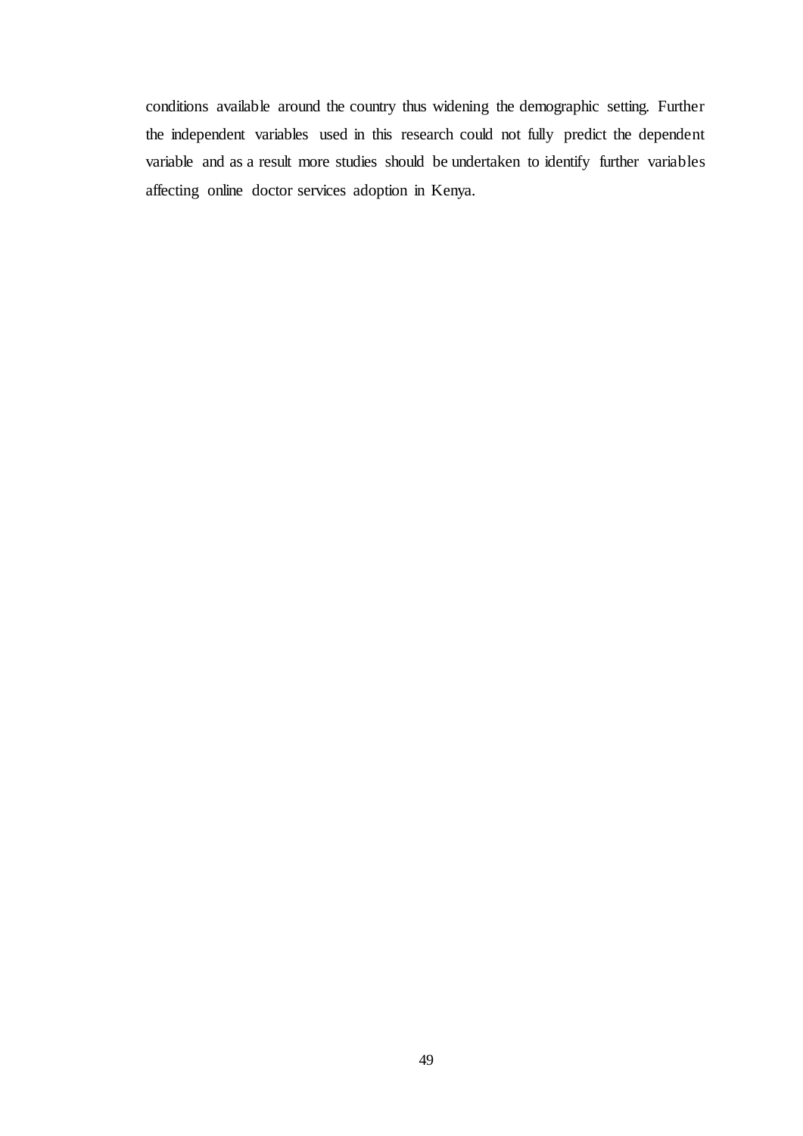conditions available around the country thus widening the demographic setting. Further the independent variables used in this research could not fully predict the dependent variable and as a result more studies should be undertaken to identify further variables affecting online doctor services adoption in Kenya.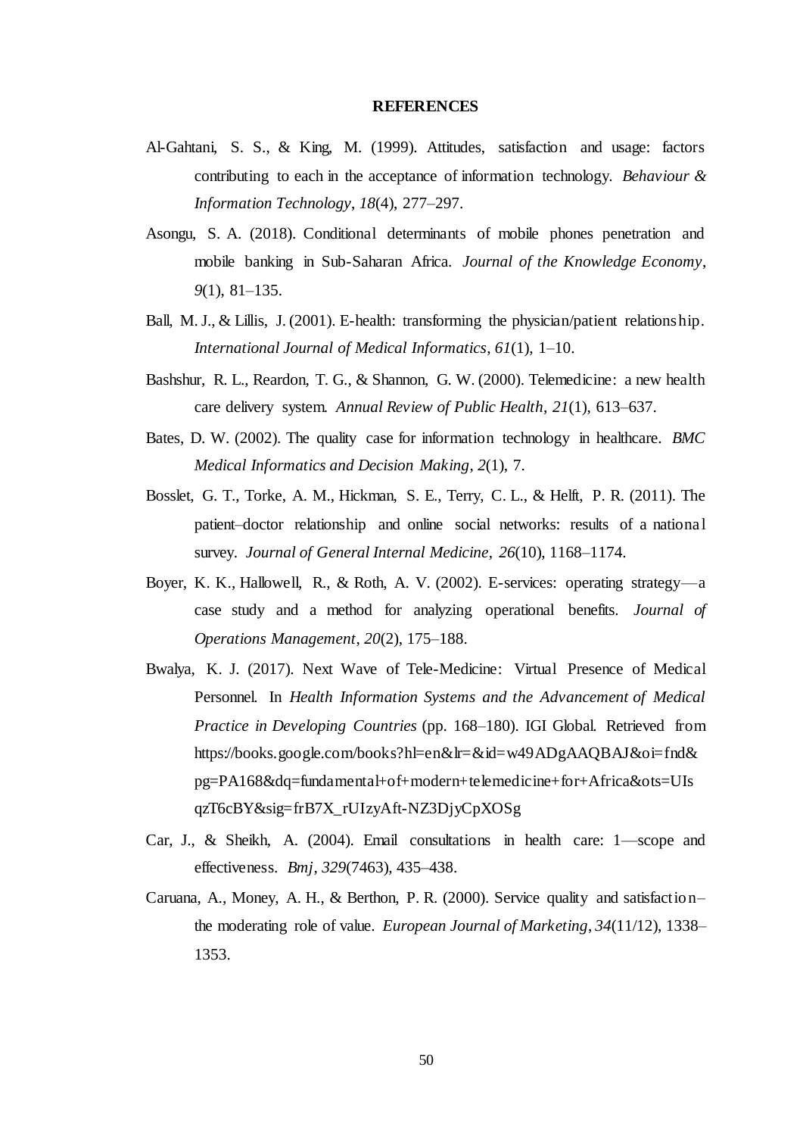#### **REFERENCES**

- <span id="page-58-0"></span>Al-Gahtani, S. S., & King, M. (1999). Attitudes, satisfaction and usage: factors contributing to each in the acceptance of information technology. *Behaviour & Information Technology*, *18*(4), 277–297.
- Asongu, S. A. (2018). Conditional determinants of mobile phones penetration and mobile banking in Sub-Saharan Africa. *Journal of the Knowledge Economy*, *9*(1), 81–135.
- Ball, M. J., & Lillis, J. (2001). E-health: transforming the physician/patient relationship. *International Journal of Medical Informatics*, *61*(1), 1–10.
- Bashshur, R. L., Reardon, T. G., & Shannon, G. W. (2000). Telemedicine: a new health care delivery system. *Annual Review of Public Health*, *21*(1), 613–637.
- Bates, D. W. (2002). The quality case for information technology in healthcare. *BMC Medical Informatics and Decision Making*, *2*(1), 7.
- Bosslet, G. T., Torke, A. M., Hickman, S. E., Terry, C. L., & Helft, P. R. (2011). The patient–doctor relationship and online social networks: results of a national survey. *Journal of General Internal Medicine*, *26*(10), 1168–1174.
- Boyer, K. K., Hallowell, R., & Roth, A. V. (2002). E-services: operating strategy—a case study and a method for analyzing operational benefits. *Journal of Operations Management*, *20*(2), 175–188.
- Bwalya, K. J. (2017). Next Wave of Tele-Medicine: Virtual Presence of Medical Personnel. In *Health Information Systems and the Advancement of Medical Practice in Developing Countries* (pp. 168–180). IGI Global. Retrieved from https://books.google.com/books?hl=en&lr=&id=w49ADgAAQBAJ&oi=fnd& pg=PA168&dq=fundamental+of+modern+telemedicine+for+Africa&ots=UIs qzT6cBY&sig=frB7X\_rUIzyAft-NZ3DjyCpXOSg
- Car, J., & Sheikh, A. (2004). Email consultations in health care: 1—scope and effectiveness. *Bmj*, *329*(7463), 435–438.
- Caruana, A., Money, A. H., & Berthon, P. R. (2000). Service quality and satisfaction– the moderating role of value. *European Journal of Marketing*, *34*(11/12), 1338– 1353.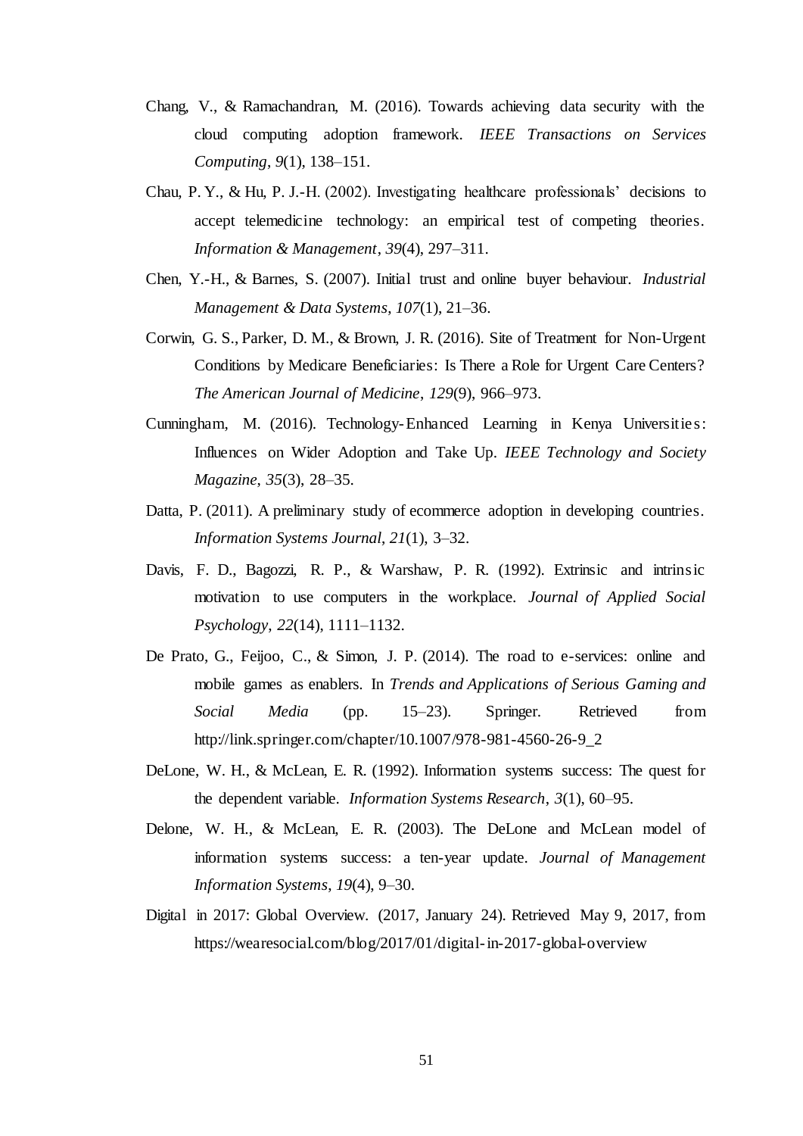- Chang, V., & Ramachandran, M. (2016). Towards achieving data security with the cloud computing adoption framework. *IEEE Transactions on Services Computing*, *9*(1), 138–151.
- Chau, P. Y., & Hu, P. J.-H. (2002). Investigating healthcare professionals' decisions to accept telemedicine technology: an empirical test of competing theories. *Information & Management*, *39*(4), 297–311.
- Chen, Y.-H., & Barnes, S. (2007). Initial trust and online buyer behaviour. *Industrial Management & Data Systems*, *107*(1), 21–36.
- Corwin, G. S., Parker, D. M., & Brown, J. R. (2016). Site of Treatment for Non-Urgent Conditions by Medicare Beneficiaries: Is There a Role for Urgent Care Centers? *The American Journal of Medicine*, *129*(9), 966–973.
- Cunningham, M. (2016). Technology-Enhanced Learning in Kenya Universities: Influences on Wider Adoption and Take Up. *IEEE Technology and Society Magazine*, *35*(3), 28–35.
- Datta, P. (2011). A preliminary study of ecommerce adoption in developing countries. *Information Systems Journal*, *21*(1), 3–32.
- Davis, F. D., Bagozzi, R. P., & Warshaw, P. R. (1992). Extrinsic and intrinsic motivation to use computers in the workplace. *Journal of Applied Social Psychology*, *22*(14), 1111–1132.
- De Prato, G., Feijoo, C., & Simon, J. P. (2014). The road to e-services: online and mobile games as enablers. In *Trends and Applications of Serious Gaming and Social Media* (pp. 15–23). Springer. Retrieved from http://link.springer.com/chapter/10.1007/978-981-4560-26-9\_2
- DeLone, W. H., & McLean, E. R. (1992). Information systems success: The quest for the dependent variable. *Information Systems Research*, *3*(1), 60–95.
- Delone, W. H., & McLean, E. R. (2003). The DeLone and McLean model of information systems success: a ten-year update. *Journal of Management Information Systems*, *19*(4), 9–30.
- Digital in 2017: Global Overview. (2017, January 24). Retrieved May 9, 2017, from https://wearesocial.com/blog/2017/01/digital-in-2017-global-overview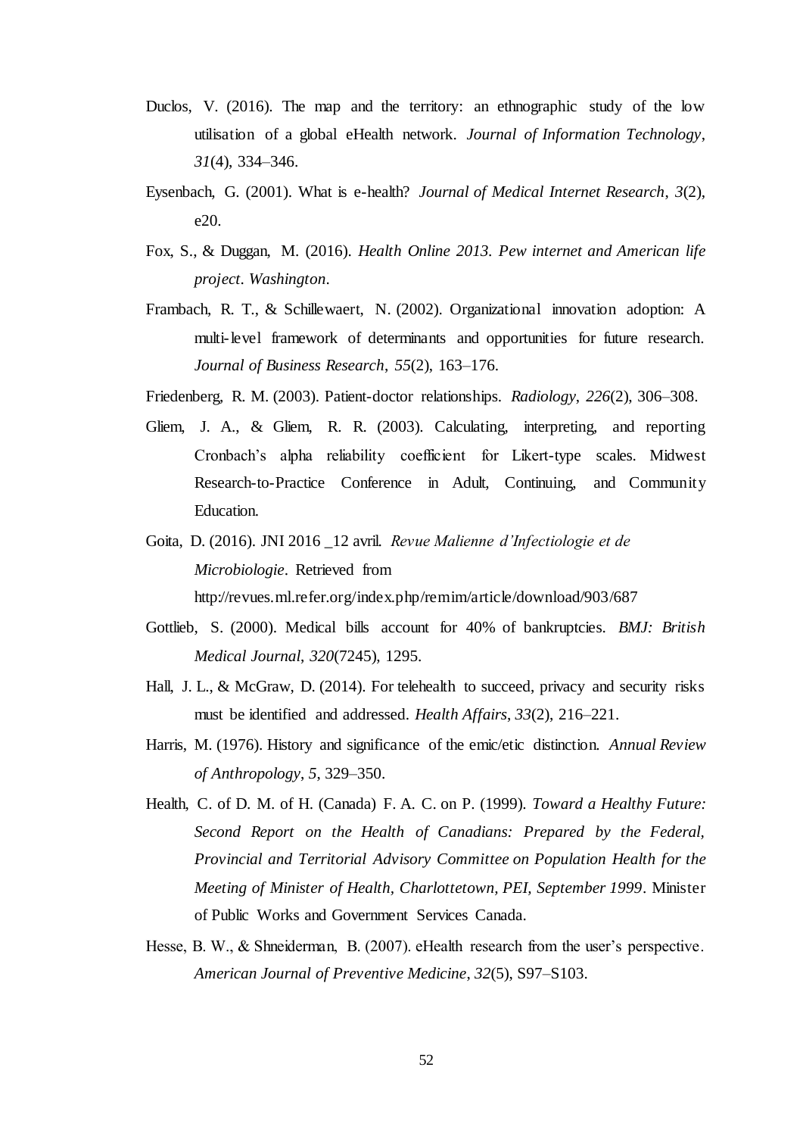- Duclos, V. (2016). The map and the territory: an ethnographic study of the low utilisation of a global eHealth network. *Journal of Information Technology*, *31*(4), 334–346.
- Eysenbach, G. (2001). What is e-health? *Journal of Medical Internet Research*, *3*(2), e20.
- Fox, S., & Duggan, M. (2016). *Health Online 2013. Pew internet and American life project. Washington*.
- Frambach, R. T., & Schillewaert, N. (2002). Organizational innovation adoption: A multi-level framework of determinants and opportunities for future research. *Journal of Business Research*, *55*(2), 163–176.
- Friedenberg, R. M. (2003). Patient-doctor relationships. *Radiology*, *226*(2), 306–308.
- Gliem, J. A., & Gliem, R. R. (2003). Calculating, interpreting, and reporting Cronbach's alpha reliability coefficient for Likert-type scales. Midwest Research-to-Practice Conference in Adult, Continuing, and Community Education.
- Goita, D. (2016). JNI 2016 \_12 avril. *Revue Malienne d'Infectiologie et de Microbiologie*. Retrieved from http://revues.ml.refer.org/index.php/remim/article/download/903/687
- Gottlieb, S. (2000). Medical bills account for 40% of bankruptcies. *BMJ: British Medical Journal*, *320*(7245), 1295.
- Hall, J. L., & McGraw, D. (2014). For telehealth to succeed, privacy and security risks must be identified and addressed. *Health Affairs*, *33*(2), 216–221.
- Harris, M. (1976). History and significance of the emic/etic distinction. *Annual Review of Anthropology*, *5*, 329–350.
- Health, C. of D. M. of H. (Canada) F. A. C. on P. (1999). *Toward a Healthy Future: Second Report on the Health of Canadians: Prepared by the Federal, Provincial and Territorial Advisory Committee on Population Health for the Meeting of Minister of Health, Charlottetown, PEI, September 1999*. Minister of Public Works and Government Services Canada.
- Hesse, B. W., & Shneiderman, B. (2007). eHealth research from the user's perspective. *American Journal of Preventive Medicine*, *32*(5), S97–S103.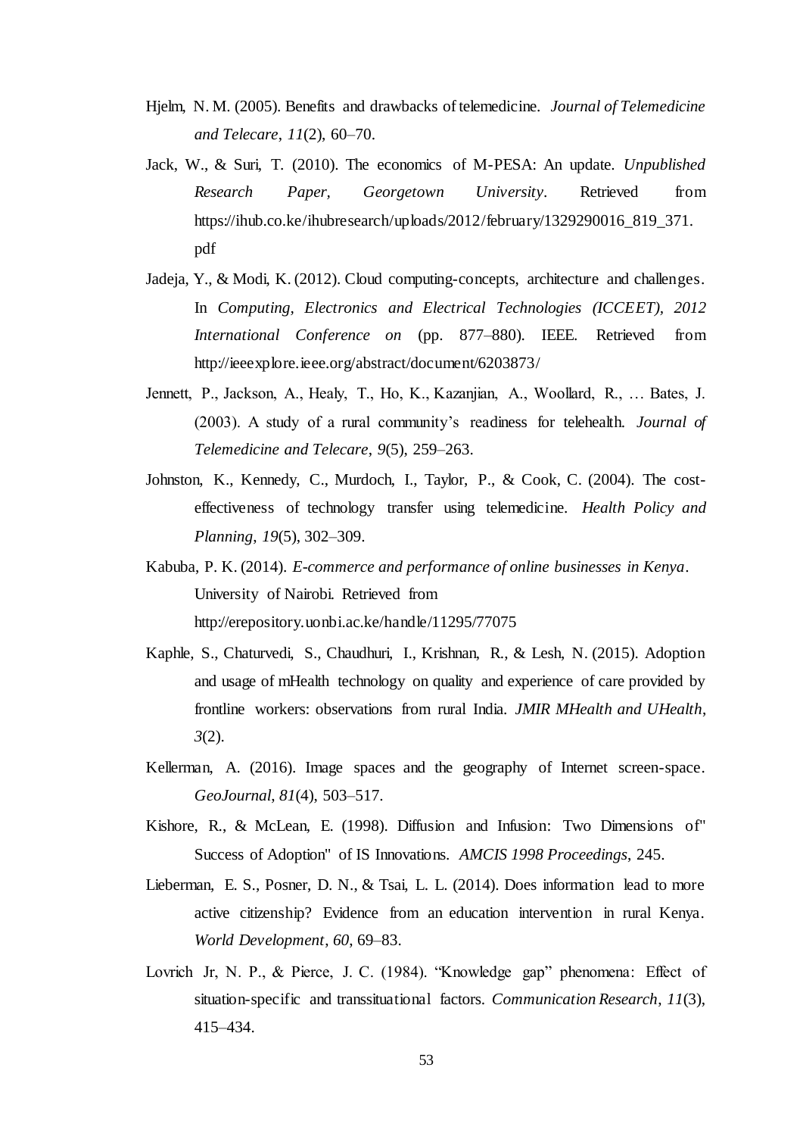- Hjelm, N. M. (2005). Benefits and drawbacks of telemedicine. *Journal of Telemedicine and Telecare*, *11*(2), 60–70.
- Jack, W., & Suri, T. (2010). The economics of M-PESA: An update. *Unpublished Research Paper, Georgetown University*. Retrieved from https://ihub.co.ke/ihubresearch/uploads/2012/february/1329290016\_819\_371. pdf
- Jadeja, Y., & Modi, K. (2012). Cloud computing-concepts, architecture and challenges. In *Computing, Electronics and Electrical Technologies (ICCEET), 2012 International Conference on* (pp. 877–880). IEEE. Retrieved from http://ieeexplore.ieee.org/abstract/document/6203873/
- Jennett, P., Jackson, A., Healy, T., Ho, K., Kazanjian, A., Woollard, R., … Bates, J. (2003). A study of a rural community's readiness for telehealth. *Journal of Telemedicine and Telecare*, *9*(5), 259–263.
- Johnston, K., Kennedy, C., Murdoch, I., Taylor, P., & Cook, C. (2004). The costeffectiveness of technology transfer using telemedicine. *Health Policy and Planning*, *19*(5), 302–309.
- Kabuba, P. K. (2014). *E-commerce and performance of online businesses in Kenya*. University of Nairobi. Retrieved from http://erepository.uonbi.ac.ke/handle/11295/77075
- Kaphle, S., Chaturvedi, S., Chaudhuri, I., Krishnan, R., & Lesh, N. (2015). Adoption and usage of mHealth technology on quality and experience of care provided by frontline workers: observations from rural India. *JMIR MHealth and UHealth*, *3*(2).
- Kellerman, A. (2016). Image spaces and the geography of Internet screen-space. *GeoJournal*, *81*(4), 503–517.
- Kishore, R., & McLean, E. (1998). Diffusion and Infusion: Two Dimensions of" Success of Adoption" of IS Innovations. *AMCIS 1998 Proceedings*, 245.
- Lieberman, E. S., Posner, D. N., & Tsai, L. L. (2014). Does information lead to more active citizenship? Evidence from an education intervention in rural Kenya. *World Development*, *60*, 69–83.
- Lovrich Jr, N. P., & Pierce, J. C. (1984). "Knowledge gap" phenomena: Effect of situation-specific and transsituational factors. *Communication Research*, *11*(3), 415–434.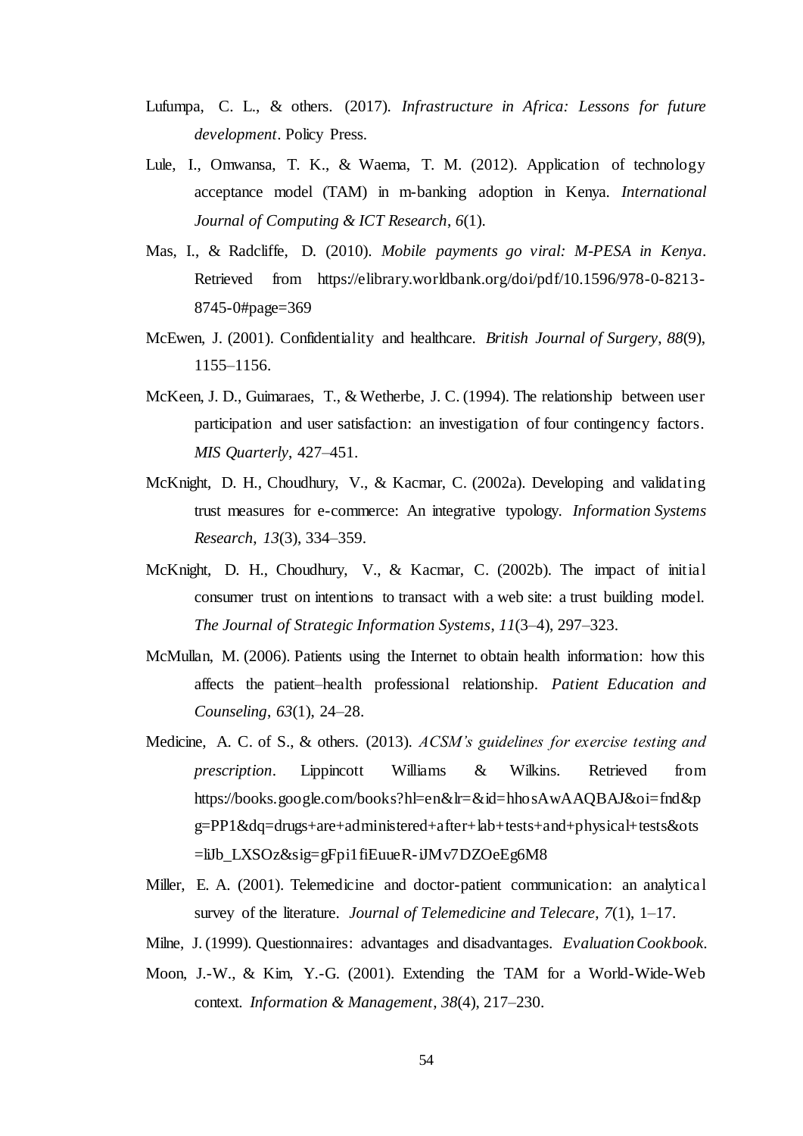- Lufumpa, C. L., & others. (2017). *Infrastructure in Africa: Lessons for future development*. Policy Press.
- Lule, I., Omwansa, T. K., & Waema, T. M. (2012). Application of technology acceptance model (TAM) in m-banking adoption in Kenya. *International Journal of Computing & ICT Research*, *6*(1).
- Mas, I., & Radcliffe, D. (2010). *Mobile payments go viral: M-PESA in Kenya*. Retrieved from https://elibrary.worldbank.org/doi/pdf/10.1596/978-0-8213- 8745-0#page=369
- McEwen, J. (2001). Confidentiality and healthcare. *British Journal of Surgery*, *88*(9), 1155–1156.
- McKeen, J. D., Guimaraes, T., & Wetherbe, J. C. (1994). The relationship between user participation and user satisfaction: an investigation of four contingency factors. *MIS Quarterly*, 427–451.
- McKnight, D. H., Choudhury, V., & Kacmar, C. (2002a). Developing and validating trust measures for e-commerce: An integrative typology. *Information Systems Research*, *13*(3), 334–359.
- McKnight, D. H., Choudhury, V., & Kacmar, C. (2002b). The impact of initial consumer trust on intentions to transact with a web site: a trust building model. *The Journal of Strategic Information Systems*, *11*(3–4), 297–323.
- McMullan, M. (2006). Patients using the Internet to obtain health information: how this affects the patient–health professional relationship. *Patient Education and Counseling*, *63*(1), 24–28.
- Medicine, A. C. of S., & others. (2013). *ACSM's guidelines for exercise testing and prescription*. Lippincott Williams & Wilkins. Retrieved from https://books.google.com/books?hl=en&lr=&id=hhosAwAAQBAJ&oi=fnd&p g=PP1&dq=drugs+are+administered+after+lab+tests+and+physical+tests&ots =liJb\_LXSOz&sig=gFpi1fiEuueR-iJMv7DZOeEg6M8
- Miller, E. A. (2001). Telemedicine and doctor-patient communication: an analytical survey of the literature. *Journal of Telemedicine and Telecare*, *7*(1), 1–17.
- Milne, J. (1999). Questionnaires: advantages and disadvantages. *Evaluation Cookbook*.
- Moon, J.-W., & Kim, Y.-G. (2001). Extending the TAM for a World-Wide-Web context. *Information & Management*, *38*(4), 217–230.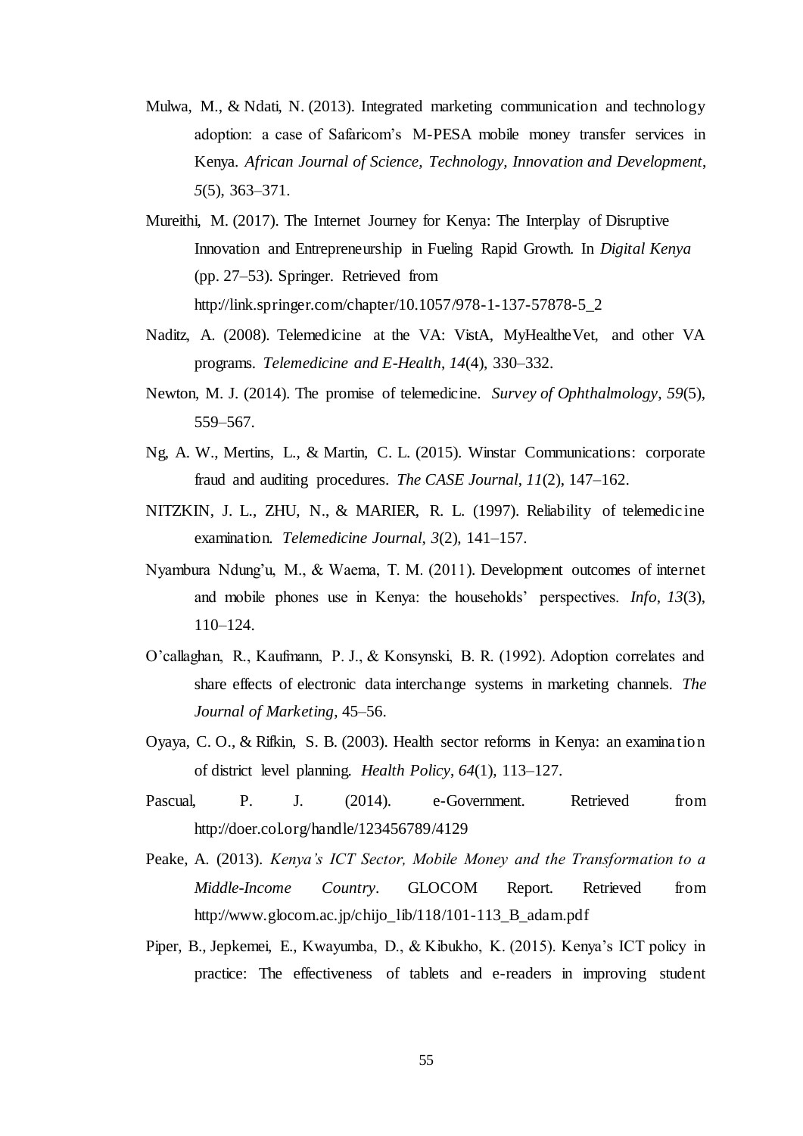- Mulwa, M., & Ndati, N. (2013). Integrated marketing communication and technology adoption: a case of Safaricom's M-PESA mobile money transfer services in Kenya. *African Journal of Science, Technology, Innovation and Development*, *5*(5), 363–371.
- Mureithi, M. (2017). The Internet Journey for Kenya: The Interplay of Disruptive Innovation and Entrepreneurship in Fueling Rapid Growth. In *Digital Kenya* (pp. 27–53). Springer. Retrieved from http://link.springer.com/chapter/10.1057/978-1-137-57878-5\_2
- Naditz, A. (2008). Telemedicine at the VA: VistA, MyHealtheVet, and other VA programs. *Telemedicine and E-Health*, *14*(4), 330–332.
- Newton, M. J. (2014). The promise of telemedicine. *Survey of Ophthalmology*, *59*(5), 559–567.
- Ng, A. W., Mertins, L., & Martin, C. L. (2015). Winstar Communications: corporate fraud and auditing procedures. *The CASE Journal*, *11*(2), 147–162.
- NITZKIN, J. L., ZHU, N., & MARIER, R. L. (1997). Reliability of telemedicine examination. *Telemedicine Journal*, *3*(2), 141–157.
- Nyambura Ndung'u, M., & Waema, T. M. (2011). Development outcomes of internet and mobile phones use in Kenya: the households' perspectives. *Info*, *13*(3), 110–124.
- O'callaghan, R., Kaufmann, P. J., & Konsynski, B. R. (1992). Adoption correlates and share effects of electronic data interchange systems in marketing channels. *The Journal of Marketing*, 45–56.
- Oyaya, C. O., & Rifkin, S. B. (2003). Health sector reforms in Kenya: an examination of district level planning. *Health Policy*, *64*(1), 113–127.
- Pascual, P. J. (2014). e-Government. Retrieved from http://doer.col.org/handle/123456789/4129
- Peake, A. (2013). *Kenya's ICT Sector, Mobile Money and the Transformation to a Middle-Income Country*. GLOCOM Report. Retrieved from http://www.glocom.ac.jp/chijo\_lib/118/101-113\_B\_adam.pdf
- Piper, B., Jepkemei, E., Kwayumba, D., & Kibukho, K. (2015). Kenya's ICT policy in practice: The effectiveness of tablets and e-readers in improving student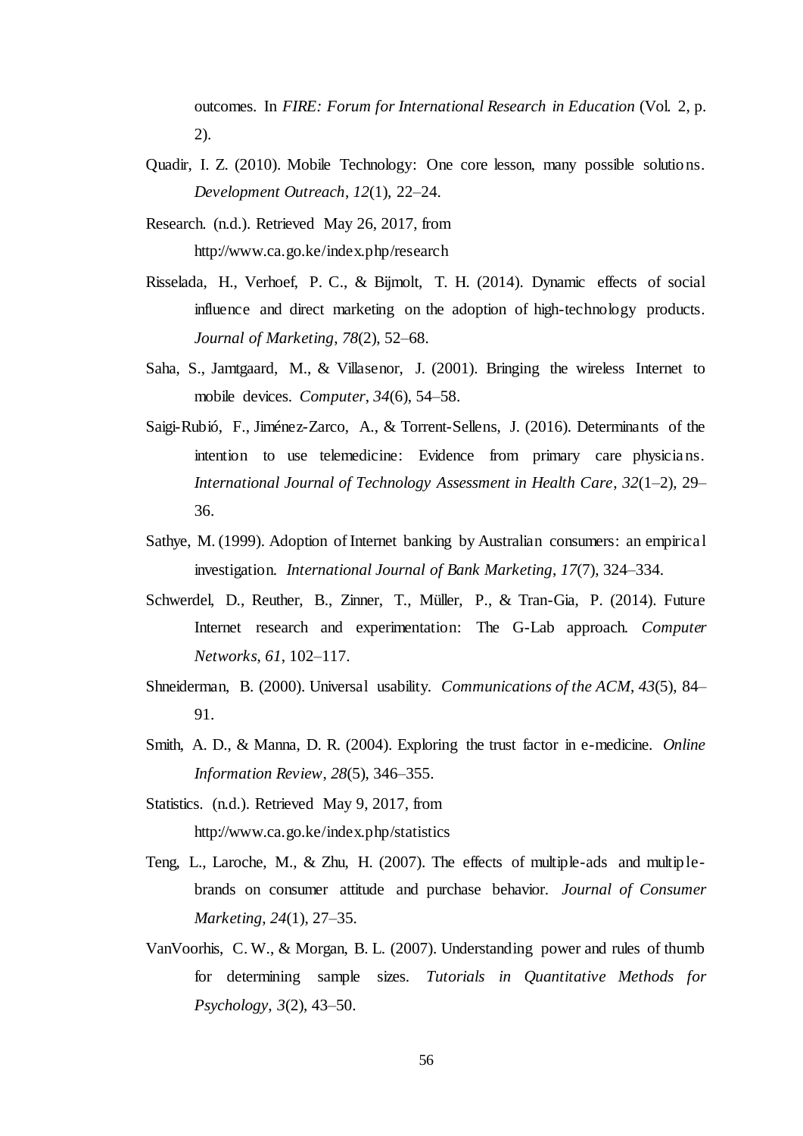outcomes. In *FIRE: Forum for International Research in Education* (Vol. 2, p. 2).

- Quadir, I. Z. (2010). Mobile Technology: One core lesson, many possible solutions. *Development Outreach*, *12*(1), 22–24.
- Research. (n.d.). Retrieved May 26, 2017, from http://www.ca.go.ke/index.php/research
- Risselada, H., Verhoef, P. C., & Bijmolt, T. H. (2014). Dynamic effects of social influence and direct marketing on the adoption of high-technology products. *Journal of Marketing*, *78*(2), 52–68.
- Saha, S., Jamtgaard, M., & Villasenor, J. (2001). Bringing the wireless Internet to mobile devices. *Computer*, *34*(6), 54–58.
- Saigi-Rubió, F., Jiménez-Zarco, A., & Torrent-Sellens, J. (2016). Determinants of the intention to use telemedicine: Evidence from primary care physicians. *International Journal of Technology Assessment in Health Care*, *32*(1–2), 29– 36.
- Sathye, M. (1999). Adoption of Internet banking by Australian consumers: an empirical investigation. *International Journal of Bank Marketing*, *17*(7), 324–334.
- Schwerdel, D., Reuther, B., Zinner, T., Müller, P., & Tran-Gia, P. (2014). Future Internet research and experimentation: The G-Lab approach. *Computer Networks*, *61*, 102–117.
- Shneiderman, B. (2000). Universal usability. *Communications of the ACM*, *43*(5), 84– 91.
- Smith, A. D., & Manna, D. R. (2004). Exploring the trust factor in e-medicine. *Online Information Review*, *28*(5), 346–355.
- Statistics. (n.d.). Retrieved May 9, 2017, from http://www.ca.go.ke/index.php/statistics
- Teng, L., Laroche, M., & Zhu, H. (2007). The effects of multiple-ads and multiplebrands on consumer attitude and purchase behavior. *Journal of Consumer Marketing*, *24*(1), 27–35.
- VanVoorhis, C. W., & Morgan, B. L. (2007). Understanding power and rules of thumb for determining sample sizes. *Tutorials in Quantitative Methods for Psychology*, *3*(2), 43–50.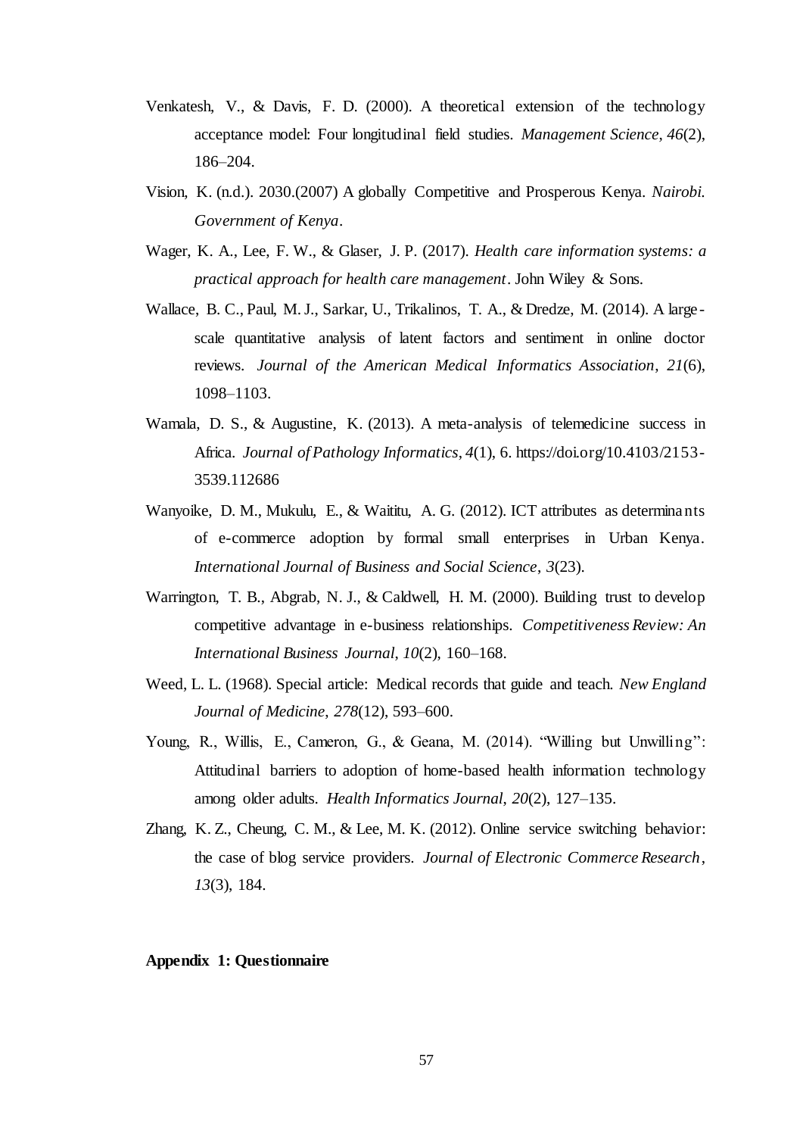- Venkatesh, V., & Davis, F. D. (2000). A theoretical extension of the technology acceptance model: Four longitudinal field studies. *Management Science*, *46*(2), 186–204.
- Vision, K. (n.d.). 2030.(2007) A globally Competitive and Prosperous Kenya. *Nairobi. Government of Kenya*.
- Wager, K. A., Lee, F. W., & Glaser, J. P. (2017). *Health care information systems: a practical approach for health care management*. John Wiley & Sons.
- Wallace, B. C., Paul, M. J., Sarkar, U., Trikalinos, T. A., & Dredze, M. (2014). A large scale quantitative analysis of latent factors and sentiment in online doctor reviews. *Journal of the American Medical Informatics Association*, *21*(6), 1098–1103.
- Wamala, D. S., & Augustine, K. (2013). A meta-analysis of telemedicine success in Africa. *Journal of Pathology Informatics*, *4*(1), 6. https://doi.org/10.4103/2153- 3539.112686
- Wanyoike, D. M., Mukulu, E., & Waititu, A. G. (2012). ICT attributes as determinants of e-commerce adoption by formal small enterprises in Urban Kenya. *International Journal of Business and Social Science*, *3*(23).
- Warrington, T. B., Abgrab, N. J., & Caldwell, H. M. (2000). Building trust to develop competitive advantage in e-business relationships. *Competitiveness Review: An International Business Journal*, *10*(2), 160–168.
- Weed, L. L. (1968). Special article: Medical records that guide and teach. *New England Journal of Medicine*, *278*(12), 593–600.
- Young, R., Willis, E., Cameron, G., & Geana, M. (2014). "Willing but Unwilling": Attitudinal barriers to adoption of home-based health information technology among older adults. *Health Informatics Journal*, *20*(2), 127–135.
- Zhang, K. Z., Cheung, C. M., & Lee, M. K. (2012). Online service switching behavior: the case of blog service providers. *Journal of Electronic Commerce Research*, *13*(3), 184.

### <span id="page-65-0"></span>**Appendix 1: Questionnaire**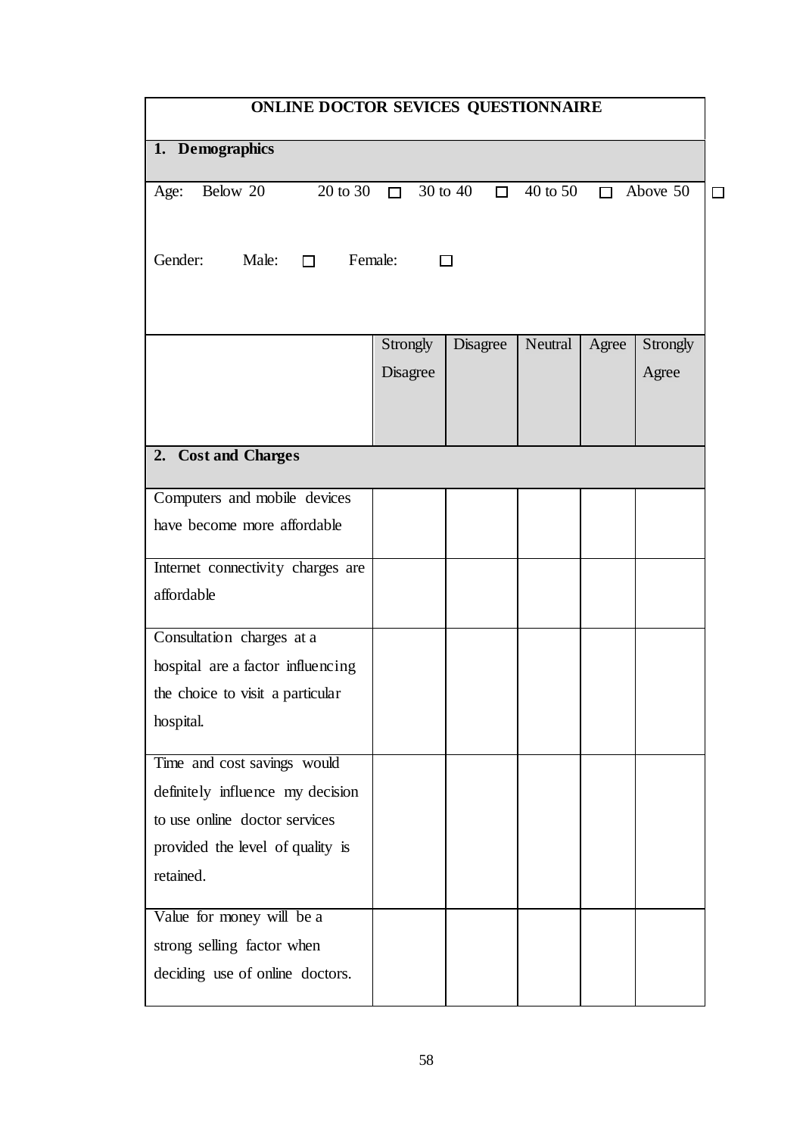| ONLINE DOCTOR SEVICES QUESTIONNAIRE        |                          |          |          |       |                           |  |  |
|--------------------------------------------|--------------------------|----------|----------|-------|---------------------------|--|--|
| 1. Demographics                            |                          |          |          |       |                           |  |  |
| Below 20<br>Age:                           | 20 to 30 $\Box$ 30 to 40 | $\Box$   | 40 to 50 |       | $\Box$ Above 50<br>$\Box$ |  |  |
| Gender:<br>Male:<br>Female:<br>$\Box$<br>П |                          |          |          |       |                           |  |  |
|                                            | Strongly                 | Disagree | Neutral  | Agree | Strongly                  |  |  |
|                                            | Disagree                 |          |          |       | Agree                     |  |  |
|                                            |                          |          |          |       |                           |  |  |
| 2. Cost and Charges                        |                          |          |          |       |                           |  |  |
| Computers and mobile devices               |                          |          |          |       |                           |  |  |
| have become more affordable                |                          |          |          |       |                           |  |  |
| Internet connectivity charges are          |                          |          |          |       |                           |  |  |
| affordable                                 |                          |          |          |       |                           |  |  |
| Consultation charges at a                  |                          |          |          |       |                           |  |  |
| hospital are a factor influencing          |                          |          |          |       |                           |  |  |
| the choice to visit a particular           |                          |          |          |       |                           |  |  |
| hospital.                                  |                          |          |          |       |                           |  |  |
| Time and cost savings would                |                          |          |          |       |                           |  |  |
| definitely influence my decision           |                          |          |          |       |                           |  |  |
| to use online doctor services              |                          |          |          |       |                           |  |  |
| provided the level of quality is           |                          |          |          |       |                           |  |  |
| retained.                                  |                          |          |          |       |                           |  |  |
| Value for money will be a                  |                          |          |          |       |                           |  |  |
| strong selling factor when                 |                          |          |          |       |                           |  |  |
| deciding use of online doctors.            |                          |          |          |       |                           |  |  |
|                                            |                          |          |          |       |                           |  |  |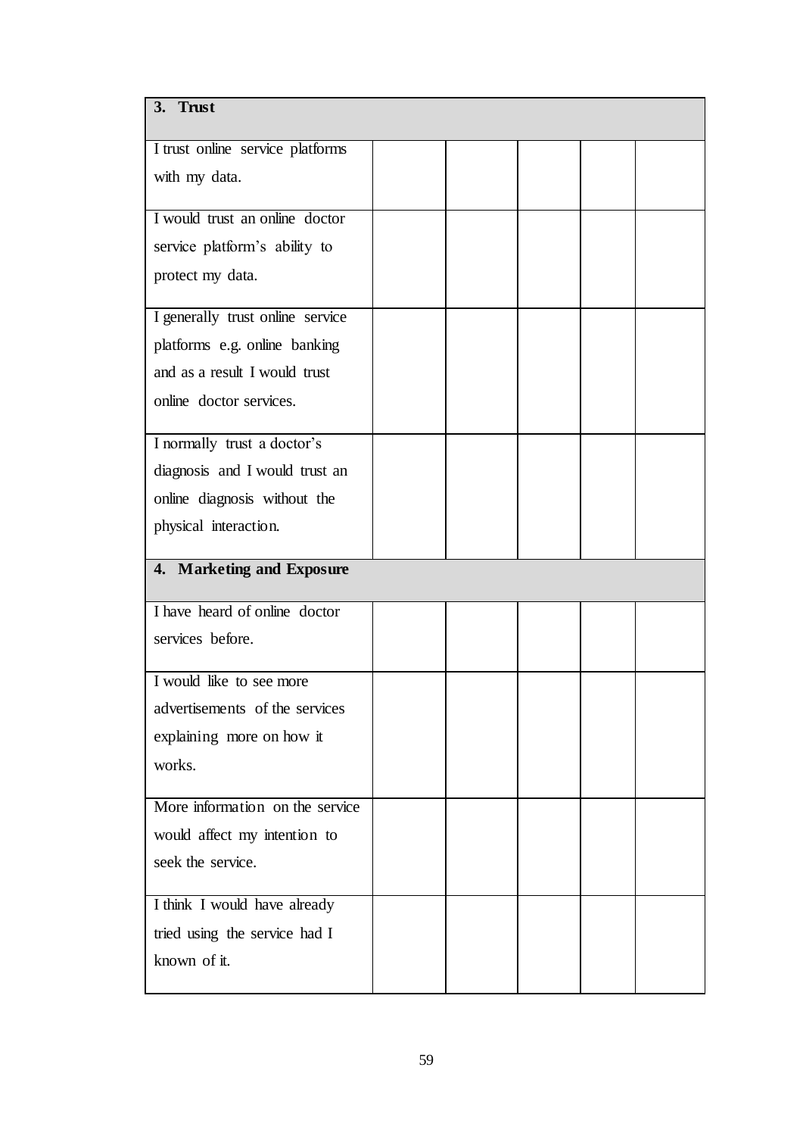| 3. Trust                         |  |  |  |
|----------------------------------|--|--|--|
| I trust online service platforms |  |  |  |
| with my data.                    |  |  |  |
|                                  |  |  |  |
| I would trust an online doctor   |  |  |  |
| service platform's ability to    |  |  |  |
| protect my data.                 |  |  |  |
| I generally trust online service |  |  |  |
| platforms e.g. online banking    |  |  |  |
| and as a result I would trust    |  |  |  |
| online doctor services.          |  |  |  |
|                                  |  |  |  |
| I normally trust a doctor's      |  |  |  |
| diagnosis and I would trust an   |  |  |  |
| online diagnosis without the     |  |  |  |
| physical interaction.            |  |  |  |
| 4. Marketing and Exposure        |  |  |  |
| I have heard of online doctor    |  |  |  |
|                                  |  |  |  |
| services before.                 |  |  |  |
| I would like to see more         |  |  |  |
| advertisements of the services   |  |  |  |
| explaining more on how it        |  |  |  |
| works.                           |  |  |  |
|                                  |  |  |  |
| More information on the service  |  |  |  |
| would affect my intention to     |  |  |  |
| seek the service.                |  |  |  |
| I think I would have already     |  |  |  |
| tried using the service had I    |  |  |  |
| known of it.                     |  |  |  |
|                                  |  |  |  |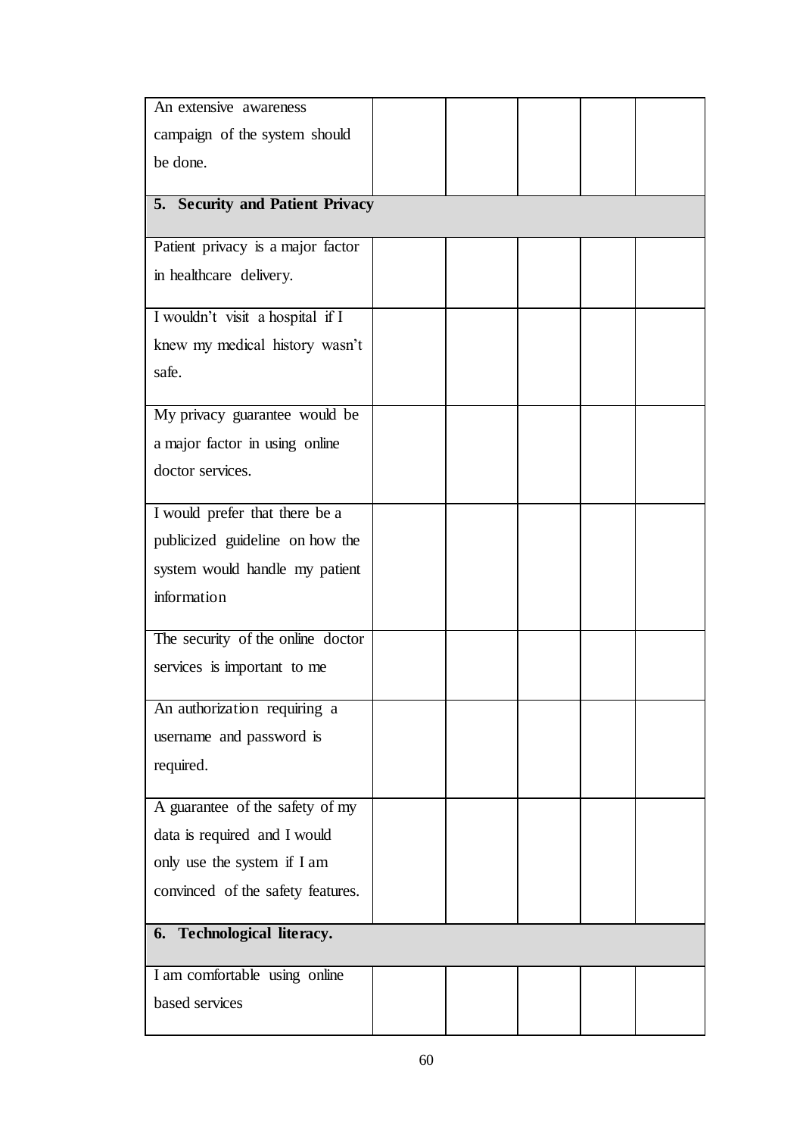| An extensive awareness            |  |  |  |
|-----------------------------------|--|--|--|
| campaign of the system should     |  |  |  |
| be done.                          |  |  |  |
|                                   |  |  |  |
| 5. Security and Patient Privacy   |  |  |  |
| Patient privacy is a major factor |  |  |  |
| in healthcare delivery.           |  |  |  |
| I wouldn't visit a hospital if I  |  |  |  |
| knew my medical history wasn't    |  |  |  |
| safe.                             |  |  |  |
| My privacy guarantee would be     |  |  |  |
| a major factor in using online    |  |  |  |
| doctor services.                  |  |  |  |
| I would prefer that there be a    |  |  |  |
| publicized guideline on how the   |  |  |  |
| system would handle my patient    |  |  |  |
| information                       |  |  |  |
|                                   |  |  |  |
| The security of the online doctor |  |  |  |
| services is important to me       |  |  |  |
| An authorization requiring a      |  |  |  |
| username and password is          |  |  |  |
| required.                         |  |  |  |
| A guarantee of the safety of my   |  |  |  |
| data is required and I would      |  |  |  |
| only use the system if I am       |  |  |  |
| convinced of the safety features. |  |  |  |
| 6. Technological literacy.        |  |  |  |
| I am comfortable using online     |  |  |  |
| based services                    |  |  |  |
|                                   |  |  |  |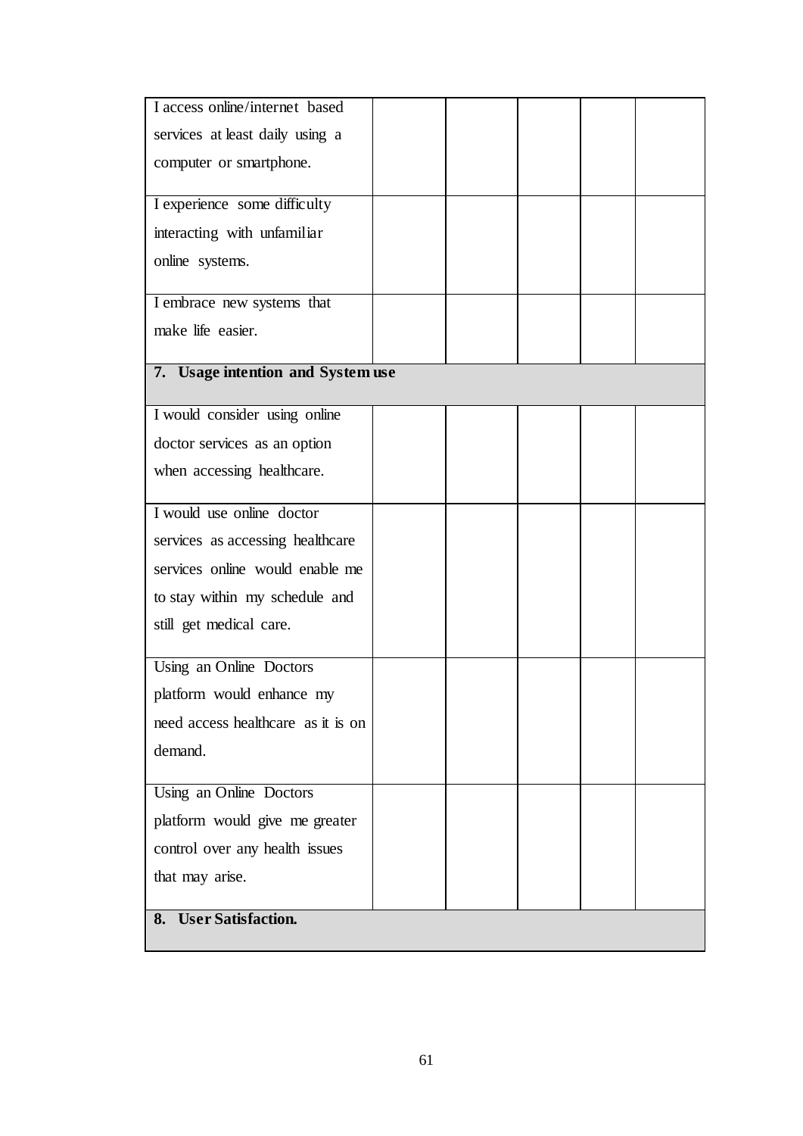| I access online/internet based     |  |  |  |
|------------------------------------|--|--|--|
| services at least daily using a    |  |  |  |
| computer or smartphone.            |  |  |  |
| I experience some difficulty       |  |  |  |
| interacting with unfamiliar        |  |  |  |
| online systems.                    |  |  |  |
| I embrace new systems that         |  |  |  |
| make life easier.                  |  |  |  |
| 7. Usage intention and System use  |  |  |  |
| I would consider using online      |  |  |  |
| doctor services as an option       |  |  |  |
| when accessing healthcare.         |  |  |  |
| I would use online doctor          |  |  |  |
| services as accessing healthcare   |  |  |  |
| services online would enable me    |  |  |  |
| to stay within my schedule and     |  |  |  |
| still get medical care.            |  |  |  |
| Using an Online Doctors            |  |  |  |
| platform would enhance my          |  |  |  |
| need access healthcare as it is on |  |  |  |
| demand.                            |  |  |  |
| Using an Online Doctors            |  |  |  |
| platform would give me greater     |  |  |  |
| control over any health issues     |  |  |  |
| that may arise.                    |  |  |  |
| <b>User Satisfaction.</b><br>8.    |  |  |  |